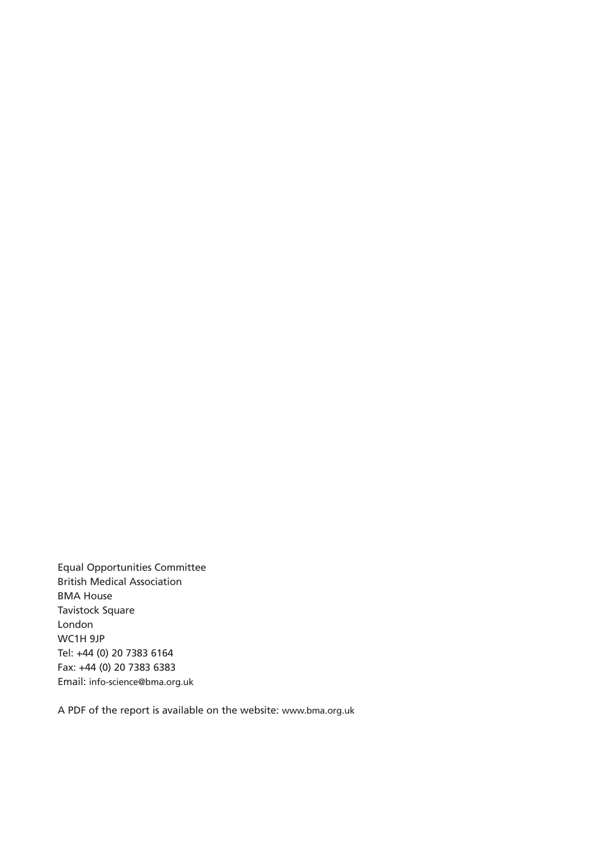Equal Opportunities Committee British Medical Association BMA House Tavistock Square London WC1H 9JP Tel: +44 (0) 20 7383 6164 Fax: +44 (0) 20 7383 6383 Email: info-science@bma.org.uk

A PDF of the report is available on the website: www.bma.org.uk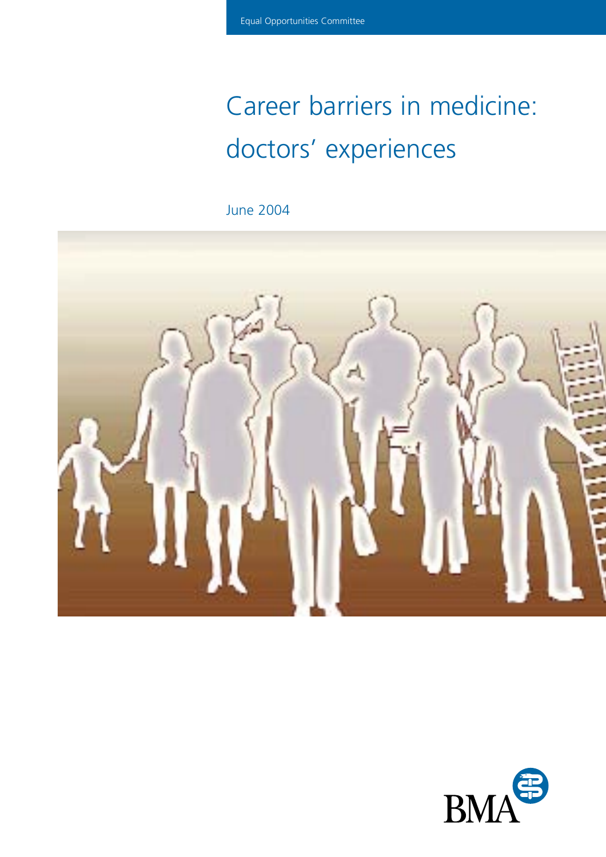# Career barriers in medicine: doctors' experiences

June 2004



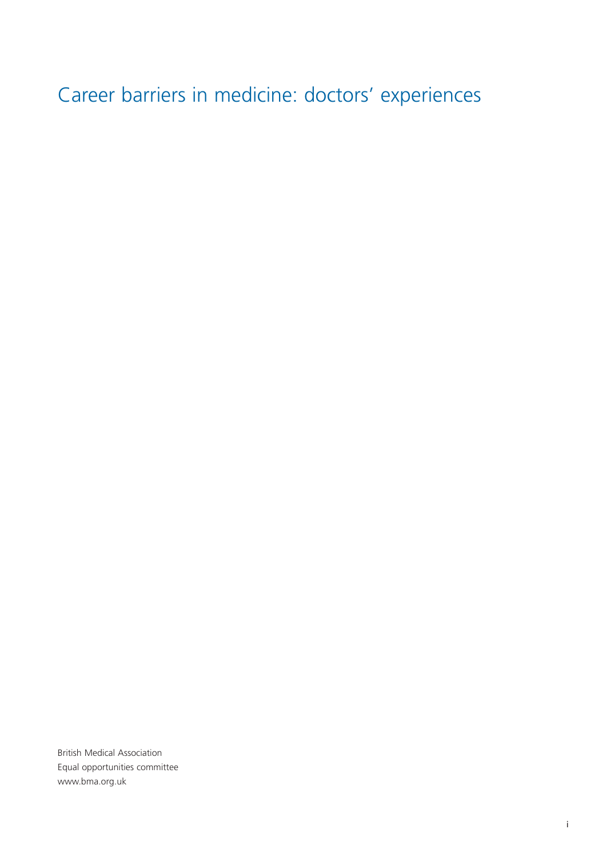Career barriers in medicine: doctors' experiences

British Medical Association Equal opportunities committee www.bma.org.uk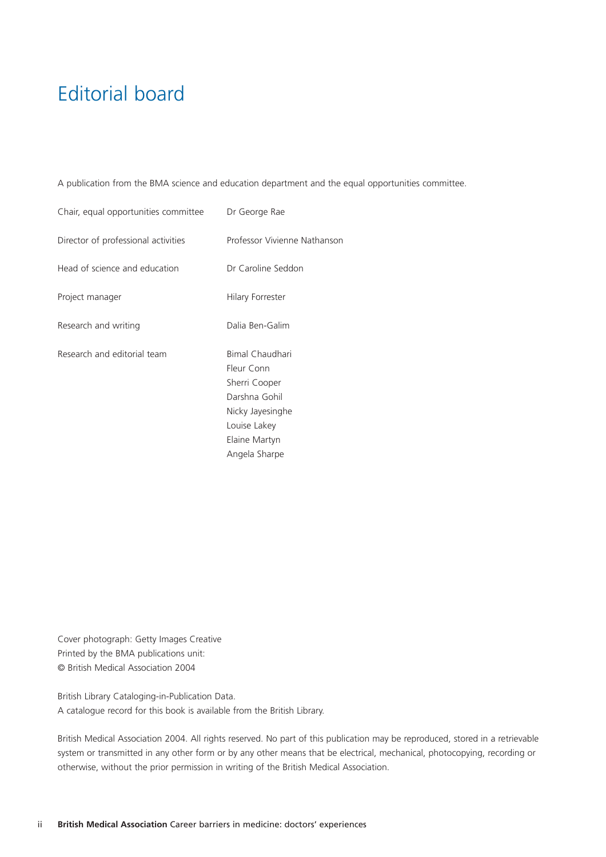# Editorial board

A publication from the BMA science and education department and the equal opportunities committee.

| Chair, equal opportunities committee | Dr George Rae                                                                                                                         |
|--------------------------------------|---------------------------------------------------------------------------------------------------------------------------------------|
| Director of professional activities  | Professor Vivienne Nathanson                                                                                                          |
| Head of science and education        | Dr Caroline Seddon                                                                                                                    |
| Project manager                      | Hilary Forrester                                                                                                                      |
| Research and writing                 | Dalia Ben-Galim                                                                                                                       |
| Research and editorial team          | Bimal Chaudhari<br>Fleur Conn<br>Sherri Cooper<br>Darshna Gohil<br>Nicky Jayesinghe<br>Louise Lakey<br>Elaine Martyn<br>Angela Sharpe |

Cover photograph: Getty Images Creative Printed by the BMA publications unit: © British Medical Association 2004

British Library Cataloging-in-Publication Data. A catalogue record for this book is available from the British Library.

British Medical Association 2004. All rights reserved. No part of this publication may be reproduced, stored in a retrievable system or transmitted in any other form or by any other means that be electrical, mechanical, photocopying, recording or otherwise, without the prior permission in writing of the British Medical Association.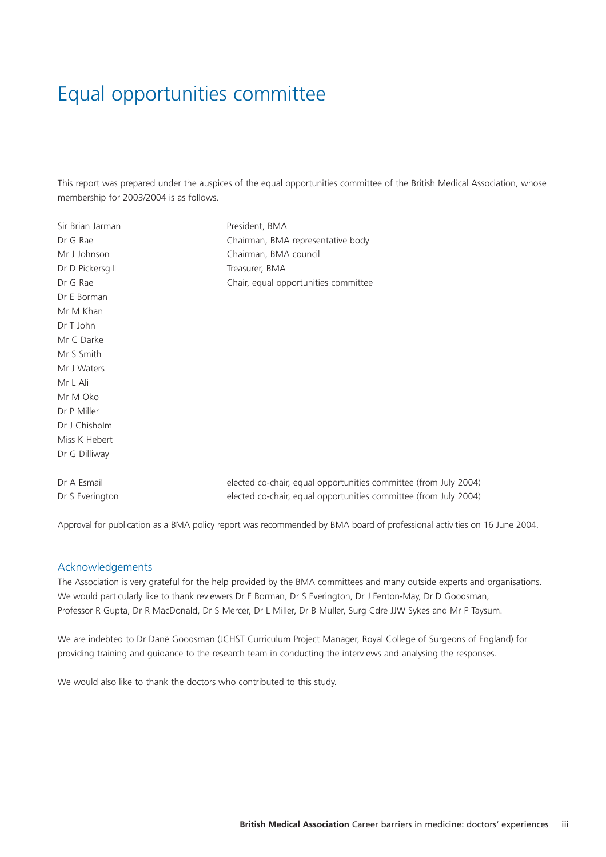# Equal opportunities committee

This report was prepared under the auspices of the equal opportunities committee of the British Medical Association, whose membership for 2003/2004 is as follows.

| Sir Brian Jarman | President, BMA                                                   |
|------------------|------------------------------------------------------------------|
| Dr G Rae         | Chairman, BMA representative body                                |
| Mr J Johnson     | Chairman, BMA council                                            |
| Dr D Pickersgill | Treasurer, BMA                                                   |
| Dr G Rae         | Chair, equal opportunities committee                             |
| Dr E Borman      |                                                                  |
| Mr M Khan        |                                                                  |
| Dr T John        |                                                                  |
| Mr C Darke       |                                                                  |
| Mr S Smith       |                                                                  |
| Mr J Waters      |                                                                  |
| Mr L Ali         |                                                                  |
| Mr M Oko         |                                                                  |
| Dr P Miller      |                                                                  |
| Dr J Chisholm    |                                                                  |
| Miss K Hebert    |                                                                  |
| Dr G Dilliway    |                                                                  |
|                  |                                                                  |
| Dr A Esmail      | elected co-chair, equal opportunities committee (from July 2004) |
| Dr S Everington  | elected co-chair, equal opportunities committee (from July 2004) |
|                  |                                                                  |

Approval for publication as a BMA policy report was recommended by BMA board of professional activities on 16 June 2004.

#### Acknowledgements

The Association is very grateful for the help provided by the BMA committees and many outside experts and organisations. We would particularly like to thank reviewers Dr E Borman, Dr S Everington, Dr J Fenton-May, Dr D Goodsman, Professor R Gupta, Dr R MacDonald, Dr S Mercer, Dr L Miller, Dr B Muller, Surg Cdre JJW Sykes and Mr P Taysum.

We are indebted to Dr Danë Goodsman (JCHST Curriculum Project Manager, Royal College of Surgeons of England) for providing training and guidance to the research team in conducting the interviews and analysing the responses.

We would also like to thank the doctors who contributed to this study.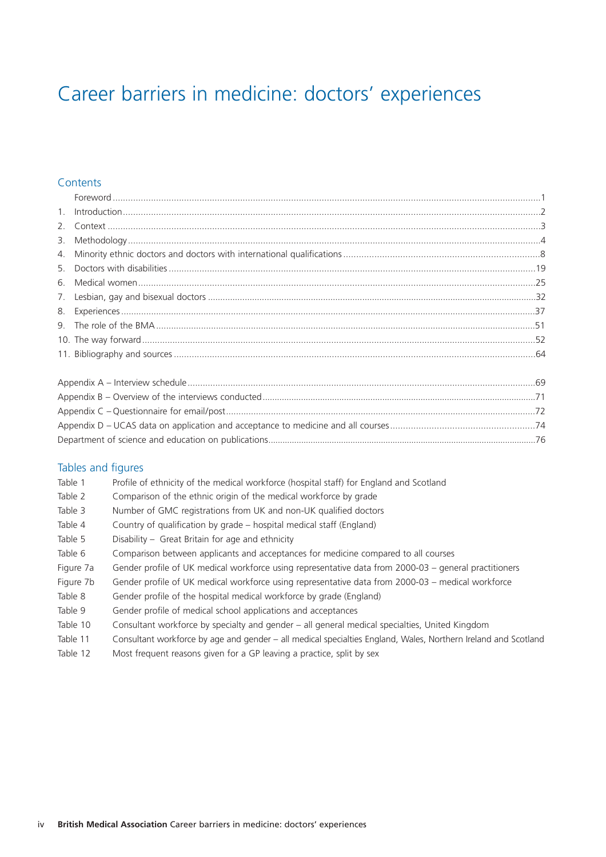# Career barriers in medicine: doctors' experiences

#### **Contents**

#### Tables and figures

| Table 1   | Profile of ethnicity of the medical workforce (hospital staff) for England and Scotland                        |
|-----------|----------------------------------------------------------------------------------------------------------------|
| Table 2   | Comparison of the ethnic origin of the medical workforce by grade                                              |
| Table 3   | Number of GMC registrations from UK and non-UK qualified doctors                                               |
| Table 4   | Country of qualification by grade - hospital medical staff (England)                                           |
| Table 5   | Disability – Great Britain for age and ethnicity                                                               |
| Table 6   | Comparison between applicants and acceptances for medicine compared to all courses                             |
| Figure 7a | Gender profile of UK medical workforce using representative data from 2000-03 – general practitioners          |
| Figure 7b | Gender profile of UK medical workforce using representative data from 2000-03 – medical workforce              |
| Table 8   | Gender profile of the hospital medical workforce by grade (England)                                            |
| Table 9   | Gender profile of medical school applications and acceptances                                                  |
| Table 10  | Consultant workforce by specialty and gender - all general medical specialties, United Kingdom                 |
| Table 11  | Consultant workforce by age and gender – all medical specialties England, Wales, Northern Ireland and Scotland |
|           |                                                                                                                |

Table 12 Most frequent reasons given for a GP leaving a practice, split by sex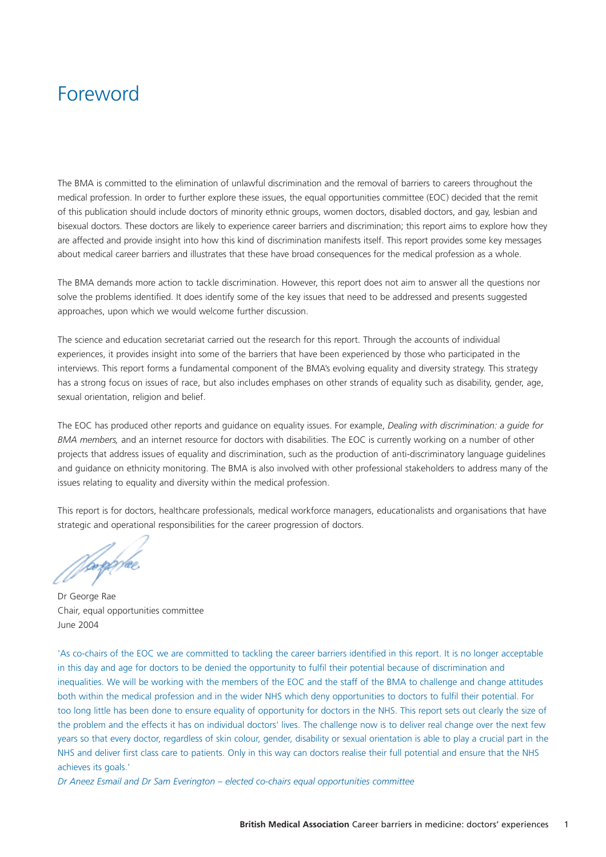### Foreword

The BMA is committed to the elimination of unlawful discrimination and the removal of barriers to careers throughout the medical profession. In order to further explore these issues, the equal opportunities committee (EOC) decided that the remit of this publication should include doctors of minority ethnic groups, women doctors, disabled doctors, and gay, lesbian and bisexual doctors. These doctors are likely to experience career barriers and discrimination; this report aims to explore how they are affected and provide insight into how this kind of discrimination manifests itself. This report provides some key messages about medical career barriers and illustrates that these have broad consequences for the medical profession as a whole.

The BMA demands more action to tackle discrimination. However, this report does not aim to answer all the questions nor solve the problems identified. It does identify some of the key issues that need to be addressed and presents suggested approaches, upon which we would welcome further discussion.

The science and education secretariat carried out the research for this report. Through the accounts of individual experiences, it provides insight into some of the barriers that have been experienced by those who participated in the interviews. This report forms a fundamental component of the BMA's evolving equality and diversity strategy. This strategy has a strong focus on issues of race, but also includes emphases on other strands of equality such as disability, gender, age, sexual orientation, religion and belief.

The EOC has produced other reports and guidance on equality issues. For example, *Dealing with discrimination: a guide for BMA members,* and an internet resource for doctors with disabilities. The EOC is currently working on a number of other projects that address issues of equality and discrimination, such as the production of anti-discriminatory language guidelines and guidance on ethnicity monitoring. The BMA is also involved with other professional stakeholders to address many of the issues relating to equality and diversity within the medical profession.

This report is for doctors, healthcare professionals, medical workforce managers, educationalists and organisations that have strategic and operational responsibilities for the career progression of doctors.

*No*rge/æ

Dr George Rae Chair, equal opportunities committee June 2004

'As co-chairs of the EOC we are committed to tackling the career barriers identified in this report. It is no longer acceptable in this day and age for doctors to be denied the opportunity to fulfil their potential because of discrimination and inequalities. We will be working with the members of the EOC and the staff of the BMA to challenge and change attitudes both within the medical profession and in the wider NHS which deny opportunities to doctors to fulfil their potential. For too long little has been done to ensure equality of opportunity for doctors in the NHS. This report sets out clearly the size of the problem and the effects it has on individual doctors' lives. The challenge now is to deliver real change over the next few years so that every doctor, regardless of skin colour, gender, disability or sexual orientation is able to play a crucial part in the NHS and deliver first class care to patients. Only in this way can doctors realise their full potential and ensure that the NHS achieves its goals.'

*Dr Aneez Esmail and Dr Sam Everington – elected co-chairs equal opportunities committee*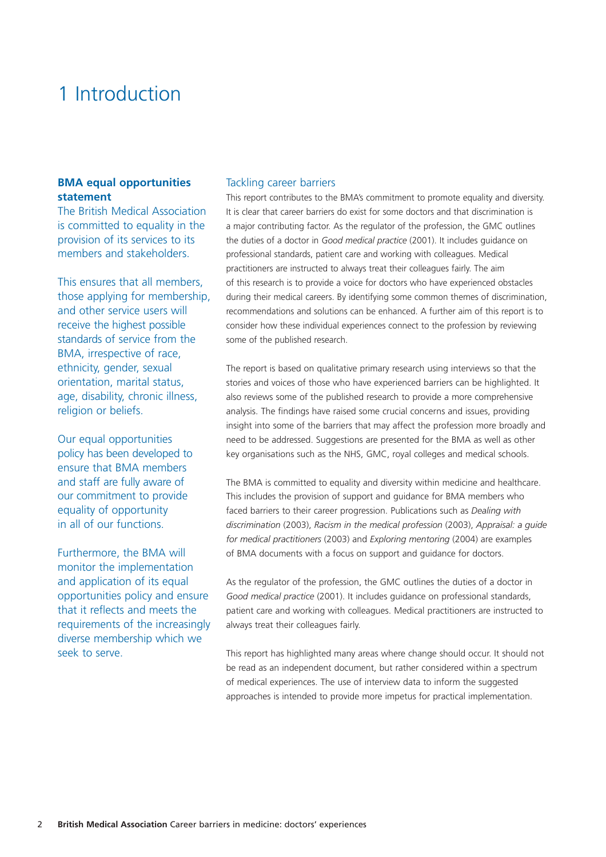## 1 Introduction

#### **BMA equal opportunities statement**

The British Medical Association is committed to equality in the provision of its services to its members and stakeholders.

This ensures that all members, those applying for membership, and other service users will receive the highest possible standards of service from the BMA, irrespective of race, ethnicity, gender, sexual orientation, marital status, age, disability, chronic illness, religion or beliefs.

Our equal opportunities policy has been developed to ensure that BMA members and staff are fully aware of our commitment to provide equality of opportunity in all of our functions.

Furthermore, the BMA will monitor the implementation and application of its equal opportunities policy and ensure that it reflects and meets the requirements of the increasingly diverse membership which we seek to serve.

#### Tackling career barriers

This report contributes to the BMA's commitment to promote equality and diversity. It is clear that career barriers do exist for some doctors and that discrimination is a major contributing factor. As the regulator of the profession, the GMC outlines the duties of a doctor in *Good medical practice* (2001). It includes guidance on professional standards, patient care and working with colleagues. Medical practitioners are instructed to always treat their colleagues fairly. The aim of this research is to provide a voice for doctors who have experienced obstacles during their medical careers. By identifying some common themes of discrimination, recommendations and solutions can be enhanced. A further aim of this report is to consider how these individual experiences connect to the profession by reviewing some of the published research.

The report is based on qualitative primary research using interviews so that the stories and voices of those who have experienced barriers can be highlighted. It also reviews some of the published research to provide a more comprehensive analysis. The findings have raised some crucial concerns and issues, providing insight into some of the barriers that may affect the profession more broadly and need to be addressed. Suggestions are presented for the BMA as well as other key organisations such as the NHS, GMC, royal colleges and medical schools.

The BMA is committed to equality and diversity within medicine and healthcare. This includes the provision of support and guidance for BMA members who faced barriers to their career progression. Publications such as *Dealing with discrimination* (2003), *Racism in the medical profession* (2003), *Appraisal: a guide for medical practitioners* (2003) and *Exploring mentoring* (2004) are examples of BMA documents with a focus on support and guidance for doctors.

As the regulator of the profession, the GMC outlines the duties of a doctor in *Good medical practice* (2001). It includes guidance on professional standards, patient care and working with colleagues. Medical practitioners are instructed to always treat their colleagues fairly.

This report has highlighted many areas where change should occur. It should not be read as an independent document, but rather considered within a spectrum of medical experiences. The use of interview data to inform the suggested approaches is intended to provide more impetus for practical implementation.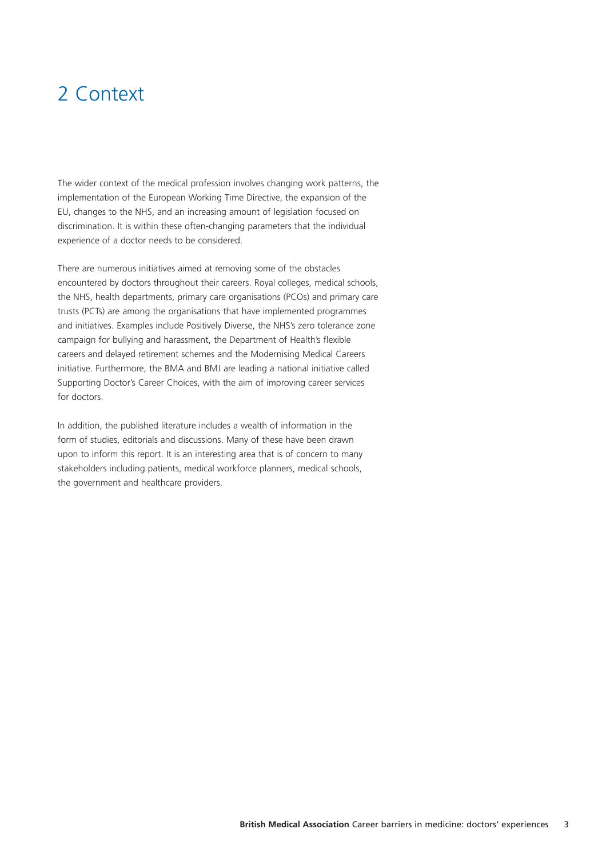# 2 Context

The wider context of the medical profession involves changing work patterns, the implementation of the European Working Time Directive, the expansion of the EU, changes to the NHS, and an increasing amount of legislation focused on discrimination. It is within these often-changing parameters that the individual experience of a doctor needs to be considered.

There are numerous initiatives aimed at removing some of the obstacles encountered by doctors throughout their careers. Royal colleges, medical schools, the NHS, health departments, primary care organisations (PCOs) and primary care trusts (PCTs) are among the organisations that have implemented programmes and initiatives. Examples include Positively Diverse, the NHS's zero tolerance zone campaign for bullying and harassment, the Department of Health's flexible careers and delayed retirement schemes and the Modernising Medical Careers initiative. Furthermore, the BMA and BMJ are leading a national initiative called Supporting Doctor's Career Choices, with the aim of improving career services for doctors.

In addition, the published literature includes a wealth of information in the form of studies, editorials and discussions. Many of these have been drawn upon to inform this report. It is an interesting area that is of concern to many stakeholders including patients, medical workforce planners, medical schools, the government and healthcare providers.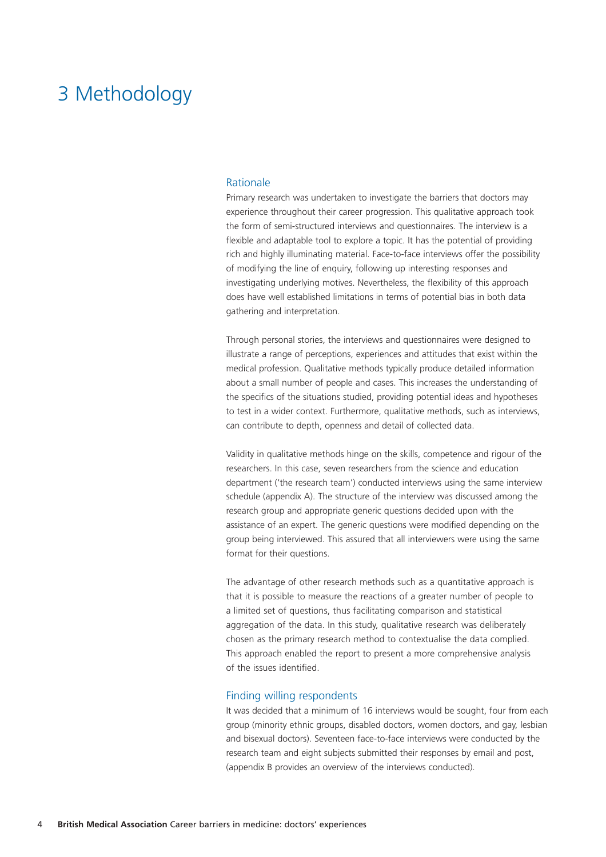### 3 Methodology

#### Rationale

Primary research was undertaken to investigate the barriers that doctors may experience throughout their career progression. This qualitative approach took the form of semi-structured interviews and questionnaires. The interview is a flexible and adaptable tool to explore a topic. It has the potential of providing rich and highly illuminating material. Face-to-face interviews offer the possibility of modifying the line of enquiry, following up interesting responses and investigating underlying motives. Nevertheless, the flexibility of this approach does have well established limitations in terms of potential bias in both data gathering and interpretation.

Through personal stories, the interviews and questionnaires were designed to illustrate a range of perceptions, experiences and attitudes that exist within the medical profession. Qualitative methods typically produce detailed information about a small number of people and cases. This increases the understanding of the specifics of the situations studied, providing potential ideas and hypotheses to test in a wider context. Furthermore, qualitative methods, such as interviews, can contribute to depth, openness and detail of collected data.

Validity in qualitative methods hinge on the skills, competence and rigour of the researchers. In this case, seven researchers from the science and education department ('the research team') conducted interviews using the same interview schedule (appendix A). The structure of the interview was discussed among the research group and appropriate generic questions decided upon with the assistance of an expert. The generic questions were modified depending on the group being interviewed. This assured that all interviewers were using the same format for their questions.

The advantage of other research methods such as a quantitative approach is that it is possible to measure the reactions of a greater number of people to a limited set of questions, thus facilitating comparison and statistical aggregation of the data. In this study, qualitative research was deliberately chosen as the primary research method to contextualise the data complied. This approach enabled the report to present a more comprehensive analysis of the issues identified.

#### Finding willing respondents

It was decided that a minimum of 16 interviews would be sought, four from each group (minority ethnic groups, disabled doctors, women doctors, and gay, lesbian and bisexual doctors). Seventeen face-to-face interviews were conducted by the research team and eight subjects submitted their responses by email and post, (appendix B provides an overview of the interviews conducted).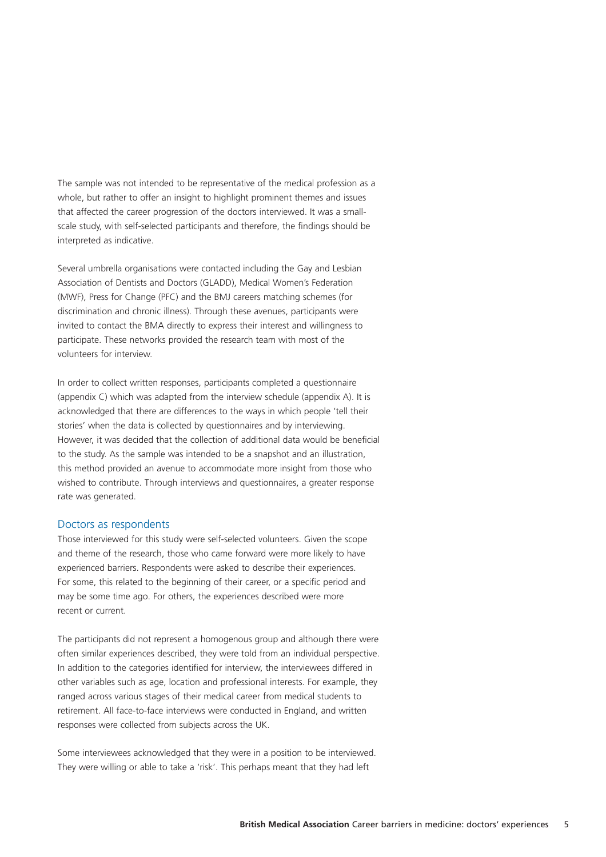The sample was not intended to be representative of the medical profession as a whole, but rather to offer an insight to highlight prominent themes and issues that affected the career progression of the doctors interviewed. It was a smallscale study, with self-selected participants and therefore, the findings should be interpreted as indicative.

Several umbrella organisations were contacted including the Gay and Lesbian Association of Dentists and Doctors (GLADD), Medical Women's Federation (MWF), Press for Change (PFC) and the BMJ careers matching schemes (for discrimination and chronic illness). Through these avenues, participants were invited to contact the BMA directly to express their interest and willingness to participate. These networks provided the research team with most of the volunteers for interview.

In order to collect written responses, participants completed a questionnaire (appendix C) which was adapted from the interview schedule (appendix A). It is acknowledged that there are differences to the ways in which people 'tell their stories' when the data is collected by questionnaires and by interviewing. However, it was decided that the collection of additional data would be beneficial to the study. As the sample was intended to be a snapshot and an illustration, this method provided an avenue to accommodate more insight from those who wished to contribute. Through interviews and questionnaires, a greater response rate was generated.

#### Doctors as respondents

Those interviewed for this study were self-selected volunteers. Given the scope and theme of the research, those who came forward were more likely to have experienced barriers. Respondents were asked to describe their experiences. For some, this related to the beginning of their career, or a specific period and may be some time ago. For others, the experiences described were more recent or current.

The participants did not represent a homogenous group and although there were often similar experiences described, they were told from an individual perspective. In addition to the categories identified for interview, the interviewees differed in other variables such as age, location and professional interests. For example, they ranged across various stages of their medical career from medical students to retirement. All face-to-face interviews were conducted in England, and written responses were collected from subjects across the UK.

Some interviewees acknowledged that they were in a position to be interviewed. They were willing or able to take a 'risk'. This perhaps meant that they had left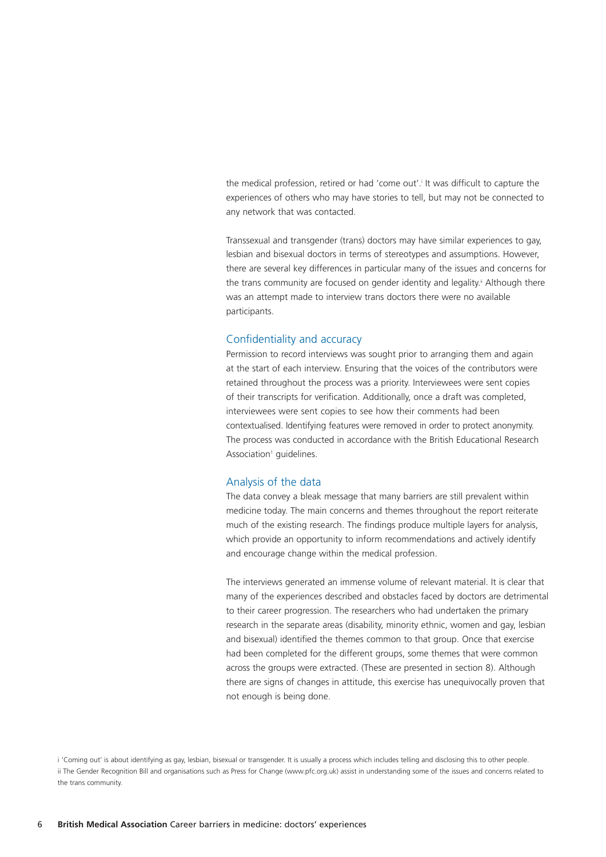the medical profession, retired or had 'come out'.<sup>i</sup> It was difficult to capture the experiences of others who may have stories to tell, but may not be connected to any network that was contacted.

Transsexual and transgender (trans) doctors may have similar experiences to gay, lesbian and bisexual doctors in terms of stereotypes and assumptions. However, there are several key differences in particular many of the issues and concerns for the trans community are focused on gender identity and legality.<sup>ii</sup> Although there was an attempt made to interview trans doctors there were no available participants.

#### Confidentiality and accuracy

Permission to record interviews was sought prior to arranging them and again at the start of each interview. Ensuring that the voices of the contributors were retained throughout the process was a priority. Interviewees were sent copies of their transcripts for verification. Additionally, once a draft was completed, interviewees were sent copies to see how their comments had been contextualised. Identifying features were removed in order to protect anonymity. The process was conducted in accordance with the British Educational Research Association<sup>1</sup> guidelines.

#### Analysis of the data

The data convey a bleak message that many barriers are still prevalent within medicine today. The main concerns and themes throughout the report reiterate much of the existing research. The findings produce multiple layers for analysis, which provide an opportunity to inform recommendations and actively identify and encourage change within the medical profession.

The interviews generated an immense volume of relevant material. It is clear that many of the experiences described and obstacles faced by doctors are detrimental to their career progression. The researchers who had undertaken the primary research in the separate areas (disability, minority ethnic, women and gay, lesbian and bisexual) identified the themes common to that group. Once that exercise had been completed for the different groups, some themes that were common across the groups were extracted. (These are presented in section 8). Although there are signs of changes in attitude, this exercise has unequivocally proven that not enough is being done.

i 'Coming out' is about identifying as gay, lesbian, bisexual or transgender. It is usually a process which includes telling and disclosing this to other people. ii The Gender Recognition Bill and organisations such as Press for Change (www.pfc.org.uk) assist in understanding some of the issues and concerns related to the trans community.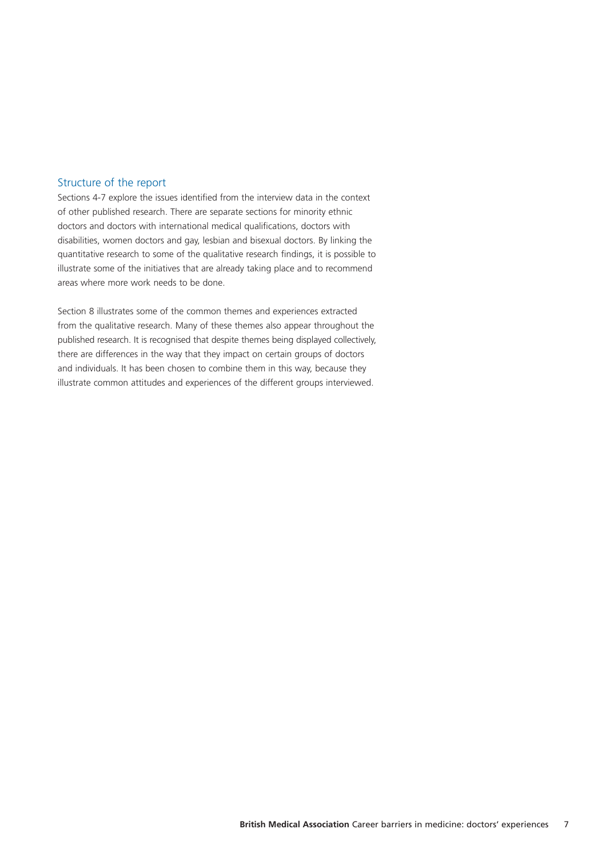#### Structure of the report

Sections 4-7 explore the issues identified from the interview data in the context of other published research. There are separate sections for minority ethnic doctors and doctors with international medical qualifications, doctors with disabilities, women doctors and gay, lesbian and bisexual doctors. By linking the quantitative research to some of the qualitative research findings, it is possible to illustrate some of the initiatives that are already taking place and to recommend areas where more work needs to be done.

Section 8 illustrates some of the common themes and experiences extracted from the qualitative research. Many of these themes also appear throughout the published research. It is recognised that despite themes being displayed collectively, there are differences in the way that they impact on certain groups of doctors and individuals. It has been chosen to combine them in this way, because they illustrate common attitudes and experiences of the different groups interviewed.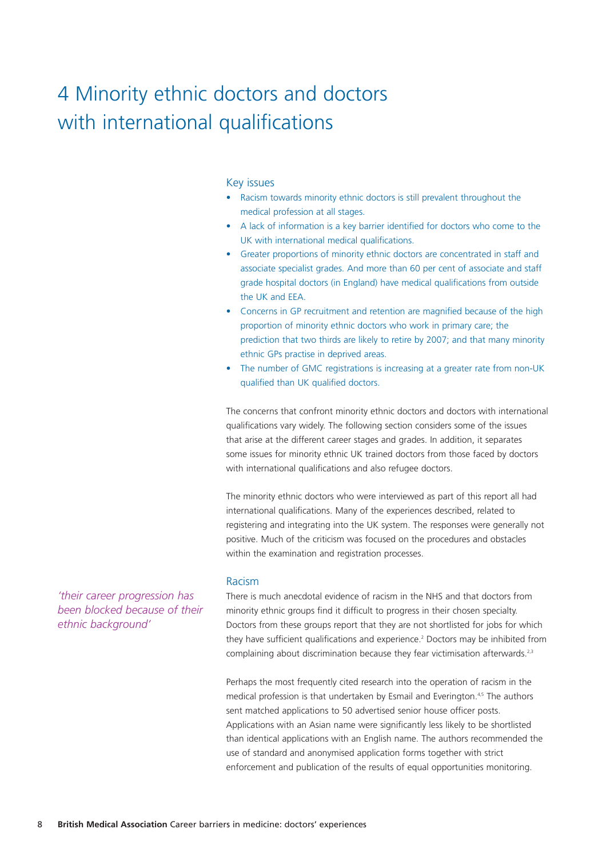# 4 Minority ethnic doctors and doctors with international qualifications

#### Key issues

- Racism towards minority ethnic doctors is still prevalent throughout the medical profession at all stages.
- A lack of information is a key barrier identified for doctors who come to the UK with international medical qualifications.
- Greater proportions of minority ethnic doctors are concentrated in staff and associate specialist grades. And more than 60 per cent of associate and staff grade hospital doctors (in England) have medical qualifications from outside the UK and EEA.
- Concerns in GP recruitment and retention are magnified because of the high proportion of minority ethnic doctors who work in primary care; the prediction that two thirds are likely to retire by 2007; and that many minority ethnic GPs practise in deprived areas.
- The number of GMC registrations is increasing at a greater rate from non-UK qualified than UK qualified doctors.

The concerns that confront minority ethnic doctors and doctors with international qualifications vary widely. The following section considers some of the issues that arise at the different career stages and grades. In addition, it separates some issues for minority ethnic UK trained doctors from those faced by doctors with international qualifications and also refugee doctors.

The minority ethnic doctors who were interviewed as part of this report all had international qualifications. Many of the experiences described, related to registering and integrating into the UK system. The responses were generally not positive. Much of the criticism was focused on the procedures and obstacles within the examination and registration processes.

#### Racism

There is much anecdotal evidence of racism in the NHS and that doctors from minority ethnic groups find it difficult to progress in their chosen specialty. Doctors from these groups report that they are not shortlisted for jobs for which they have sufficient qualifications and experience.<sup>2</sup> Doctors may be inhibited from complaining about discrimination because they fear victimisation afterwards.<sup>2,3</sup>

Perhaps the most frequently cited research into the operation of racism in the medical profession is that undertaken by Esmail and Everington.<sup>4,5</sup> The authors sent matched applications to 50 advertised senior house officer posts. Applications with an Asian name were significantly less likely to be shortlisted than identical applications with an English name. The authors recommended the use of standard and anonymised application forms together with strict enforcement and publication of the results of equal opportunities monitoring.

*'their career progression has been blocked because of their ethnic background'*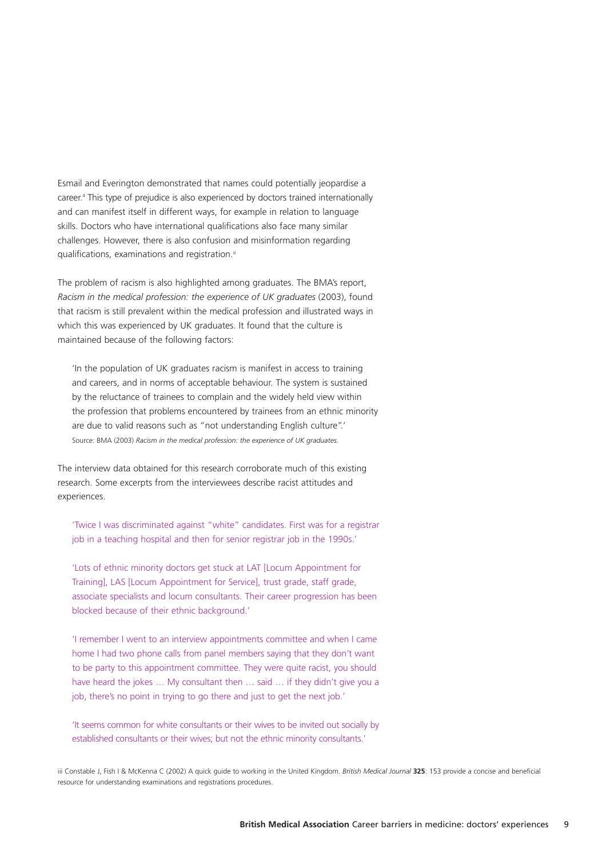Esmail and Everington demonstrated that names could potentially jeopardise a career.4 This type of prejudice is also experienced by doctors trained internationally and can manifest itself in different ways, for example in relation to language skills. Doctors who have international qualifications also face many similar challenges. However, there is also confusion and misinformation regarding qualifications, examinations and registration.<sup>iii</sup>

The problem of racism is also highlighted among graduates. The BMA's report, *Racism in the medical profession: the experience of UK graduates* (2003), found that racism is still prevalent within the medical profession and illustrated ways in which this was experienced by UK graduates. It found that the culture is maintained because of the following factors:

'In the population of UK graduates racism is manifest in access to training and careers, and in norms of acceptable behaviour. The system is sustained by the reluctance of trainees to complain and the widely held view within the profession that problems encountered by trainees from an ethnic minority are due to valid reasons such as "not understanding English culture".' Source: BMA (2003) *Racism in the medical profession: the experience of UK graduates.*

The interview data obtained for this research corroborate much of this existing research. Some excerpts from the interviewees describe racist attitudes and experiences.

'Twice I was discriminated against "white" candidates. First was for a registrar job in a teaching hospital and then for senior registrar job in the 1990s.'

'Lots of ethnic minority doctors get stuck at LAT [Locum Appointment for Training], LAS [Locum Appointment for Service], trust grade, staff grade, associate specialists and locum consultants. Their career progression has been blocked because of their ethnic background.'

'I remember I went to an interview appointments committee and when I came home I had two phone calls from panel members saying that they don't want to be party to this appointment committee. They were quite racist, you should have heard the jokes ... My consultant then ... said ... if they didn't give you a job, there's no point in trying to go there and just to get the next job.'

'It seems common for white consultants or their wives to be invited out socially by established consultants or their wives; but not the ethnic minority consultants.'

iii Constable J, Fish I & McKenna C (2002) A quick guide to working in the United Kingdom. *British Medical Journal* **325**: 153 provide a concise and beneficial resource for understanding examinations and registrations procedures.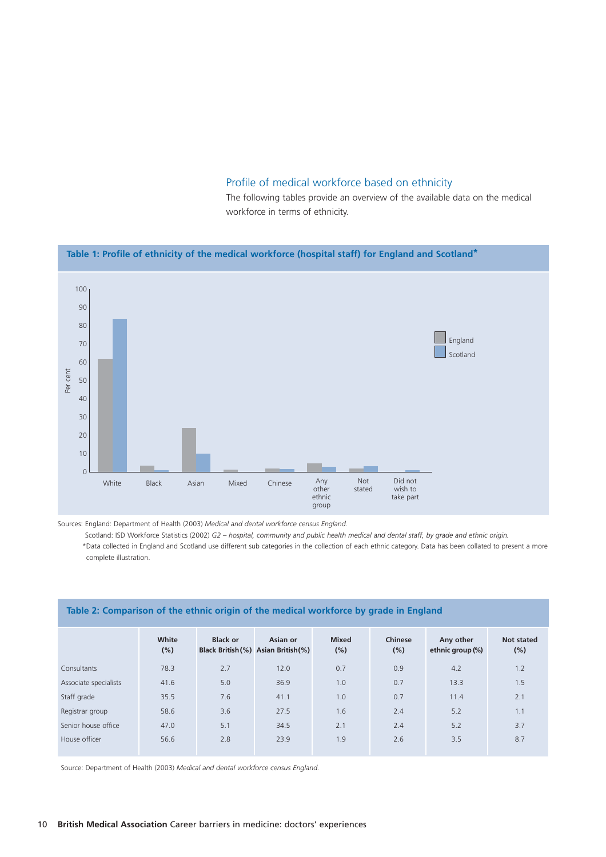#### Profile of medical workforce based on ethnicity

The following tables provide an overview of the available data on the medical workforce in terms of ethnicity.

#### **Table 1: Profile of ethnicity of the medical workforce (hospital staff) for England and Scotland\*** 100 90 80 70 60 50 40 30  $20$ 10 0  $\Box$  England Scotland White Black Asian Mixed Chinese Any<br>other ethnic group Not stated Did not wish to take part Per cent

Sources: England: Department of Health (2003) *Medical and dental workforce census England.*

Scotland: ISD Workforce Statistics (2002) *G2 – hospital, community and public health medical and dental staff, by grade and ethnic origin.*

\*Data collected in England and Scotland use different sub categories in the collection of each ethnic category. Data has been collated to present a more complete illustration.

| Table 2: Comparison of the ethnic origin of the medical workforce by grade in England |              |                 |                                                 |                         |                |                               |                   |  |
|---------------------------------------------------------------------------------------|--------------|-----------------|-------------------------------------------------|-------------------------|----------------|-------------------------------|-------------------|--|
|                                                                                       | White<br>(%) | <b>Black or</b> | Asian or<br>Black British (%) Asian British (%) | <b>Mixed</b><br>$(\% )$ | Chinese<br>(%) | Any other<br>ethnic group (%) | Not stated<br>(%) |  |
| Consultants                                                                           | 78.3         | 2.7             | 12.0                                            | 0.7                     | 0.9            | 4.2                           | 1.2               |  |
| Associate specialists                                                                 | 41.6         | 5.0             | 36.9                                            | 1.0                     | 0.7            | 13.3                          | 1.5               |  |
| Staff grade                                                                           | 35.5         | 7.6             | 41.1                                            | 1.0                     | 0.7            | 11.4                          | 2.1               |  |
| Registrar group                                                                       | 58.6         | 3.6             | 27.5                                            | 1.6                     | 2.4            | 5.2                           | 1.1               |  |
| Senior house office                                                                   | 47.0         | 5.1             | 34.5                                            | 2.1                     | 2.4            | 5.2                           | 3.7               |  |
| House officer                                                                         | 56.6         | 2.8             | 23.9                                            | 1.9                     | 2.6            | 3.5                           | 8.7               |  |

Source: Department of Health (2003) *Medical and dental workforce census England.*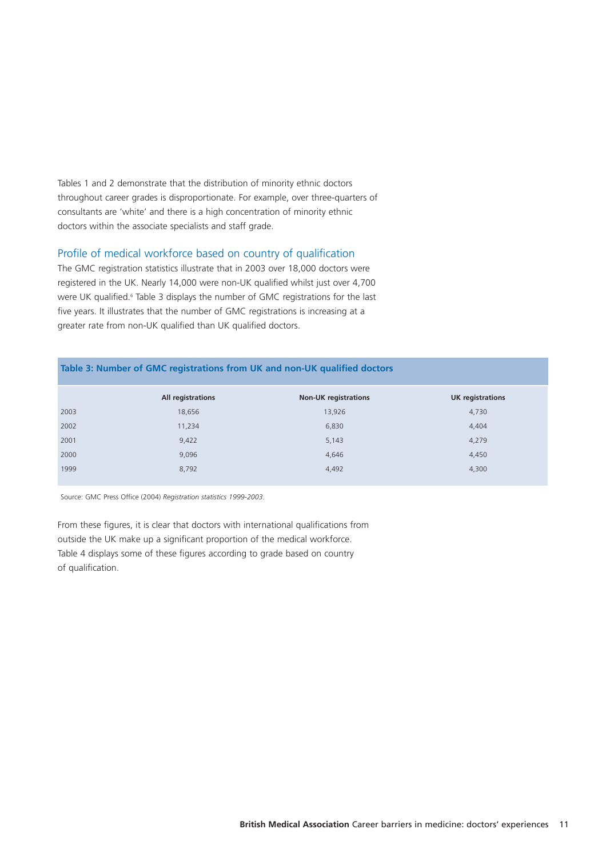Tables 1 and 2 demonstrate that the distribution of minority ethnic doctors throughout career grades is disproportionate. For example, over three-quarters of consultants are 'white' and there is a high concentration of minority ethnic doctors within the associate specialists and staff grade.

#### Profile of medical workforce based on country of qualification

The GMC registration statistics illustrate that in 2003 over 18,000 doctors were registered in the UK. Nearly 14,000 were non-UK qualified whilst just over 4,700 were UK qualified.<sup>6</sup> Table 3 displays the number of GMC registrations for the last five years. It illustrates that the number of GMC registrations is increasing at a greater rate from non-UK qualified than UK qualified doctors.

| Table 3: Number of GMC registrations from UK and non-UK qualified doctors |                   |                             |                         |  |  |  |  |
|---------------------------------------------------------------------------|-------------------|-----------------------------|-------------------------|--|--|--|--|
|                                                                           | All registrations | <b>Non-UK registrations</b> | <b>UK</b> registrations |  |  |  |  |
| 2003                                                                      | 18,656            | 13,926                      | 4,730                   |  |  |  |  |
| 2002                                                                      | 11,234            | 6,830                       | 4,404                   |  |  |  |  |
| 2001                                                                      | 9,422             | 5,143                       | 4,279                   |  |  |  |  |
| 2000                                                                      | 9.096             | 4,646                       | 4,450                   |  |  |  |  |
| 1999                                                                      | 8,792             | 4,492                       | 4,300                   |  |  |  |  |

Source: GMC Press Office (2004) *Registration statistics 1999-2003.*

From these figures, it is clear that doctors with international qualifications from outside the UK make up a significant proportion of the medical workforce. Table 4 displays some of these figures according to grade based on country of qualification.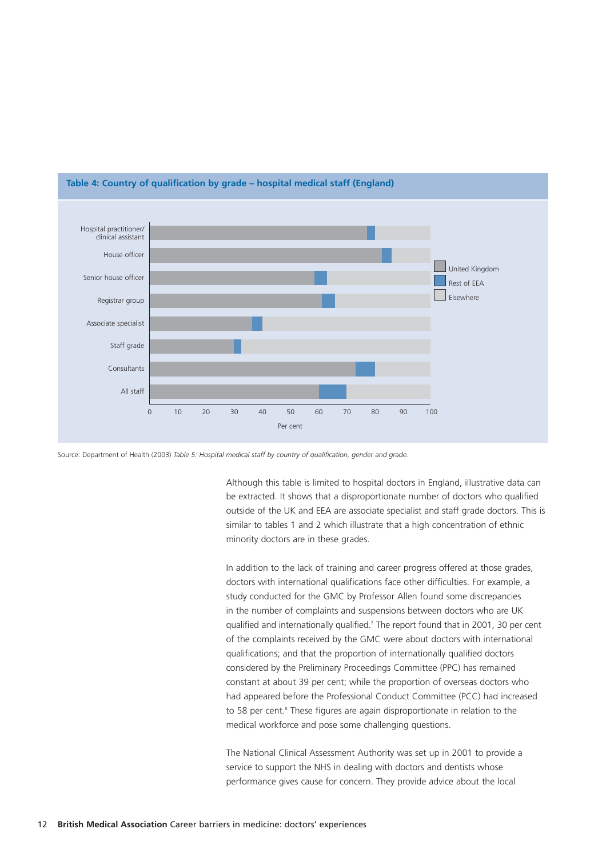

#### **Table 4: Country of qualification by grade – hospital medical staff (England)**

Source: Department of Health (2003) *Table 5: Hospital medical staff by country of qualification, gender and grade.*

Although this table is limited to hospital doctors in England, illustrative data can be extracted. It shows that a disproportionate number of doctors who qualified outside of the UK and EEA are associate specialist and staff grade doctors. This is similar to tables 1 and 2 which illustrate that a high concentration of ethnic minority doctors are in these grades.

In addition to the lack of training and career progress offered at those grades, doctors with international qualifications face other difficulties. For example, a study conducted for the GMC by Professor Allen found some discrepancies in the number of complaints and suspensions between doctors who are UK qualified and internationally qualified.<sup>7</sup> The report found that in 2001, 30 per cent of the complaints received by the GMC were about doctors with international qualifications; and that the proportion of internationally qualified doctors considered by the Preliminary Proceedings Committee (PPC) has remained constant at about 39 per cent; while the proportion of overseas doctors who had appeared before the Professional Conduct Committee (PCC) had increased to 58 per cent.<sup>8</sup> These figures are again disproportionate in relation to the medical workforce and pose some challenging questions.

The National Clinical Assessment Authority was set up in 2001 to provide a service to support the NHS in dealing with doctors and dentists whose performance gives cause for concern. They provide advice about the local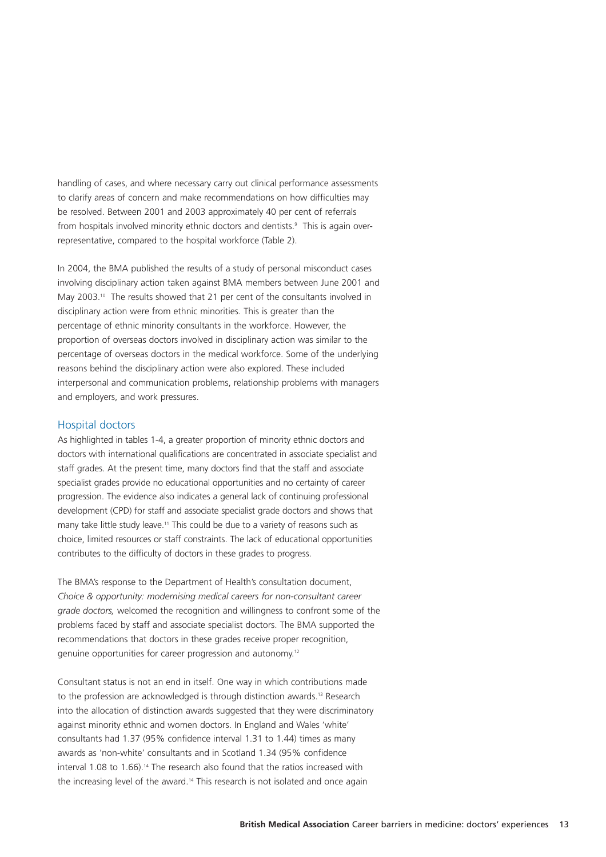handling of cases, and where necessary carry out clinical performance assessments to clarify areas of concern and make recommendations on how difficulties may be resolved. Between 2001 and 2003 approximately 40 per cent of referrals from hospitals involved minority ethnic doctors and dentists.9 This is again overrepresentative, compared to the hospital workforce (Table 2).

In 2004, the BMA published the results of a study of personal misconduct cases involving disciplinary action taken against BMA members between June 2001 and May 2003.<sup>10</sup> The results showed that 21 per cent of the consultants involved in disciplinary action were from ethnic minorities. This is greater than the percentage of ethnic minority consultants in the workforce. However, the proportion of overseas doctors involved in disciplinary action was similar to the percentage of overseas doctors in the medical workforce. Some of the underlying reasons behind the disciplinary action were also explored. These included interpersonal and communication problems, relationship problems with managers and employers, and work pressures.

#### Hospital doctors

As highlighted in tables 1-4, a greater proportion of minority ethnic doctors and doctors with international qualifications are concentrated in associate specialist and staff grades. At the present time, many doctors find that the staff and associate specialist grades provide no educational opportunities and no certainty of career progression. The evidence also indicates a general lack of continuing professional development (CPD) for staff and associate specialist grade doctors and shows that many take little study leave.<sup>11</sup> This could be due to a variety of reasons such as choice, limited resources or staff constraints. The lack of educational opportunities contributes to the difficulty of doctors in these grades to progress.

The BMA's response to the Department of Health's consultation document, *Choice & opportunity: modernising medical careers for non-consultant career grade doctors,* welcomed the recognition and willingness to confront some of the problems faced by staff and associate specialist doctors. The BMA supported the recommendations that doctors in these grades receive proper recognition, genuine opportunities for career progression and autonomy.12

Consultant status is not an end in itself. One way in which contributions made to the profession are acknowledged is through distinction awards.<sup>13</sup> Research into the allocation of distinction awards suggested that they were discriminatory against minority ethnic and women doctors. In England and Wales 'white' consultants had 1.37 (95% confidence interval 1.31 to 1.44) times as many awards as 'non-white' consultants and in Scotland 1.34 (95% confidence interval 1.08 to 1.66).<sup>14</sup> The research also found that the ratios increased with the increasing level of the award.<sup>14</sup> This research is not isolated and once again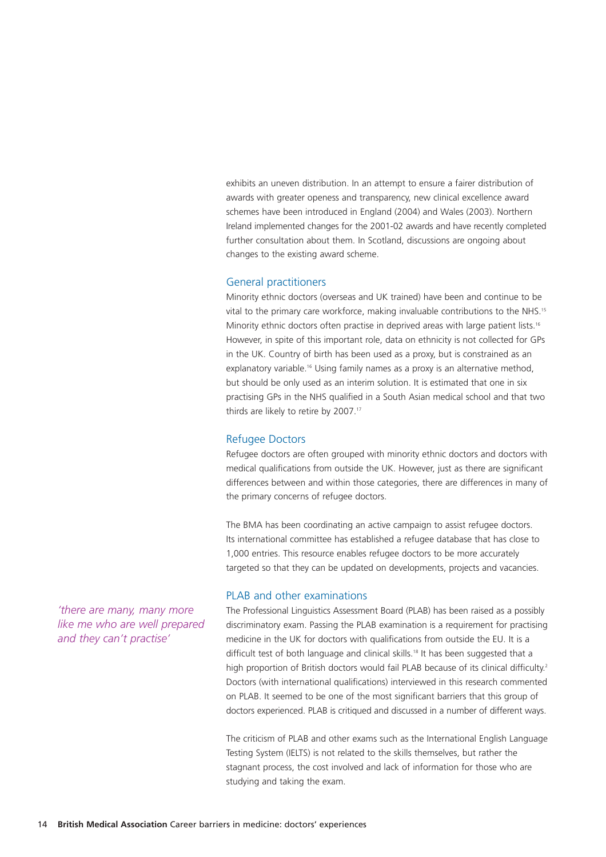exhibits an uneven distribution. In an attempt to ensure a fairer distribution of awards with greater openess and transparency, new clinical excellence award schemes have been introduced in England (2004) and Wales (2003). Northern Ireland implemented changes for the 2001-02 awards and have recently completed further consultation about them. In Scotland, discussions are ongoing about changes to the existing award scheme.

#### General practitioners

Minority ethnic doctors (overseas and UK trained) have been and continue to be vital to the primary care workforce, making invaluable contributions to the NHS.15 Minority ethnic doctors often practise in deprived areas with large patient lists.<sup>16</sup> However, in spite of this important role, data on ethnicity is not collected for GPs in the UK. Country of birth has been used as a proxy, but is constrained as an explanatory variable.<sup>16</sup> Using family names as a proxy is an alternative method, but should be only used as an interim solution. It is estimated that one in six practising GPs in the NHS qualified in a South Asian medical school and that two thirds are likely to retire by 2007.<sup>17</sup>

#### Refugee Doctors

Refugee doctors are often grouped with minority ethnic doctors and doctors with medical qualifications from outside the UK. However, just as there are significant differences between and within those categories, there are differences in many of the primary concerns of refugee doctors.

The BMA has been coordinating an active campaign to assist refugee doctors. Its international committee has established a refugee database that has close to 1,000 entries. This resource enables refugee doctors to be more accurately targeted so that they can be updated on developments, projects and vacancies.

#### PLAB and other examinations

The Professional Linguistics Assessment Board (PLAB) has been raised as a possibly discriminatory exam. Passing the PLAB examination is a requirement for practising medicine in the UK for doctors with qualifications from outside the EU. It is a difficult test of both language and clinical skills.<sup>18</sup> It has been suggested that a high proportion of British doctors would fail PLAB because of its clinical difficulty.<sup>2</sup> Doctors (with international qualifications) interviewed in this research commented on PLAB. It seemed to be one of the most significant barriers that this group of doctors experienced. PLAB is critiqued and discussed in a number of different ways.

The criticism of PLAB and other exams such as the International English Language Testing System (IELTS) is not related to the skills themselves, but rather the stagnant process, the cost involved and lack of information for those who are studying and taking the exam.

*'there are many, many more like me who are well prepared and they can't practise'*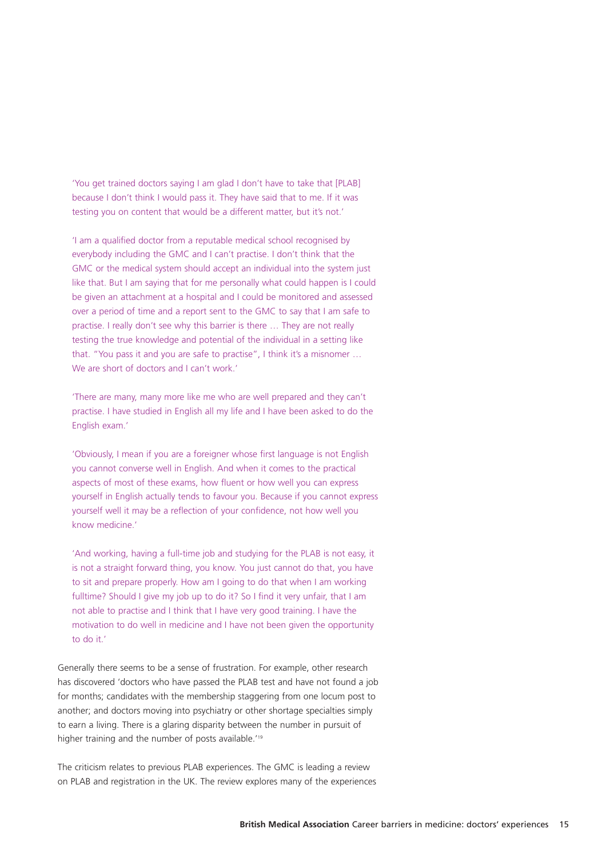'You get trained doctors saying I am glad I don't have to take that [PLAB] because I don't think I would pass it. They have said that to me. If it was testing you on content that would be a different matter, but it's not.'

'I am a qualified doctor from a reputable medical school recognised by everybody including the GMC and I can't practise. I don't think that the GMC or the medical system should accept an individual into the system just like that. But I am saying that for me personally what could happen is I could be given an attachment at a hospital and I could be monitored and assessed over a period of time and a report sent to the GMC to say that I am safe to practise. I really don't see why this barrier is there … They are not really testing the true knowledge and potential of the individual in a setting like that. "You pass it and you are safe to practise", I think it's a misnomer … We are short of doctors and I can't work.'

'There are many, many more like me who are well prepared and they can't practise. I have studied in English all my life and I have been asked to do the English exam.'

'Obviously, I mean if you are a foreigner whose first language is not English you cannot converse well in English. And when it comes to the practical aspects of most of these exams, how fluent or how well you can express yourself in English actually tends to favour you. Because if you cannot express yourself well it may be a reflection of your confidence, not how well you know medicine.'

'And working, having a full-time job and studying for the PLAB is not easy, it is not a straight forward thing, you know. You just cannot do that, you have to sit and prepare properly. How am I going to do that when I am working fulltime? Should I give my job up to do it? So I find it very unfair, that I am not able to practise and I think that I have very good training. I have the motivation to do well in medicine and I have not been given the opportunity to do it.'

Generally there seems to be a sense of frustration. For example, other research has discovered 'doctors who have passed the PLAB test and have not found a job for months; candidates with the membership staggering from one locum post to another; and doctors moving into psychiatry or other shortage specialties simply to earn a living. There is a glaring disparity between the number in pursuit of higher training and the number of posts available.<sup>19</sup>

The criticism relates to previous PLAB experiences. The GMC is leading a review on PLAB and registration in the UK. The review explores many of the experiences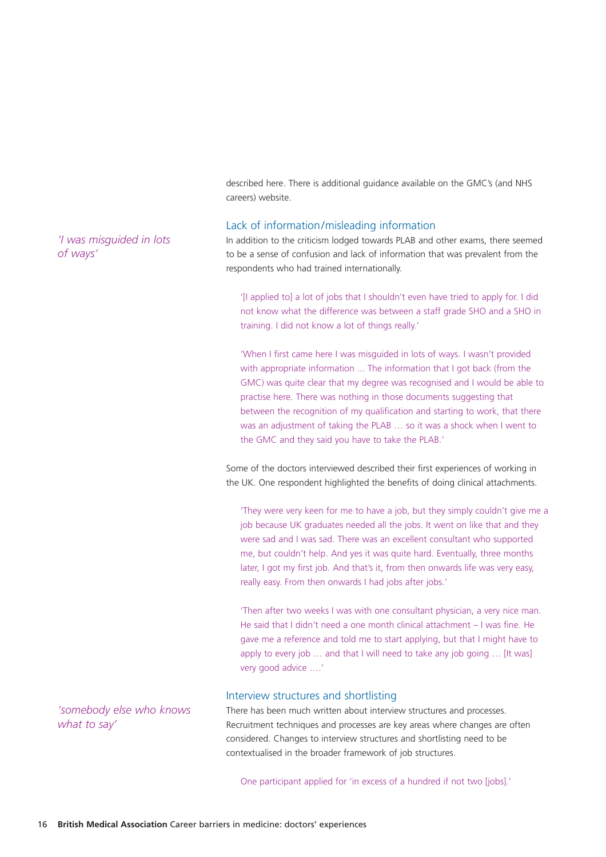described here. There is additional guidance available on the GMC's (and NHS careers) website.

#### Lack of information/misleading information

In addition to the criticism lodged towards PLAB and other exams, there seemed to be a sense of confusion and lack of information that was prevalent from the respondents who had trained internationally.

'[I applied to] a lot of jobs that I shouldn't even have tried to apply for. I did not know what the difference was between a staff grade SHO and a SHO in training. I did not know a lot of things really.'

'When I first came here I was misguided in lots of ways. I wasn't provided with appropriate information ... The information that I got back (from the GMC) was quite clear that my degree was recognised and I would be able to practise here. There was nothing in those documents suggesting that between the recognition of my qualification and starting to work, that there was an adjustment of taking the PLAB … so it was a shock when I went to the GMC and they said you have to take the PLAB.'

Some of the doctors interviewed described their first experiences of working in the UK. One respondent highlighted the benefits of doing clinical attachments.

'They were very keen for me to have a job, but they simply couldn't give me a job because UK graduates needed all the jobs. It went on like that and they were sad and I was sad. There was an excellent consultant who supported me, but couldn't help. And yes it was quite hard. Eventually, three months later, I got my first job. And that's it, from then onwards life was very easy, really easy. From then onwards I had jobs after jobs.'

'Then after two weeks I was with one consultant physician, a very nice man. He said that I didn't need a one month clinical attachment – I was fine. He gave me a reference and told me to start applying, but that I might have to apply to every job ... and that I will need to take any job going ... [It was] very good advice ….'

#### Interview structures and shortlisting

There has been much written about interview structures and processes. Recruitment techniques and processes are key areas where changes are often considered. Changes to interview structures and shortlisting need to be contextualised in the broader framework of job structures.

One participant applied for 'in excess of a hundred if not two [jobs].'

*'I was misguided in lots of ways'*

*'somebody else who knows what to say'*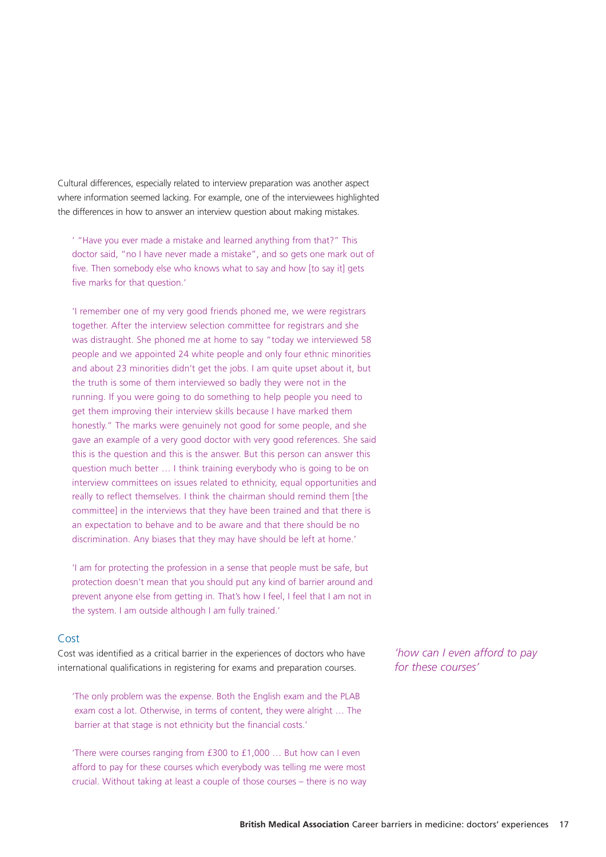Cultural differences, especially related to interview preparation was another aspect where information seemed lacking. For example, one of the interviewees highlighted the differences in how to answer an interview question about making mistakes.

' "Have you ever made a mistake and learned anything from that?" This doctor said, "no I have never made a mistake", and so gets one mark out of five. Then somebody else who knows what to say and how [to say it] gets five marks for that question.'

'I remember one of my very good friends phoned me, we were registrars together. After the interview selection committee for registrars and she was distraught. She phoned me at home to say "today we interviewed 58 people and we appointed 24 white people and only four ethnic minorities and about 23 minorities didn't get the jobs. I am quite upset about it, but the truth is some of them interviewed so badly they were not in the running. If you were going to do something to help people you need to get them improving their interview skills because I have marked them honestly." The marks were genuinely not good for some people, and she gave an example of a very good doctor with very good references. She said this is the question and this is the answer. But this person can answer this question much better … I think training everybody who is going to be on interview committees on issues related to ethnicity, equal opportunities and really to reflect themselves. I think the chairman should remind them [the committee] in the interviews that they have been trained and that there is an expectation to behave and to be aware and that there should be no discrimination. Any biases that they may have should be left at home.'

'I am for protecting the profession in a sense that people must be safe, but protection doesn't mean that you should put any kind of barrier around and prevent anyone else from getting in. That's how I feel, I feel that I am not in the system. I am outside although I am fully trained.'

#### Cost

Cost was identified as a critical barrier in the experiences of doctors who have international qualifications in registering for exams and preparation courses.

'The only problem was the expense. Both the English exam and the PLAB exam cost a lot. Otherwise, in terms of content, they were alright … The barrier at that stage is not ethnicity but the financial costs.'

'There were courses ranging from £300 to £1,000 … But how can I even afford to pay for these courses which everybody was telling me were most crucial. Without taking at least a couple of those courses – there is no way

*'how can I even afford to pay for these courses'*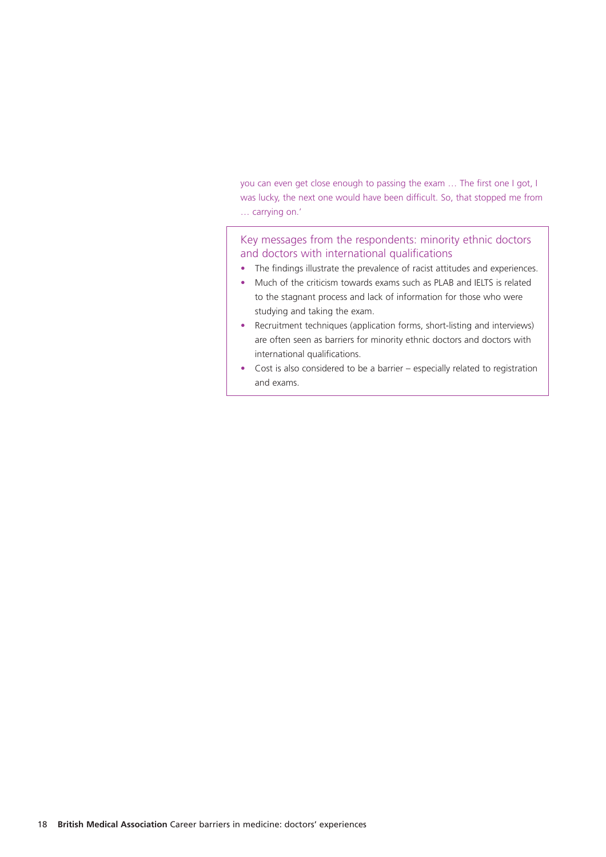you can even get close enough to passing the exam … The first one I got, I was lucky, the next one would have been difficult. So, that stopped me from … carrying on.'

#### Key messages from the respondents: minority ethnic doctors and doctors with international qualifications

- The findings illustrate the prevalence of racist attitudes and experiences.
- Much of the criticism towards exams such as PLAB and IELTS is related to the stagnant process and lack of information for those who were studying and taking the exam.
- Recruitment techniques (application forms, short-listing and interviews) are often seen as barriers for minority ethnic doctors and doctors with international qualifications.
- Cost is also considered to be a barrier especially related to registration and exams.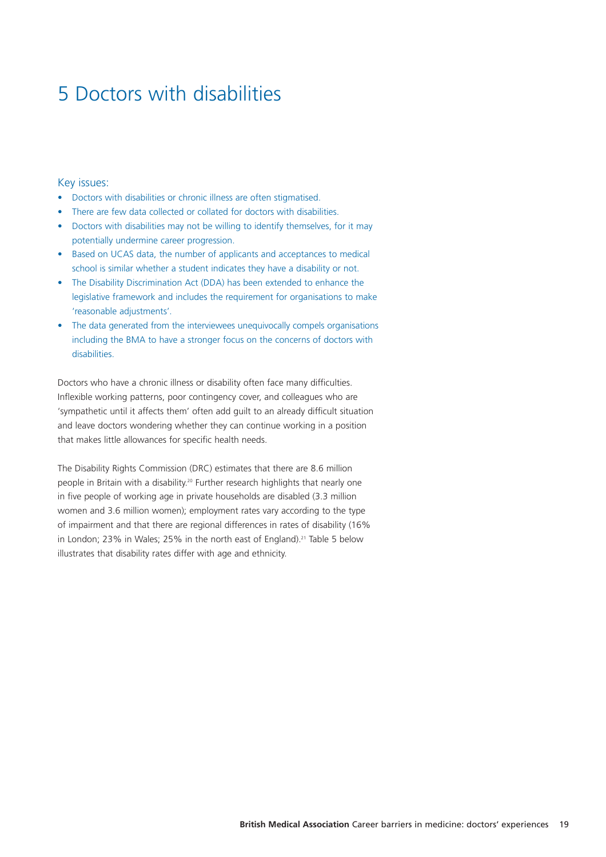# 5 Doctors with disabilities

#### Key issues:

- Doctors with disabilities or chronic illness are often stigmatised.
- There are few data collected or collated for doctors with disabilities.
- Doctors with disabilities may not be willing to identify themselves, for it may potentially undermine career progression.
- Based on UCAS data, the number of applicants and acceptances to medical school is similar whether a student indicates they have a disability or not.
- The Disability Discrimination Act (DDA) has been extended to enhance the legislative framework and includes the requirement for organisations to make 'reasonable adjustments'.
- The data generated from the interviewees unequivocally compels organisations including the BMA to have a stronger focus on the concerns of doctors with disabilities.

Doctors who have a chronic illness or disability often face many difficulties. Inflexible working patterns, poor contingency cover, and colleagues who are 'sympathetic until it affects them' often add guilt to an already difficult situation and leave doctors wondering whether they can continue working in a position that makes little allowances for specific health needs.

The Disability Rights Commission (DRC) estimates that there are 8.6 million people in Britain with a disability.<sup>20</sup> Further research highlights that nearly one in five people of working age in private households are disabled (3.3 million women and 3.6 million women); employment rates vary according to the type of impairment and that there are regional differences in rates of disability (16% in London; 23% in Wales; 25% in the north east of England).<sup>21</sup> Table 5 below illustrates that disability rates differ with age and ethnicity.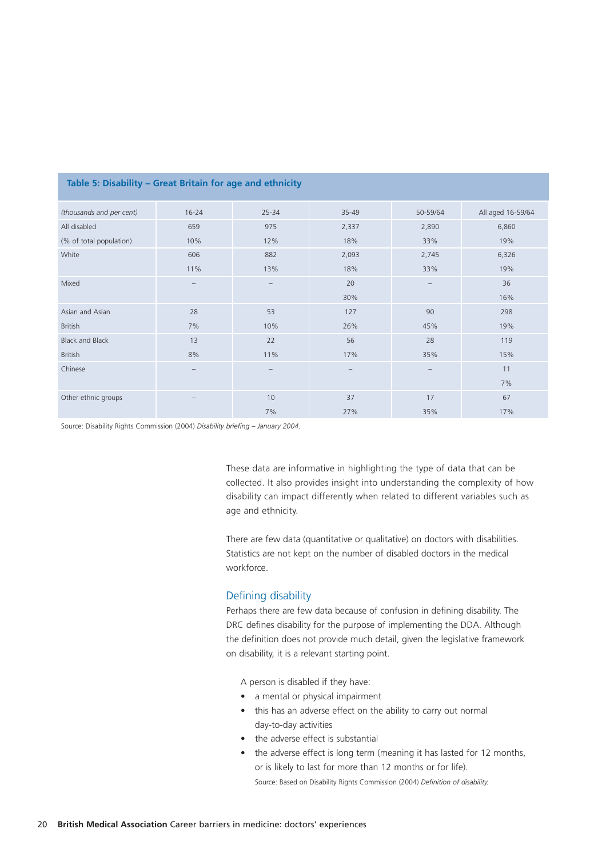| (thousands and per cent) | $16 - 24$                       | 25-34             | $35 - 49$ | 50-59/64                     | All aged 16-59/64 |
|--------------------------|---------------------------------|-------------------|-----------|------------------------------|-------------------|
| All disabled             | 659                             | 975               | 2,337     | 2,890                        | 6,860             |
| (% of total population)  | 10%                             | 12%               | 18%       | 33%                          | 19%               |
| White                    | 606                             | 882               | 2,093     | 2,745                        | 6,326             |
|                          | 11%                             | 13%               | 18%       | 33%                          | 19%               |
| Mixed                    | $\hspace{0.1mm}-\hspace{0.1mm}$ | $\qquad \qquad -$ | 20        | $\qquad \qquad \blacksquare$ | 36                |
|                          |                                 |                   | 30%       |                              | 16%               |
| Asian and Asian          | 28                              | 53                | 127       | 90                           | 298               |
| <b>British</b>           | 7%                              | 10%               | 26%       | 45%                          | 19%               |
| <b>Black and Black</b>   | 13                              | 22                | 56        | 28                           | 119               |
| <b>British</b>           | 8%                              | 11%               | 17%       | 35%                          | 15%               |
| Chinese                  | $\overline{\phantom{a}}$        | $\qquad \qquad -$ | -         |                              | 11                |
|                          |                                 |                   |           |                              | 7%                |
| Other ethnic groups      | $\qquad \qquad -$               | 10                | 37        | 17                           | 67                |
|                          |                                 | 7%                | 27%       | 35%                          | 17%               |

#### **Table 5: Disability – Great Britain for age and ethnicity**

Source: Disability Rights Commission (2004) *Disability briefing – January 2004.* 

These data are informative in highlighting the type of data that can be collected. It also provides insight into understanding the complexity of how disability can impact differently when related to different variables such as age and ethnicity.

There are few data (quantitative or qualitative) on doctors with disabilities. Statistics are not kept on the number of disabled doctors in the medical workforce.

#### Defining disability

Perhaps there are few data because of confusion in defining disability. The DRC defines disability for the purpose of implementing the DDA. Although the definition does not provide much detail, given the legislative framework on disability, it is a relevant starting point.

A person is disabled if they have:

- a mental or physical impairment
- this has an adverse effect on the ability to carry out normal day-to-day activities
- the adverse effect is substantial
- the adverse effect is long term (meaning it has lasted for 12 months, or is likely to last for more than 12 months or for life). Source: Based on Disability Rights Commission (2004) *Definition of disability.*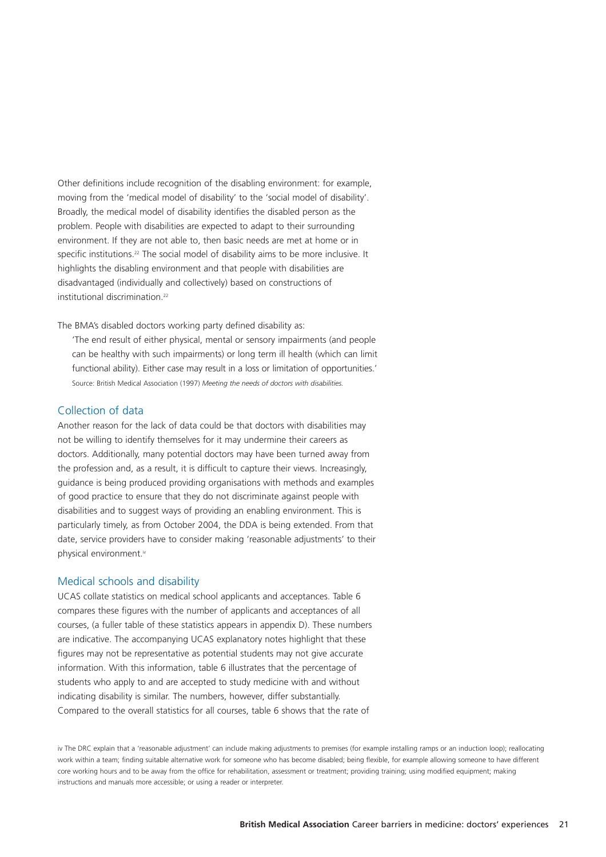Other definitions include recognition of the disabling environment: for example, moving from the 'medical model of disability' to the 'social model of disability'. Broadly, the medical model of disability identifies the disabled person as the problem. People with disabilities are expected to adapt to their surrounding environment. If they are not able to, then basic needs are met at home or in specific institutions.<sup>22</sup> The social model of disability aims to be more inclusive. It highlights the disabling environment and that people with disabilities are disadvantaged (individually and collectively) based on constructions of institutional discrimination<sup>22</sup>

The BMA's disabled doctors working party defined disability as:

'The end result of either physical, mental or sensory impairments (and people can be healthy with such impairments) or long term ill health (which can limit functional ability). Either case may result in a loss or limitation of opportunities.' Source: British Medical Association (1997) *Meeting the needs of doctors with disabilities.* 

#### Collection of data

Another reason for the lack of data could be that doctors with disabilities may not be willing to identify themselves for it may undermine their careers as doctors. Additionally, many potential doctors may have been turned away from the profession and, as a result, it is difficult to capture their views. Increasingly, guidance is being produced providing organisations with methods and examples of good practice to ensure that they do not discriminate against people with disabilities and to suggest ways of providing an enabling environment. This is particularly timely, as from October 2004, the DDA is being extended. From that date, service providers have to consider making 'reasonable adjustments' to their physical environment.<sup>iv</sup>

#### Medical schools and disability

UCAS collate statistics on medical school applicants and acceptances. Table 6 compares these figures with the number of applicants and acceptances of all courses, (a fuller table of these statistics appears in appendix D). These numbers are indicative. The accompanying UCAS explanatory notes highlight that these figures may not be representative as potential students may not give accurate information. With this information, table 6 illustrates that the percentage of students who apply to and are accepted to study medicine with and without indicating disability is similar. The numbers, however, differ substantially. Compared to the overall statistics for all courses, table 6 shows that the rate of

iv The DRC explain that a 'reasonable adjustment' can include making adjustments to premises (for example installing ramps or an induction loop); reallocating work within a team; finding suitable alternative work for someone who has become disabled; being flexible, for example allowing someone to have different core working hours and to be away from the office for rehabilitation, assessment or treatment; providing training; using modified equipment; making instructions and manuals more accessible; or using a reader or interpreter.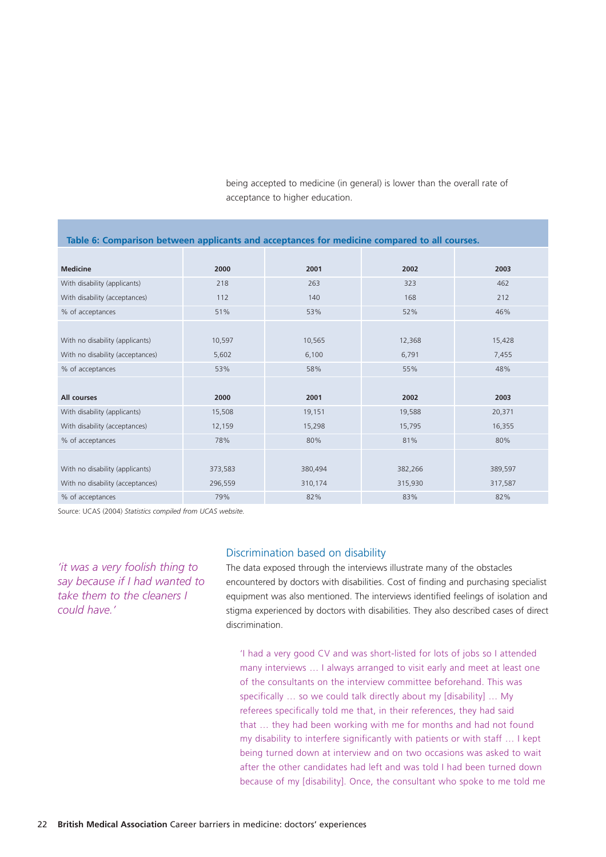being accepted to medicine (in general) is lower than the overall rate of acceptance to higher education.

| lable 0. Comparison between applicants and acceptances for ineurchie compared to an courses. |         |         |         |         |  |  |  |
|----------------------------------------------------------------------------------------------|---------|---------|---------|---------|--|--|--|
|                                                                                              |         |         |         |         |  |  |  |
| <b>Medicine</b>                                                                              | 2000    | 2001    | 2002    | 2003    |  |  |  |
| With disability (applicants)                                                                 | 218     | 263     | 323     | 462     |  |  |  |
| With disability (acceptances)                                                                | 112     | 140     | 168     | 212     |  |  |  |
| % of acceptances                                                                             | 51%     | 53%     | 52%     | 46%     |  |  |  |
|                                                                                              |         |         |         |         |  |  |  |
| With no disability (applicants)                                                              | 10,597  | 10,565  | 12,368  | 15,428  |  |  |  |
| With no disability (acceptances)                                                             | 5,602   | 6,100   | 6,791   | 7,455   |  |  |  |
| % of acceptances                                                                             | 53%     | 58%     | 55%     | 48%     |  |  |  |
|                                                                                              |         |         |         |         |  |  |  |
| All courses                                                                                  | 2000    | 2001    | 2002    | 2003    |  |  |  |
| With disability (applicants)                                                                 | 15,508  | 19,151  | 19,588  | 20,371  |  |  |  |
| With disability (acceptances)                                                                | 12,159  | 15,298  | 15,795  | 16,355  |  |  |  |
| % of acceptances                                                                             | 78%     | 80%     | 81%     | 80%     |  |  |  |
|                                                                                              |         |         |         |         |  |  |  |
| With no disability (applicants)                                                              | 373,583 | 380,494 | 382,266 | 389,597 |  |  |  |
| With no disability (acceptances)                                                             | 296,559 | 310,174 | 315,930 | 317,587 |  |  |  |
| % of acceptances                                                                             | 79%     | 82%     | 83%     | 82%     |  |  |  |

**Table 6: Comparison between applicants and acceptances for medicine compared to all courses.** 

Source: UCAS (2004) *Statistics compiled from UCAS website.*

*'it was a very foolish thing to say because if I had wanted to take them to the cleaners I could have.'*

#### Discrimination based on disability

The data exposed through the interviews illustrate many of the obstacles encountered by doctors with disabilities. Cost of finding and purchasing specialist equipment was also mentioned. The interviews identified feelings of isolation and stigma experienced by doctors with disabilities. They also described cases of direct discrimination.

'I had a very good CV and was short-listed for lots of jobs so I attended many interviews … I always arranged to visit early and meet at least one of the consultants on the interview committee beforehand. This was specifically … so we could talk directly about my [disability] … My referees specifically told me that, in their references, they had said that … they had been working with me for months and had not found my disability to interfere significantly with patients or with staff … I kept being turned down at interview and on two occasions was asked to wait after the other candidates had left and was told I had been turned down because of my [disability]. Once, the consultant who spoke to me told me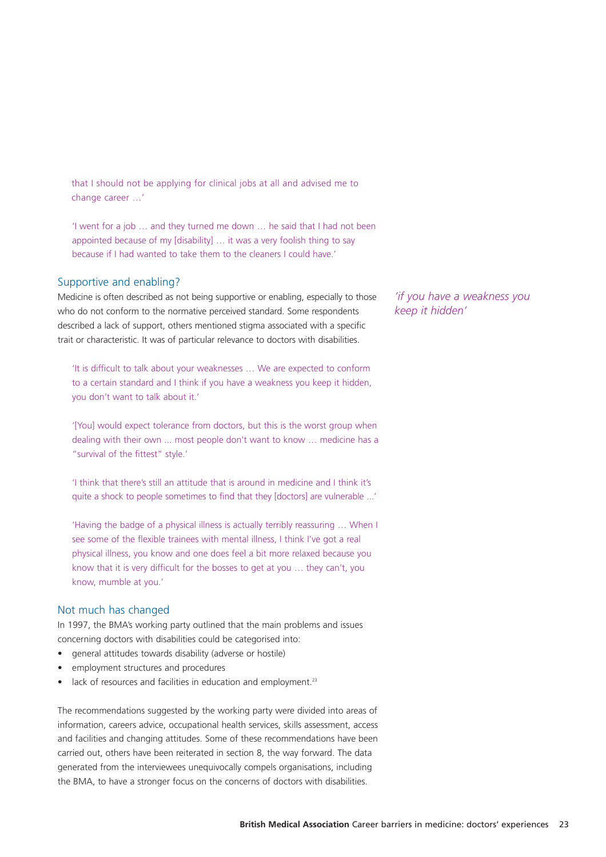that I should not be applying for clinical jobs at all and advised me to change career …'

'I went for a job … and they turned me down … he said that I had not been appointed because of my [disability] … it was a very foolish thing to say because if I had wanted to take them to the cleaners I could have.'

#### Supportive and enabling?

Medicine is often described as not being supportive or enabling, especially to those who do not conform to the normative perceived standard. Some respondents described a lack of support, others mentioned stigma associated with a specific trait or characteristic. It was of particular relevance to doctors with disabilities.

'It is difficult to talk about your weaknesses … We are expected to conform to a certain standard and I think if you have a weakness you keep it hidden, you don't want to talk about it.'

'[You] would expect tolerance from doctors, but this is the worst group when dealing with their own ... most people don't want to know … medicine has a "survival of the fittest" style.'

'I think that there's still an attitude that is around in medicine and I think it's quite a shock to people sometimes to find that they [doctors] are vulnerable ...'

'Having the badge of a physical illness is actually terribly reassuring … When I see some of the flexible trainees with mental illness, I think I've got a real physical illness, you know and one does feel a bit more relaxed because you know that it is very difficult for the bosses to get at you … they can't, you know, mumble at you.'

#### Not much has changed

In 1997, the BMA's working party outlined that the main problems and issues concerning doctors with disabilities could be categorised into:

- general attitudes towards disability (adverse or hostile)
- employment structures and procedures
- lack of resources and facilities in education and employment.<sup>23</sup>

The recommendations suggested by the working party were divided into areas of information, careers advice, occupational health services, skills assessment, access and facilities and changing attitudes. Some of these recommendations have been carried out, others have been reiterated in section 8, the way forward. The data generated from the interviewees unequivocally compels organisations, including the BMA, to have a stronger focus on the concerns of doctors with disabilities.

*'if you have a weakness you keep it hidden'*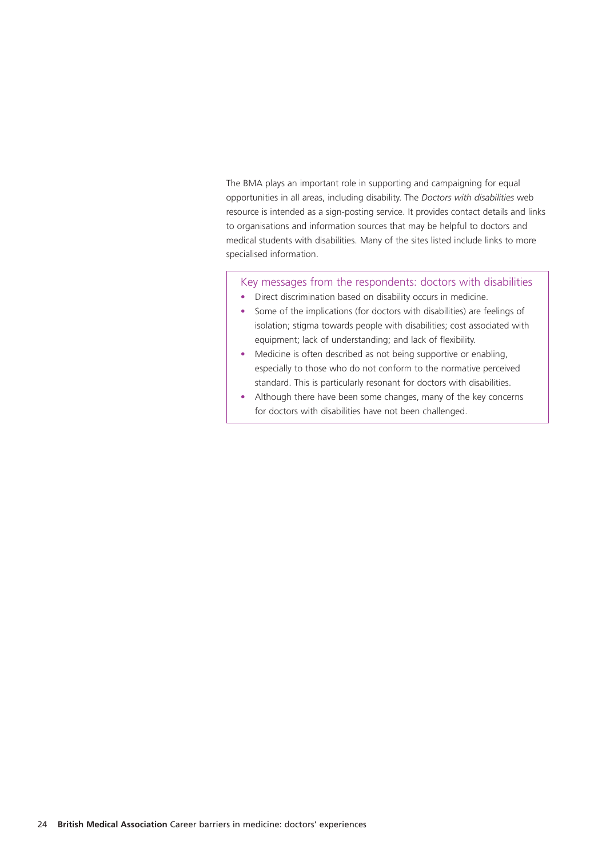The BMA plays an important role in supporting and campaigning for equal opportunities in all areas, including disability. The *Doctors with disabilities* web resource is intended as a sign-posting service. It provides contact details and links to organisations and information sources that may be helpful to doctors and medical students with disabilities. Many of the sites listed include links to more specialised information.

Key messages from the respondents: doctors with disabilities

- Direct discrimination based on disability occurs in medicine.
- Some of the implications (for doctors with disabilities) are feelings of isolation; stigma towards people with disabilities; cost associated with equipment; lack of understanding; and lack of flexibility.
- Medicine is often described as not being supportive or enabling. especially to those who do not conform to the normative perceived standard. This is particularly resonant for doctors with disabilities.
- Although there have been some changes, many of the key concerns for doctors with disabilities have not been challenged.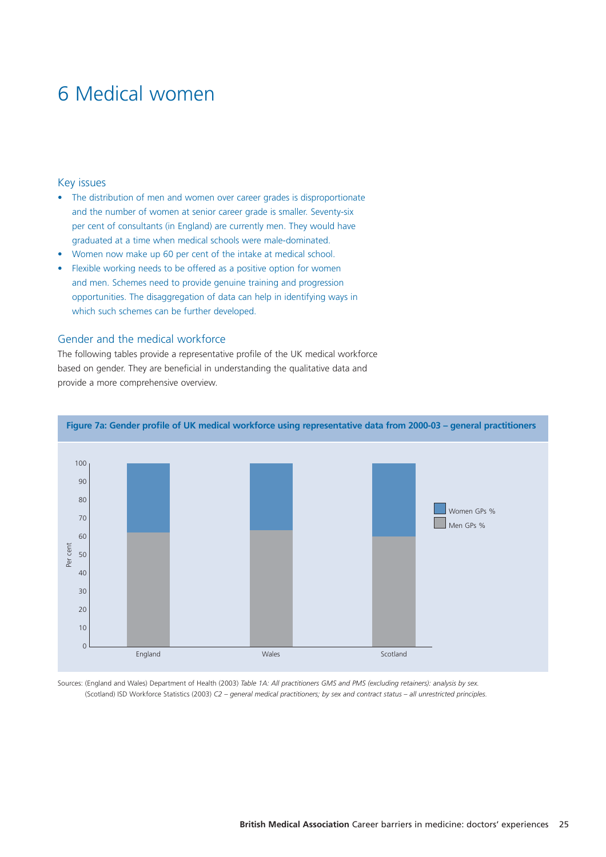### 6 Medical women

#### Key issues

- The distribution of men and women over career grades is disproportionate and the number of women at senior career grade is smaller. Seventy-six per cent of consultants (in England) are currently men. They would have graduated at a time when medical schools were male-dominated.
- Women now make up 60 per cent of the intake at medical school.
- Flexible working needs to be offered as a positive option for women and men. Schemes need to provide genuine training and progression opportunities. The disaggregation of data can help in identifying ways in which such schemes can be further developed.

#### Gender and the medical workforce

The following tables provide a representative profile of the UK medical workforce based on gender. They are beneficial in understanding the qualitative data and provide a more comprehensive overview.



Sources: (England and Wales) Department of Health (2003) *Table 1A: All practitioners GMS and PMS (excluding retainers): analysis by sex.* (Scotland) ISD Workforce Statistics (2003) *C2 – general medical practitioners; by sex and contract status – all unrestricted principles.*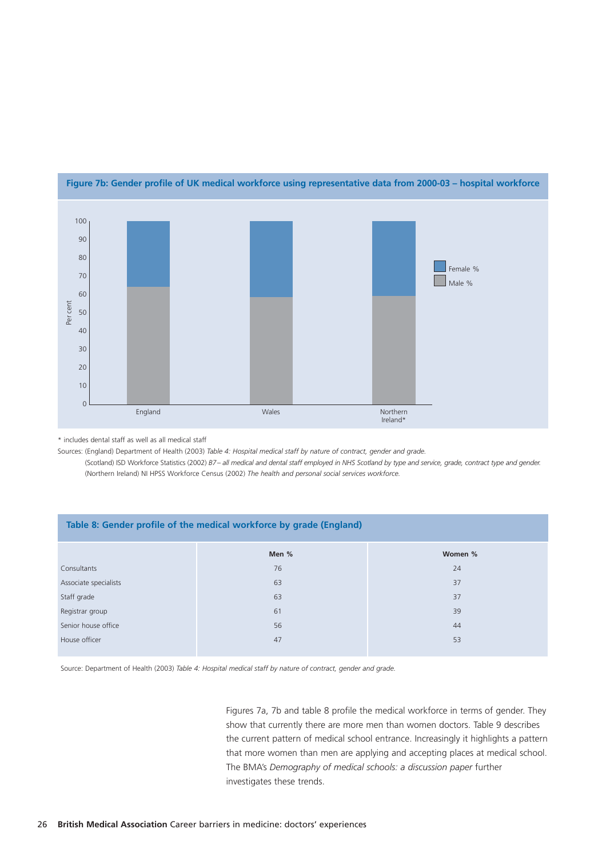![](_page_31_Figure_0.jpeg)

#### **Figure 7b: Gender profile of UK medical workforce using representative data from 2000-03 – hospital workforce**

| Per cent<br>50                                                                                                                                                                                                                                                                                                                                                                                                                                         |                       |                                                                     |                      |  |  |  |  |
|--------------------------------------------------------------------------------------------------------------------------------------------------------------------------------------------------------------------------------------------------------------------------------------------------------------------------------------------------------------------------------------------------------------------------------------------------------|-----------------------|---------------------------------------------------------------------|----------------------|--|--|--|--|
| 40                                                                                                                                                                                                                                                                                                                                                                                                                                                     |                       |                                                                     |                      |  |  |  |  |
| 30                                                                                                                                                                                                                                                                                                                                                                                                                                                     |                       |                                                                     |                      |  |  |  |  |
| 20                                                                                                                                                                                                                                                                                                                                                                                                                                                     |                       |                                                                     |                      |  |  |  |  |
| 10                                                                                                                                                                                                                                                                                                                                                                                                                                                     |                       |                                                                     |                      |  |  |  |  |
| $\mathbf 0$                                                                                                                                                                                                                                                                                                                                                                                                                                            | England               | Wales                                                               | Northern<br>Ireland* |  |  |  |  |
| * includes dental staff as well as all medical staff<br>Sources: (England) Department of Health (2003) Table 4: Hospital medical staff by nature of contract, gender and grade.<br>(Scotland) ISD Workforce Statistics (2002) B7- all medical and dental staff employed in NHS Scotland by type and service, grade, contract type and gender.<br>(Northern Ireland) NI HPSS Workforce Census (2002) The health and personal social services workforce. |                       |                                                                     |                      |  |  |  |  |
|                                                                                                                                                                                                                                                                                                                                                                                                                                                        |                       |                                                                     |                      |  |  |  |  |
|                                                                                                                                                                                                                                                                                                                                                                                                                                                        |                       | Table 8: Gender profile of the medical workforce by grade (England) |                      |  |  |  |  |
|                                                                                                                                                                                                                                                                                                                                                                                                                                                        |                       | Men %                                                               | Women %              |  |  |  |  |
| Consultants                                                                                                                                                                                                                                                                                                                                                                                                                                            |                       | 76                                                                  | 24                   |  |  |  |  |
|                                                                                                                                                                                                                                                                                                                                                                                                                                                        | Associate specialists | 63                                                                  | 37                   |  |  |  |  |
| Staff grade                                                                                                                                                                                                                                                                                                                                                                                                                                            |                       | 63                                                                  | 37                   |  |  |  |  |
| Registrar group                                                                                                                                                                                                                                                                                                                                                                                                                                        |                       | 61                                                                  | 39                   |  |  |  |  |
|                                                                                                                                                                                                                                                                                                                                                                                                                                                        | Senior house office   | 56                                                                  | 44                   |  |  |  |  |
| House officer                                                                                                                                                                                                                                                                                                                                                                                                                                          |                       | 47                                                                  | 53                   |  |  |  |  |

Figures 7a, 7b and table 8 profile the medical workforce in terms of gender. They show that currently there are more men than women doctors. Table 9 describes the current pattern of medical school entrance. Increasingly it highlights a pattern that more women than men are applying and accepting places at medical school. The BMA's *Demography of medical schools: a discussion paper* further investigates these trends.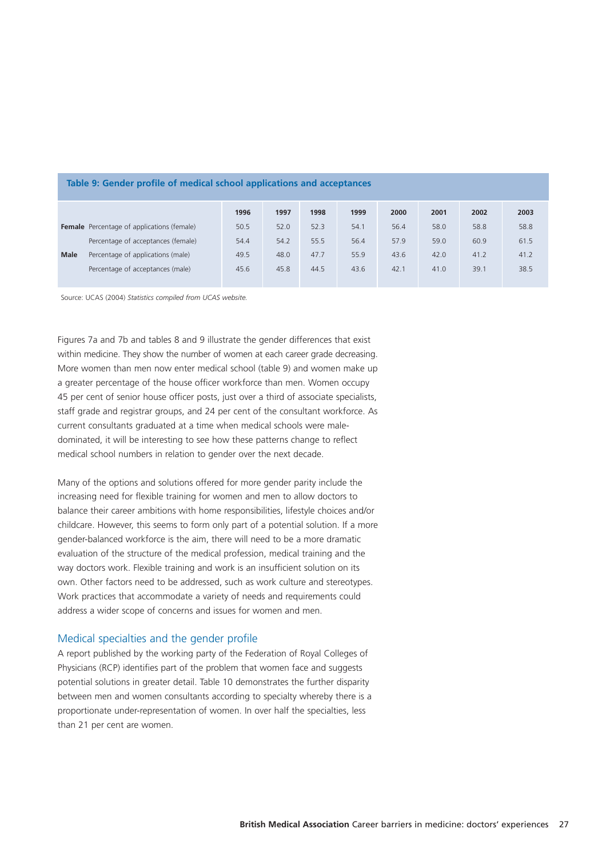|             |                                                   | 1996 | 1997 | 1998 | 1999 | 2000 | 2001 | 2002 | 2003 |
|-------------|---------------------------------------------------|------|------|------|------|------|------|------|------|
|             | <b>Female</b> Percentage of applications (female) | 50.5 | 52.0 | 52.3 | 54.1 | 56.4 | 58.0 | 58.8 | 58.8 |
|             | Percentage of acceptances (female)                | 54.4 | 54.2 | 55.5 | 56.4 | 57.9 | 59.0 | 60.9 | 61.5 |
| <b>Male</b> | Percentage of applications (male)                 | 49.5 | 48.0 | 47.7 | 55.9 | 43.6 | 42.0 | 41.2 | 41.2 |
|             | Percentage of acceptances (male)                  | 45.6 | 45.8 | 44.5 | 43.6 | 42.1 | 41.0 | 39.1 | 38.5 |
|             |                                                   |      |      |      |      |      |      |      |      |

#### **Table 9: Gender profile of medical school applications and acceptances**

Source: UCAS (2004) *Statistics compiled from UCAS website.*

Figures 7a and 7b and tables 8 and 9 illustrate the gender differences that exist within medicine. They show the number of women at each career grade decreasing. More women than men now enter medical school (table 9) and women make up a greater percentage of the house officer workforce than men. Women occupy 45 per cent of senior house officer posts, just over a third of associate specialists, staff grade and registrar groups, and 24 per cent of the consultant workforce. As current consultants graduated at a time when medical schools were maledominated, it will be interesting to see how these patterns change to reflect medical school numbers in relation to gender over the next decade.

Many of the options and solutions offered for more gender parity include the increasing need for flexible training for women and men to allow doctors to balance their career ambitions with home responsibilities, lifestyle choices and/or childcare. However, this seems to form only part of a potential solution. If a more gender-balanced workforce is the aim, there will need to be a more dramatic evaluation of the structure of the medical profession, medical training and the way doctors work. Flexible training and work is an insufficient solution on its own. Other factors need to be addressed, such as work culture and stereotypes. Work practices that accommodate a variety of needs and requirements could address a wider scope of concerns and issues for women and men.

#### Medical specialties and the gender profile

A report published by the working party of the Federation of Royal Colleges of Physicians (RCP) identifies part of the problem that women face and suggests potential solutions in greater detail. Table 10 demonstrates the further disparity between men and women consultants according to specialty whereby there is a proportionate under-representation of women. In over half the specialties, less than 21 per cent are women.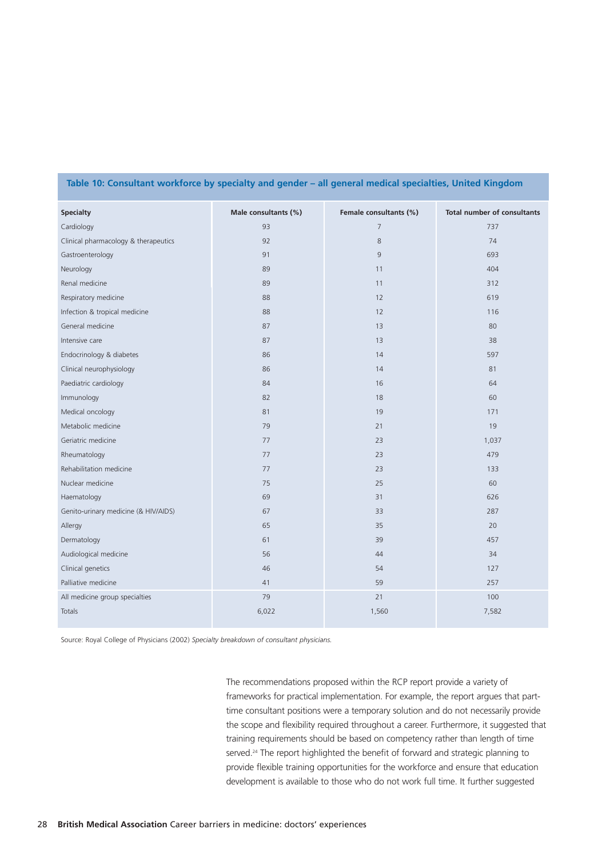| <b>Specialty</b>                     | Male consultants (%) | Female consultants (%) | <b>Total number of consultants</b> |
|--------------------------------------|----------------------|------------------------|------------------------------------|
| Cardiology                           | 93                   | $\overline{7}$         | 737                                |
| Clinical pharmacology & therapeutics | 92                   | 8                      | 74                                 |
| Gastroenterology                     | 91                   | 9                      | 693                                |
| Neurology                            | 89                   | 11                     | 404                                |
| Renal medicine                       | 89                   | 11                     | 312                                |
| Respiratory medicine                 | 88                   | 12                     | 619                                |
| Infection & tropical medicine        | 88                   | 12                     | 116                                |
| General medicine                     | 87                   | 13                     | 80                                 |
| Intensive care                       | 87                   | 13                     | 38                                 |
| Endocrinology & diabetes             | 86                   | 14                     | 597                                |
| Clinical neurophysiology             | 86                   | 14                     | 81                                 |
| Paediatric cardiology                | 84                   | 16                     | 64                                 |
| Immunology                           | 82                   | 18                     | 60                                 |
| Medical oncology                     | 81                   | 19                     | 171                                |
| Metabolic medicine                   | 79                   | 21                     | 19                                 |
| Geriatric medicine                   | 77                   | 23                     | 1,037                              |
| Rheumatology                         | 77                   | 23                     | 479                                |
| Rehabilitation medicine              | 77                   | 23                     | 133                                |
| Nuclear medicine                     | 75                   | 25                     | 60                                 |
| Haematology                          | 69                   | 31                     | 626                                |
| Genito-urinary medicine (& HIV/AIDS) | 67                   | 33                     | 287                                |
| Allergy                              | 65                   | 35                     | 20                                 |
| Dermatology                          | 61                   | 39                     | 457                                |
| Audiological medicine                | 56                   | 44                     | 34                                 |
| Clinical genetics                    | 46                   | 54                     | 127                                |
| Palliative medicine                  | 41                   | 59                     | 257                                |
| All medicine group specialties       | 79                   | 21                     | 100                                |
| Totals                               | 6,022                | 1,560                  | 7,582                              |

#### **Table 10: Consultant workforce by specialty and gender – all general medical specialties, United Kingdom**

Source: Royal College of Physicians (2002) *Specialty breakdown of consultant physicians.*

The recommendations proposed within the RCP report provide a variety of frameworks for practical implementation. For example, the report argues that parttime consultant positions were a temporary solution and do not necessarily provide the scope and flexibility required throughout a career. Furthermore, it suggested that training requirements should be based on competency rather than length of time served.<sup>24</sup> The report highlighted the benefit of forward and strategic planning to provide flexible training opportunities for the workforce and ensure that education development is available to those who do not work full time. It further suggested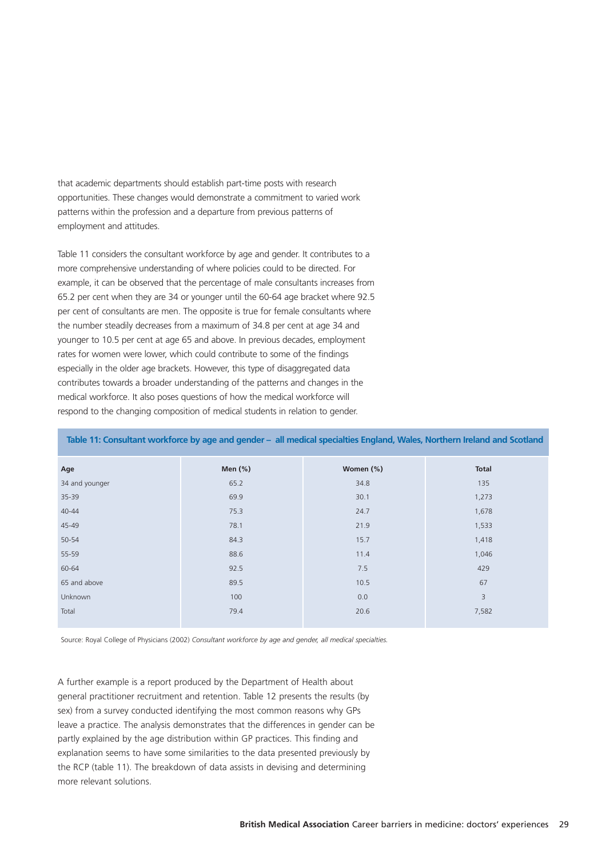that academic departments should establish part-time posts with research opportunities. These changes would demonstrate a commitment to varied work patterns within the profession and a departure from previous patterns of employment and attitudes.

Table 11 considers the consultant workforce by age and gender. It contributes to a more comprehensive understanding of where policies could to be directed. For example, it can be observed that the percentage of male consultants increases from 65.2 per cent when they are 34 or younger until the 60-64 age bracket where 92.5 per cent of consultants are men. The opposite is true for female consultants where the number steadily decreases from a maximum of 34.8 per cent at age 34 and younger to 10.5 per cent at age 65 and above. In previous decades, employment rates for women were lower, which could contribute to some of the findings especially in the older age brackets. However, this type of disaggregated data contributes towards a broader understanding of the patterns and changes in the medical workforce. It also poses questions of how the medical workforce will respond to the changing composition of medical students in relation to gender.

| Age            | Men $(\%)$ | Women (%) | Total |
|----------------|------------|-----------|-------|
| 34 and younger | 65.2       | 34.8      | 135   |
| 35-39          | 69.9       | 30.1      | 1,273 |
| $40 - 44$      | 75.3       | 24.7      | 1,678 |
| 45-49          | 78.1       | 21.9      | 1,533 |
| 50-54          | 84.3       | 15.7      | 1,418 |
| 55-59          | 88.6       | 11.4      | 1,046 |
| 60-64          | 92.5       | 7.5       | 429   |
| 65 and above   | 89.5       | 10.5      | 67    |
| Unknown        | 100        | 0.0       | 3     |
| Total          | 79.4       | 20.6      | 7,582 |
|                |            |           |       |

**Table 11: Consultant workforce by age and gender – all medical specialties England, Wales, Northern Ireland and Scotland**

Source: Royal College of Physicians (2002) *Consultant workforce by age and gender, all medical specialties.* 

A further example is a report produced by the Department of Health about general practitioner recruitment and retention. Table 12 presents the results (by sex) from a survey conducted identifying the most common reasons why GPs leave a practice. The analysis demonstrates that the differences in gender can be partly explained by the age distribution within GP practices. This finding and explanation seems to have some similarities to the data presented previously by the RCP (table 11). The breakdown of data assists in devising and determining more relevant solutions.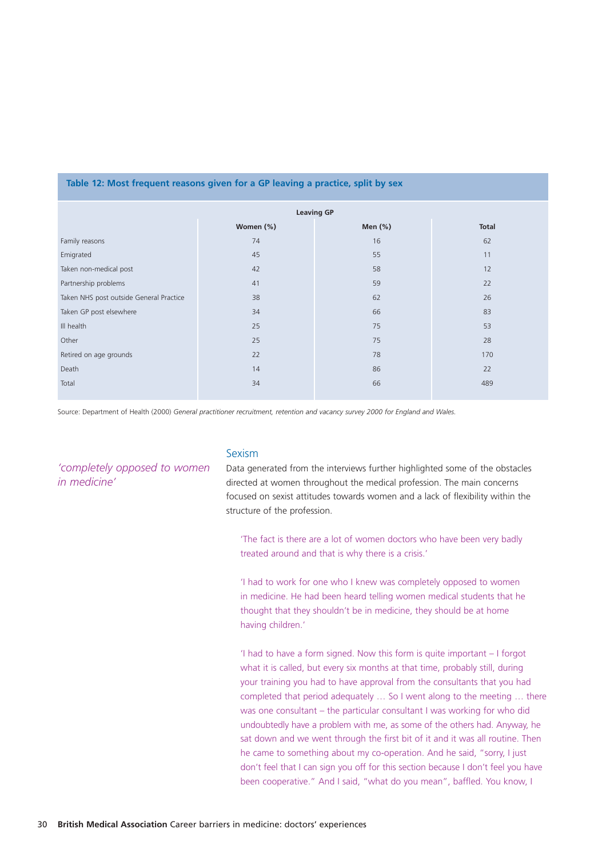#### **Table 12: Most frequent reasons given for a GP leaving a practice, split by sex**

|                                         | <b>Leaving GP</b> |            |              |  |
|-----------------------------------------|-------------------|------------|--------------|--|
|                                         | Women (%)         | Men $(\%)$ | <b>Total</b> |  |
| Family reasons                          | 74                | 16         | 62           |  |
| Emigrated                               | 45                | 55         | 11           |  |
| Taken non-medical post                  | 42                | 58         | 12           |  |
| Partnership problems                    | 41                | 59         | 22           |  |
| Taken NHS post outside General Practice | 38                | 62         | 26           |  |
| Taken GP post elsewhere                 | 34                | 66         | 83           |  |
| III health                              | 25                | 75         | 53           |  |
| Other                                   | 25                | 75         | 28           |  |
| Retired on age grounds                  | 22                | 78         | 170          |  |
| Death                                   | 14                | 86         | 22           |  |
| Total                                   | 34                | 66         | 489          |  |
|                                         |                   |            |              |  |

Source: Department of Health (2000) *General practitioner recruitment, retention and vacancy survey 2000 for England and Wales.*

*'completely opposed to women in medicine'*

#### Sexism

Data generated from the interviews further highlighted some of the obstacles directed at women throughout the medical profession. The main concerns focused on sexist attitudes towards women and a lack of flexibility within the structure of the profession.

'The fact is there are a lot of women doctors who have been very badly treated around and that is why there is a crisis.'

'I had to work for one who I knew was completely opposed to women in medicine. He had been heard telling women medical students that he thought that they shouldn't be in medicine, they should be at home having children.'

'I had to have a form signed. Now this form is quite important – I forgot what it is called, but every six months at that time, probably still, during your training you had to have approval from the consultants that you had completed that period adequately … So I went along to the meeting … there was one consultant – the particular consultant I was working for who did undoubtedly have a problem with me, as some of the others had. Anyway, he sat down and we went through the first bit of it and it was all routine. Then he came to something about my co-operation. And he said, "sorry, I just don't feel that I can sign you off for this section because I don't feel you have been cooperative." And I said, "what do you mean", baffled. You know, I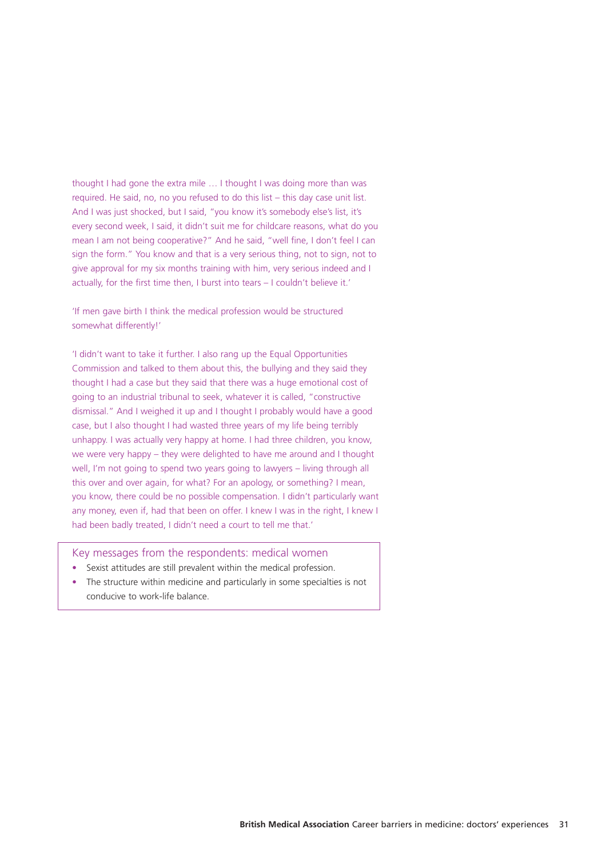thought I had gone the extra mile … I thought I was doing more than was required. He said, no, no you refused to do this list – this day case unit list. And I was just shocked, but I said, "you know it's somebody else's list, it's every second week, I said, it didn't suit me for childcare reasons, what do you mean I am not being cooperative?" And he said, "well fine, I don't feel I can sign the form." You know and that is a very serious thing, not to sign, not to give approval for my six months training with him, very serious indeed and I actually, for the first time then, I burst into tears – I couldn't believe it.'

'If men gave birth I think the medical profession would be structured somewhat differently!'

'I didn't want to take it further. I also rang up the Equal Opportunities Commission and talked to them about this, the bullying and they said they thought I had a case but they said that there was a huge emotional cost of going to an industrial tribunal to seek, whatever it is called, "constructive dismissal." And I weighed it up and I thought I probably would have a good case, but I also thought I had wasted three years of my life being terribly unhappy. I was actually very happy at home. I had three children, you know, we were very happy – they were delighted to have me around and I thought well, I'm not going to spend two years going to lawyers – living through all this over and over again, for what? For an apology, or something? I mean, you know, there could be no possible compensation. I didn't particularly want any money, even if, had that been on offer. I knew I was in the right, I knew I had been badly treated, I didn't need a court to tell me that.'

Key messages from the respondents: medical women

- Sexist attitudes are still prevalent within the medical profession.
- The structure within medicine and particularly in some specialties is not conducive to work-life balance.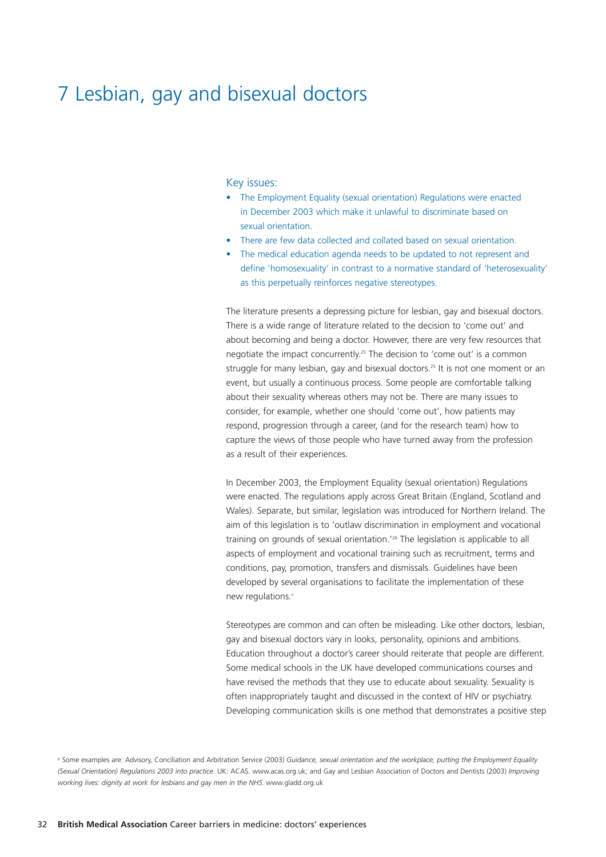# 7 Lesbian, gay and bisexual doctors

#### Key issues:

- The Employment Equality (sexual orientation) Regulations were enacted in December 2003 which make it unlawful to discriminate based on sexual orientation.
- There are few data collected and collated based on sexual orientation.
- The medical education agenda needs to be updated to not represent and define 'homosexuality' in contrast to a normative standard of 'heterosexuality' as this perpetually reinforces negative stereotypes.

The literature presents a depressing picture for lesbian, gay and bisexual doctors. There is a wide range of literature related to the decision to 'come out' and about becoming and being a doctor. However, there are very few resources that negotiate the impact concurrently.<sup>25</sup> The decision to 'come out' is a common struggle for many lesbian, gay and bisexual doctors.<sup>25</sup> It is not one moment or an event, but usually a continuous process. Some people are comfortable talking about their sexuality whereas others may not be. There are many issues to consider, for example, whether one should 'come out', how patients may respond, progression through a career, (and for the research team) how to capture the views of those people who have turned away from the profession as a result of their experiences.

In December 2003, the Employment Equality (sexual orientation) Regulations were enacted. The regulations apply across Great Britain (England, Scotland and Wales). Separate, but similar, legislation was introduced for Northern Ireland. The aim of this legislation is to 'outlaw discrimination in employment and vocational training on grounds of sexual orientation.'26 The legislation is applicable to all aspects of employment and vocational training such as recruitment, terms and conditions, pay, promotion, transfers and dismissals. Guidelines have been developed by several organisations to facilitate the implementation of these new regulations.<sup>v</sup>

Stereotypes are common and can often be misleading. Like other doctors, lesbian, gay and bisexual doctors vary in looks, personality, opinions and ambitions. Education throughout a doctor's career should reiterate that people are different. Some medical schools in the UK have developed communications courses and have revised the methods that they use to educate about sexuality. Sexuality is often inappropriately taught and discussed in the context of HIV or psychiatry. Developing communication skills is one method that demonstrates a positive step

<sup>v</sup> Some examples are: Advisory, Conciliation and Arbitration Service (2003) *Guidance, sexual orientation and the workplace; putting the Employment Equality (Sexual Orientation) Regulations 2003 into practice.* UK: ACAS. www.acas.org.uk; and Gay and Lesbian Association of Doctors and Dentists (2003) *Improving working lives: dignity at work for lesbians and gay men in the NHS*. www.gladd.org.uk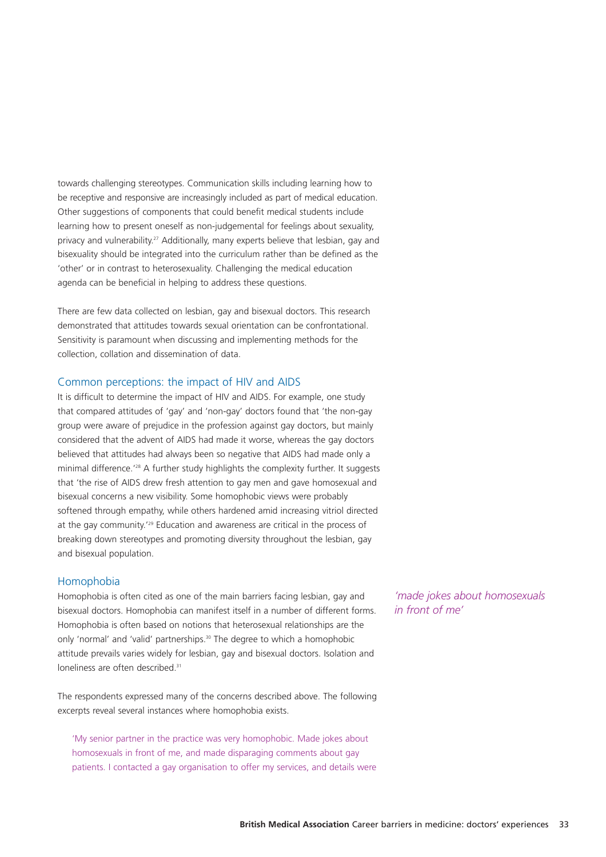towards challenging stereotypes. Communication skills including learning how to be receptive and responsive are increasingly included as part of medical education. Other suggestions of components that could benefit medical students include learning how to present oneself as non-judgemental for feelings about sexuality, privacy and vulnerability.27 Additionally, many experts believe that lesbian, gay and bisexuality should be integrated into the curriculum rather than be defined as the 'other' or in contrast to heterosexuality. Challenging the medical education agenda can be beneficial in helping to address these questions.

There are few data collected on lesbian, gay and bisexual doctors. This research demonstrated that attitudes towards sexual orientation can be confrontational. Sensitivity is paramount when discussing and implementing methods for the collection, collation and dissemination of data.

#### Common perceptions: the impact of HIV and AIDS

It is difficult to determine the impact of HIV and AIDS. For example, one study that compared attitudes of 'gay' and 'non-gay' doctors found that 'the non-gay group were aware of prejudice in the profession against gay doctors, but mainly considered that the advent of AIDS had made it worse, whereas the gay doctors believed that attitudes had always been so negative that AIDS had made only a minimal difference.'28 A further study highlights the complexity further. It suggests that 'the rise of AIDS drew fresh attention to gay men and gave homosexual and bisexual concerns a new visibility. Some homophobic views were probably softened through empathy, while others hardened amid increasing vitriol directed at the gay community.'29 Education and awareness are critical in the process of breaking down stereotypes and promoting diversity throughout the lesbian, gay and bisexual population.

#### Homophobia

Homophobia is often cited as one of the main barriers facing lesbian, gay and bisexual doctors. Homophobia can manifest itself in a number of different forms. Homophobia is often based on notions that heterosexual relationships are the only 'normal' and 'valid' partnerships.<sup>30</sup> The degree to which a homophobic attitude prevails varies widely for lesbian, gay and bisexual doctors. Isolation and loneliness are often described.<sup>31</sup>

The respondents expressed many of the concerns described above. The following excerpts reveal several instances where homophobia exists.

'My senior partner in the practice was very homophobic. Made jokes about homosexuals in front of me, and made disparaging comments about gay patients. I contacted a gay organisation to offer my services, and details were

*'made jokes about homosexuals in front of me'*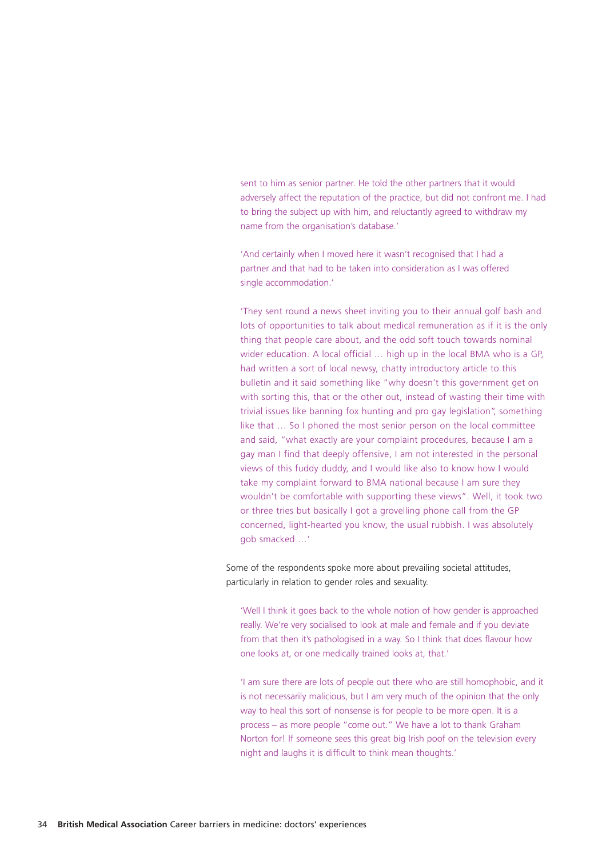sent to him as senior partner. He told the other partners that it would adversely affect the reputation of the practice, but did not confront me. I had to bring the subject up with him, and reluctantly agreed to withdraw my name from the organisation's database.'

'And certainly when I moved here it wasn't recognised that I had a partner and that had to be taken into consideration as I was offered single accommodation.'

'They sent round a news sheet inviting you to their annual golf bash and lots of opportunities to talk about medical remuneration as if it is the only thing that people care about, and the odd soft touch towards nominal wider education. A local official ... high up in the local BMA who is a GP. had written a sort of local newsy, chatty introductory article to this bulletin and it said something like "why doesn't this government get on with sorting this, that or the other out, instead of wasting their time with trivial issues like banning fox hunting and pro gay legislation", something like that … So I phoned the most senior person on the local committee and said, "what exactly are your complaint procedures, because I am a gay man I find that deeply offensive, I am not interested in the personal views of this fuddy duddy, and I would like also to know how I would take my complaint forward to BMA national because I am sure they wouldn't be comfortable with supporting these views". Well, it took two or three tries but basically I got a grovelling phone call from the GP concerned, light-hearted you know, the usual rubbish. I was absolutely gob smacked …'

Some of the respondents spoke more about prevailing societal attitudes, particularly in relation to gender roles and sexuality.

'Well I think it goes back to the whole notion of how gender is approached really. We're very socialised to look at male and female and if you deviate from that then it's pathologised in a way. So I think that does flavour how one looks at, or one medically trained looks at, that.'

'I am sure there are lots of people out there who are still homophobic, and it is not necessarily malicious, but I am very much of the opinion that the only way to heal this sort of nonsense is for people to be more open. It is a process – as more people "come out." We have a lot to thank Graham Norton for! If someone sees this great big Irish poof on the television every night and laughs it is difficult to think mean thoughts.'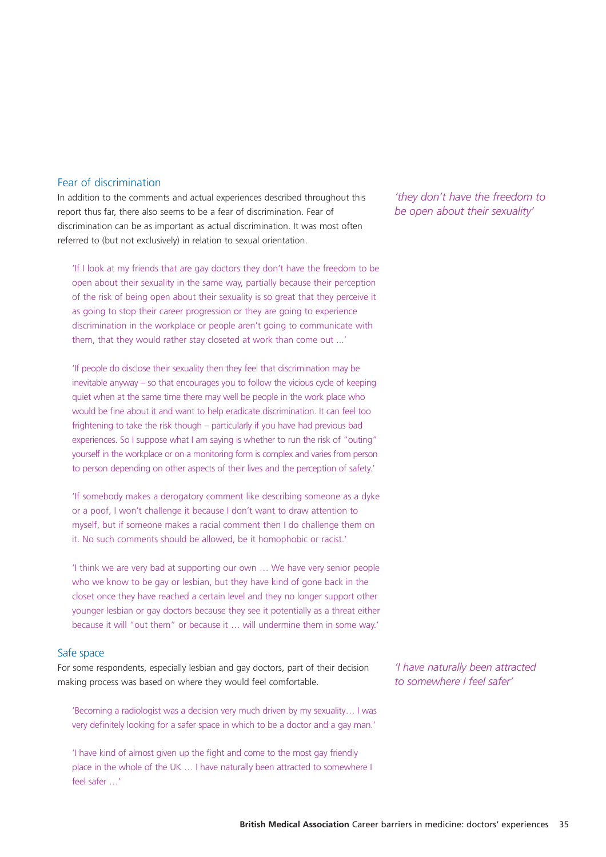#### Fear of discrimination

In addition to the comments and actual experiences described throughout this report thus far, there also seems to be a fear of discrimination. Fear of discrimination can be as important as actual discrimination. It was most often referred to (but not exclusively) in relation to sexual orientation.

'If I look at my friends that are gay doctors they don't have the freedom to be open about their sexuality in the same way, partially because their perception of the risk of being open about their sexuality is so great that they perceive it as going to stop their career progression or they are going to experience discrimination in the workplace or people aren't going to communicate with them, that they would rather stay closeted at work than come out ...'

'If people do disclose their sexuality then they feel that discrimination may be inevitable anyway – so that encourages you to follow the vicious cycle of keeping quiet when at the same time there may well be people in the work place who would be fine about it and want to help eradicate discrimination. It can feel too frightening to take the risk though – particularly if you have had previous bad experiences. So I suppose what I am saying is whether to run the risk of "outing" yourself in the workplace or on a monitoring form is complex and varies from person to person depending on other aspects of their lives and the perception of safety.'

'If somebody makes a derogatory comment like describing someone as a dyke or a poof, I won't challenge it because I don't want to draw attention to myself, but if someone makes a racial comment then I do challenge them on it. No such comments should be allowed, be it homophobic or racist.'

'I think we are very bad at supporting our own … We have very senior people who we know to be gay or lesbian, but they have kind of gone back in the closet once they have reached a certain level and they no longer support other younger lesbian or gay doctors because they see it potentially as a threat either because it will "out them" or because it … will undermine them in some way.'

## Safe space

For some respondents, especially lesbian and gay doctors, part of their decision making process was based on where they would feel comfortable.

'Becoming a radiologist was a decision very much driven by my sexuality… I was very definitely looking for a safer space in which to be a doctor and a gay man.'

'I have kind of almost given up the fight and come to the most gay friendly place in the whole of the UK … I have naturally been attracted to somewhere I feel safer …'

*'they don't have the freedom to be open about their sexuality'*

*'I have naturally been attracted to somewhere I feel safer'*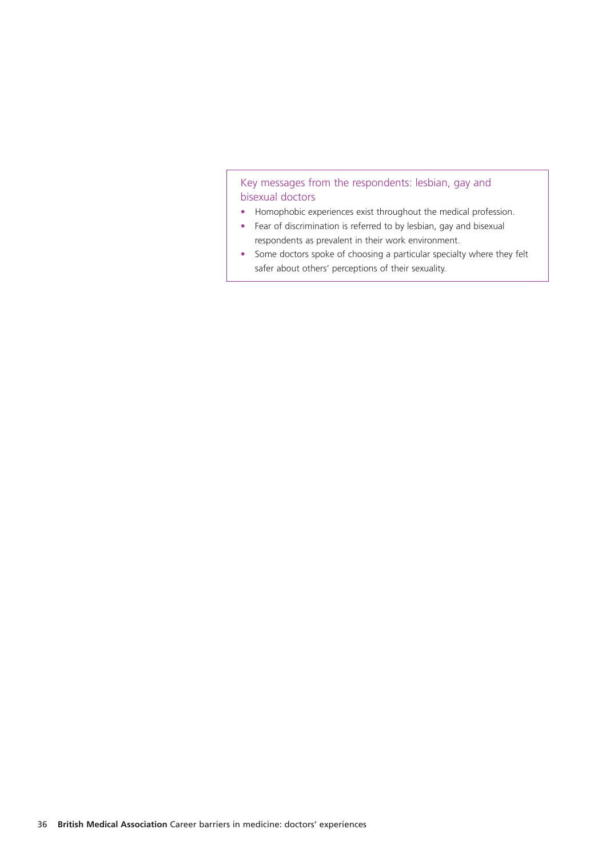## Key messages from the respondents: lesbian, gay and bisexual doctors

- Homophobic experiences exist throughout the medical profession.
- Fear of discrimination is referred to by lesbian, gay and bisexual respondents as prevalent in their work environment.
- Some doctors spoke of choosing a particular specialty where they felt safer about others' perceptions of their sexuality.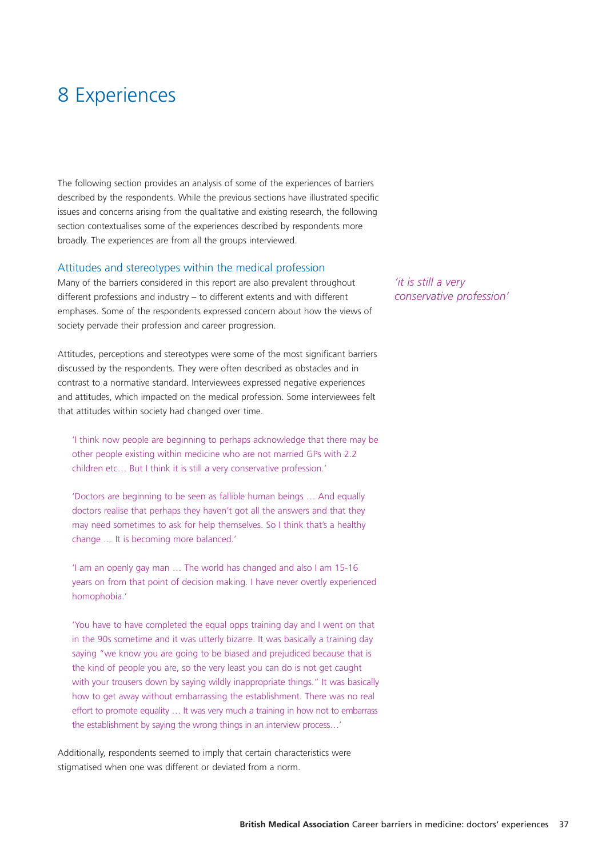# 8 Experiences

The following section provides an analysis of some of the experiences of barriers described by the respondents. While the previous sections have illustrated specific issues and concerns arising from the qualitative and existing research, the following section contextualises some of the experiences described by respondents more broadly. The experiences are from all the groups interviewed.

#### Attitudes and stereotypes within the medical profession

Many of the barriers considered in this report are also prevalent throughout different professions and industry – to different extents and with different emphases. Some of the respondents expressed concern about how the views of society pervade their profession and career progression.

Attitudes, perceptions and stereotypes were some of the most significant barriers discussed by the respondents. They were often described as obstacles and in contrast to a normative standard. Interviewees expressed negative experiences and attitudes, which impacted on the medical profession. Some interviewees felt that attitudes within society had changed over time.

'I think now people are beginning to perhaps acknowledge that there may be other people existing within medicine who are not married GPs with 2.2 children etc… But I think it is still a very conservative profession.'

'Doctors are beginning to be seen as fallible human beings … And equally doctors realise that perhaps they haven't got all the answers and that they may need sometimes to ask for help themselves. So I think that's a healthy change … It is becoming more balanced.'

'I am an openly gay man … The world has changed and also I am 15-16 years on from that point of decision making. I have never overtly experienced homophobia.'

'You have to have completed the equal opps training day and I went on that in the 90s sometime and it was utterly bizarre. It was basically a training day saying "we know you are going to be biased and prejudiced because that is the kind of people you are, so the very least you can do is not get caught with your trousers down by saying wildly inappropriate things." It was basically how to get away without embarrassing the establishment. There was no real effort to promote equality … It was very much a training in how not to embarrass the establishment by saying the wrong things in an interview process…'

Additionally, respondents seemed to imply that certain characteristics were stigmatised when one was different or deviated from a norm.

*'it is still a very conservative profession'*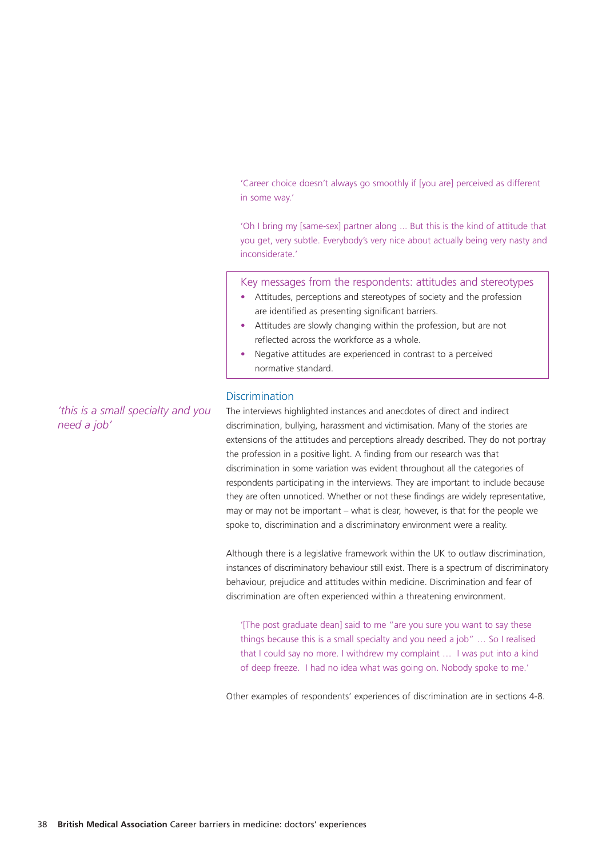'Career choice doesn't always go smoothly if [you are] perceived as different in some way.'

'Oh I bring my [same-sex] partner along ... But this is the kind of attitude that you get, very subtle. Everybody's very nice about actually being very nasty and inconsiderate.'

Key messages from the respondents: attitudes and stereotypes

- Attitudes, perceptions and stereotypes of society and the profession are identified as presenting significant barriers.
- Attitudes are slowly changing within the profession, but are not reflected across the workforce as a whole.
- Negative attitudes are experienced in contrast to a perceived normative standard.

#### **Discrimination**

The interviews highlighted instances and anecdotes of direct and indirect discrimination, bullying, harassment and victimisation. Many of the stories are extensions of the attitudes and perceptions already described. They do not portray the profession in a positive light. A finding from our research was that discrimination in some variation was evident throughout all the categories of respondents participating in the interviews. They are important to include because they are often unnoticed. Whether or not these findings are widely representative, may or may not be important – what is clear, however, is that for the people we spoke to, discrimination and a discriminatory environment were a reality.

Although there is a legislative framework within the UK to outlaw discrimination, instances of discriminatory behaviour still exist. There is a spectrum of discriminatory behaviour, prejudice and attitudes within medicine. Discrimination and fear of discrimination are often experienced within a threatening environment.

'[The post graduate dean] said to me "are you sure you want to say these things because this is a small specialty and you need a job" … So I realised that I could say no more. I withdrew my complaint … I was put into a kind of deep freeze. I had no idea what was going on. Nobody spoke to me.'

Other examples of respondents' experiences of discrimination are in sections 4-8.

*'this is a small specialty and you need a job'*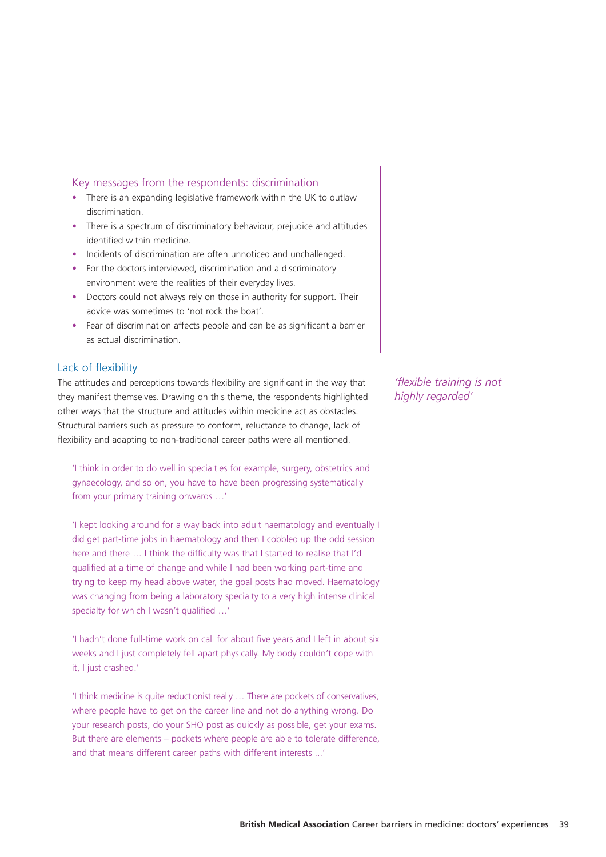#### Key messages from the respondents: discrimination

- There is an expanding legislative framework within the UK to outlaw discrimination.
- There is a spectrum of discriminatory behaviour, prejudice and attitudes identified within medicine.
- Incidents of discrimination are often unnoticed and unchallenged.
- For the doctors interviewed, discrimination and a discriminatory environment were the realities of their everyday lives.
- Doctors could not always rely on those in authority for support. Their advice was sometimes to 'not rock the boat'.
- Fear of discrimination affects people and can be as significant a barrier as actual discrimination.

#### Lack of flexibility

The attitudes and perceptions towards flexibility are significant in the way that they manifest themselves. Drawing on this theme, the respondents highlighted other ways that the structure and attitudes within medicine act as obstacles. Structural barriers such as pressure to conform, reluctance to change, lack of flexibility and adapting to non-traditional career paths were all mentioned.

'I think in order to do well in specialties for example, surgery, obstetrics and gynaecology, and so on, you have to have been progressing systematically from your primary training onwards …'

'I kept looking around for a way back into adult haematology and eventually I did get part-time jobs in haematology and then I cobbled up the odd session here and there … I think the difficulty was that I started to realise that I'd qualified at a time of change and while I had been working part-time and trying to keep my head above water, the goal posts had moved. Haematology was changing from being a laboratory specialty to a very high intense clinical specialty for which I wasn't qualified …'

'I hadn't done full-time work on call for about five years and I left in about six weeks and I just completely fell apart physically. My body couldn't cope with it, I just crashed.'

'I think medicine is quite reductionist really … There are pockets of conservatives, where people have to get on the career line and not do anything wrong. Do your research posts, do your SHO post as quickly as possible, get your exams. But there are elements – pockets where people are able to tolerate difference, and that means different career paths with different interests ...'

*'flexible training is not highly regarded'*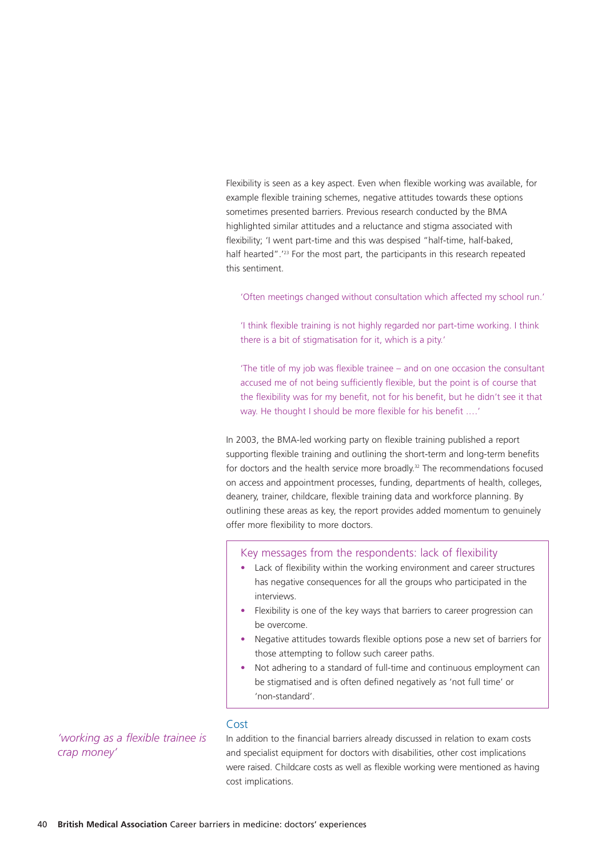Flexibility is seen as a key aspect. Even when flexible working was available, for example flexible training schemes, negative attitudes towards these options sometimes presented barriers. Previous research conducted by the BMA highlighted similar attitudes and a reluctance and stigma associated with flexibility; 'I went part-time and this was despised "half-time, half-baked, half hearted".<sup>'23</sup> For the most part, the participants in this research repeated this sentiment.

'Often meetings changed without consultation which affected my school run.'

'I think flexible training is not highly regarded nor part-time working. I think there is a bit of stigmatisation for it, which is a pity.'

'The title of my job was flexible trainee – and on one occasion the consultant accused me of not being sufficiently flexible, but the point is of course that the flexibility was for my benefit, not for his benefit, but he didn't see it that way. He thought I should be more flexible for his benefit .…'

In 2003, the BMA-led working party on flexible training published a report supporting flexible training and outlining the short-term and long-term benefits for doctors and the health service more broadly.<sup>32</sup> The recommendations focused on access and appointment processes, funding, departments of health, colleges, deanery, trainer, childcare, flexible training data and workforce planning. By outlining these areas as key, the report provides added momentum to genuinely offer more flexibility to more doctors.

#### Key messages from the respondents: lack of flexibility

- Lack of flexibility within the working environment and career structures has negative consequences for all the groups who participated in the interviews.
- Flexibility is one of the key ways that barriers to career progression can be overcome.
- Negative attitudes towards flexible options pose a new set of barriers for those attempting to follow such career paths.
- Not adhering to a standard of full-time and continuous employment can be stigmatised and is often defined negatively as 'not full time' or 'non-standard'.

*'working as a flexible trainee is crap money'*

#### Cost

In addition to the financial barriers already discussed in relation to exam costs and specialist equipment for doctors with disabilities, other cost implications were raised. Childcare costs as well as flexible working were mentioned as having cost implications.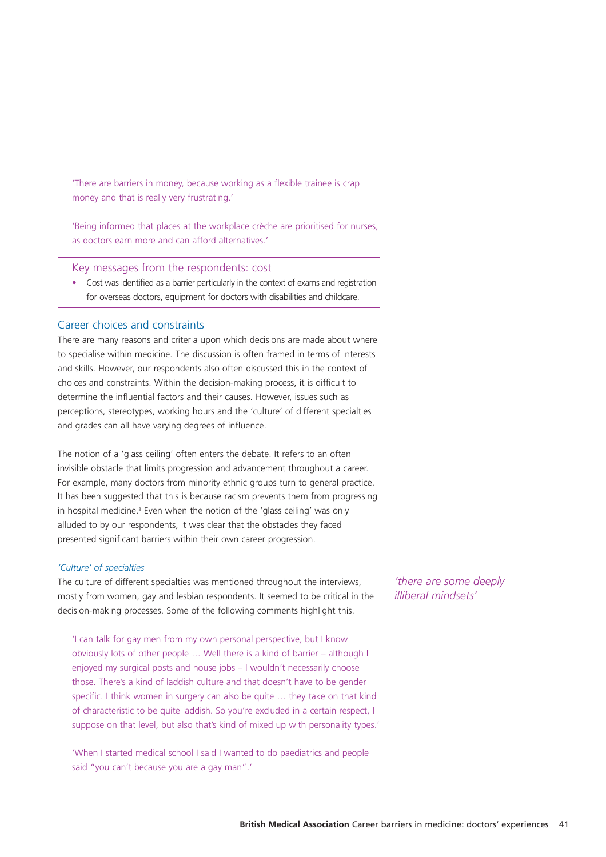'There are barriers in money, because working as a flexible trainee is crap money and that is really very frustrating.'

'Being informed that places at the workplace crèche are prioritised for nurses, as doctors earn more and can afford alternatives.'

Key messages from the respondents: cost

• Cost was identified as a barrier particularly in the context of exams and registration for overseas doctors, equipment for doctors with disabilities and childcare.

#### Career choices and constraints

There are many reasons and criteria upon which decisions are made about where to specialise within medicine. The discussion is often framed in terms of interests and skills. However, our respondents also often discussed this in the context of choices and constraints. Within the decision-making process, it is difficult to determine the influential factors and their causes. However, issues such as perceptions, stereotypes, working hours and the 'culture' of different specialties and grades can all have varying degrees of influence.

The notion of a 'glass ceiling' often enters the debate. It refers to an often invisible obstacle that limits progression and advancement throughout a career. For example, many doctors from minority ethnic groups turn to general practice. It has been suggested that this is because racism prevents them from progressing in hospital medicine.<sup>3</sup> Even when the notion of the 'glass ceiling' was only alluded to by our respondents, it was clear that the obstacles they faced presented significant barriers within their own career progression.

#### *'Culture' of specialties*

The culture of different specialties was mentioned throughout the interviews, mostly from women, gay and lesbian respondents. It seemed to be critical in the decision-making processes. Some of the following comments highlight this.

'I can talk for gay men from my own personal perspective, but I know obviously lots of other people … Well there is a kind of barrier – although I enjoyed my surgical posts and house jobs – I wouldn't necessarily choose those. There's a kind of laddish culture and that doesn't have to be gender specific. I think women in surgery can also be quite … they take on that kind of characteristic to be quite laddish. So you're excluded in a certain respect, I suppose on that level, but also that's kind of mixed up with personality types.'

'When I started medical school I said I wanted to do paediatrics and people said "you can't because you are a gay man".'

*'there are some deeply illiberal mindsets'*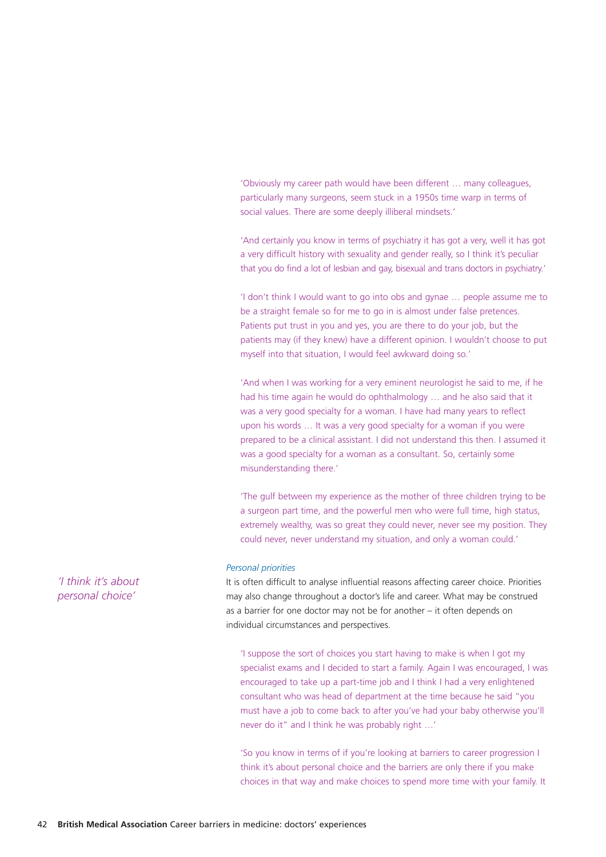'Obviously my career path would have been different … many colleagues, particularly many surgeons, seem stuck in a 1950s time warp in terms of social values. There are some deeply illiberal mindsets.'

'And certainly you know in terms of psychiatry it has got a very, well it has got a very difficult history with sexuality and gender really, so I think it's peculiar that you do find a lot of lesbian and gay, bisexual and trans doctors in psychiatry.'

'I don't think I would want to go into obs and gynae … people assume me to be a straight female so for me to go in is almost under false pretences. Patients put trust in you and yes, you are there to do your job, but the patients may (if they knew) have a different opinion. I wouldn't choose to put myself into that situation, I would feel awkward doing so.'

'And when I was working for a very eminent neurologist he said to me, if he had his time again he would do ophthalmology ... and he also said that it was a very good specialty for a woman. I have had many years to reflect upon his words … It was a very good specialty for a woman if you were prepared to be a clinical assistant. I did not understand this then. I assumed it was a good specialty for a woman as a consultant. So, certainly some misunderstanding there.'

'The gulf between my experience as the mother of three children trying to be a surgeon part time, and the powerful men who were full time, high status, extremely wealthy, was so great they could never, never see my position. They could never, never understand my situation, and only a woman could.'

#### *Personal priorities*

It is often difficult to analyse influential reasons affecting career choice. Priorities may also change throughout a doctor's life and career. What may be construed as a barrier for one doctor may not be for another – it often depends on individual circumstances and perspectives.

'I suppose the sort of choices you start having to make is when I got my specialist exams and I decided to start a family. Again I was encouraged, I was encouraged to take up a part-time job and I think I had a very enlightened consultant who was head of department at the time because he said "you must have a job to come back to after you've had your baby otherwise you'll never do it" and I think he was probably right …'

'So you know in terms of if you're looking at barriers to career progression I think it's about personal choice and the barriers are only there if you make choices in that way and make choices to spend more time with your family. It

*'I think it's about personal choice'*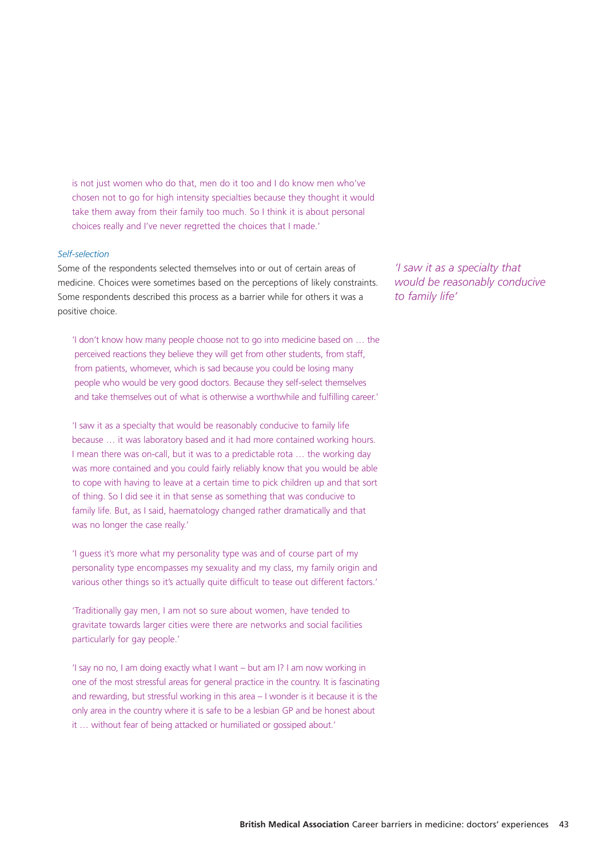is not just women who do that, men do it too and I do know men who've chosen not to go for high intensity specialties because they thought it would take them away from their family too much. So I think it is about personal choices really and I've never regretted the choices that I made.'

#### *Self-selection*

Some of the respondents selected themselves into or out of certain areas of medicine. Choices were sometimes based on the perceptions of likely constraints. Some respondents described this process as a barrier while for others it was a positive choice.

'I don't know how many people choose not to go into medicine based on … the perceived reactions they believe they will get from other students, from staff, from patients, whomever, which is sad because you could be losing many people who would be very good doctors. Because they self-select themselves and take themselves out of what is otherwise a worthwhile and fulfilling career.'

'I saw it as a specialty that would be reasonably conducive to family life because … it was laboratory based and it had more contained working hours. I mean there was on-call, but it was to a predictable rota … the working day was more contained and you could fairly reliably know that you would be able to cope with having to leave at a certain time to pick children up and that sort of thing. So I did see it in that sense as something that was conducive to family life. But, as I said, haematology changed rather dramatically and that was no longer the case really.'

'I guess it's more what my personality type was and of course part of my personality type encompasses my sexuality and my class, my family origin and various other things so it's actually quite difficult to tease out different factors.'

'Traditionally gay men, I am not so sure about women, have tended to gravitate towards larger cities were there are networks and social facilities particularly for gay people.'

'I say no no, I am doing exactly what I want – but am I? I am now working in one of the most stressful areas for general practice in the country. It is fascinating and rewarding, but stressful working in this area – I wonder is it because it is the only area in the country where it is safe to be a lesbian GP and be honest about it … without fear of being attacked or humiliated or gossiped about.'

*'I saw it as a specialty that would be reasonably conducive to family life'*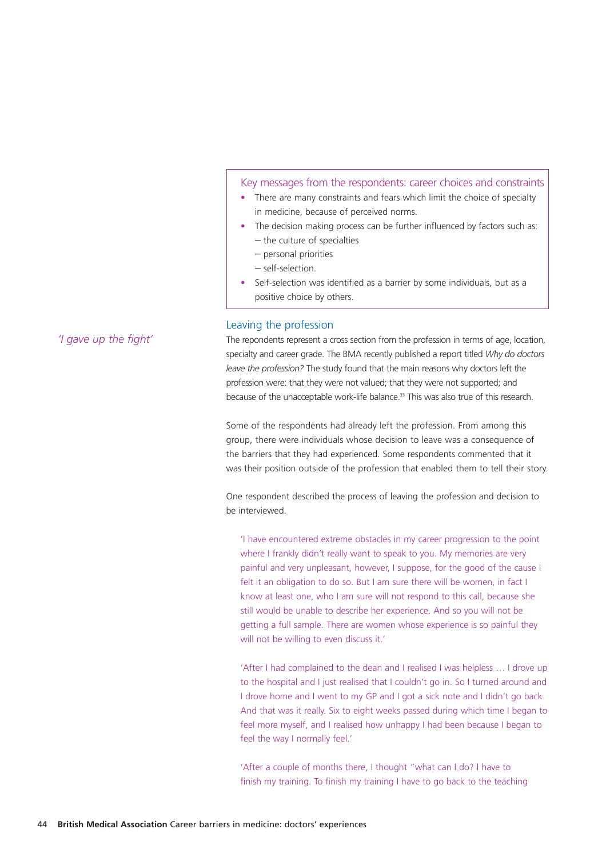#### Key messages from the respondents: career choices and constraints

- There are many constraints and fears which limit the choice of specialty in medicine, because of perceived norms.
- The decision making process can be further influenced by factors such as: – the culture of specialties
	- personal priorities
	- self-selection.
- Self-selection was identified as a barrier by some individuals, but as a positive choice by others.

#### Leaving the profession

The repondents represent a cross section from the profession in terms of age, location, specialty and career grade. The BMA recently published a report titled *Why do doctors leave the profession?* The study found that the main reasons why doctors left the profession were: that they were not valued; that they were not supported; and because of the unacceptable work-life balance.<sup>33</sup> This was also true of this research.

Some of the respondents had already left the profession. From among this group, there were individuals whose decision to leave was a consequence of the barriers that they had experienced. Some respondents commented that it was their position outside of the profession that enabled them to tell their story.

One respondent described the process of leaving the profession and decision to be interviewed.

'I have encountered extreme obstacles in my career progression to the point where I frankly didn't really want to speak to you. My memories are very painful and very unpleasant, however, I suppose, for the good of the cause I felt it an obligation to do so. But I am sure there will be women, in fact I know at least one, who I am sure will not respond to this call, because she still would be unable to describe her experience. And so you will not be getting a full sample. There are women whose experience is so painful they will not be willing to even discuss it.'

'After I had complained to the dean and I realised I was helpless … I drove up to the hospital and I just realised that I couldn't go in. So I turned around and I drove home and I went to my GP and I got a sick note and I didn't go back. And that was it really. Six to eight weeks passed during which time I began to feel more myself, and I realised how unhappy I had been because I began to feel the way I normally feel.'

'After a couple of months there, I thought "what can I do? I have to finish my training. To finish my training I have to go back to the teaching

*'I gave up the fight'*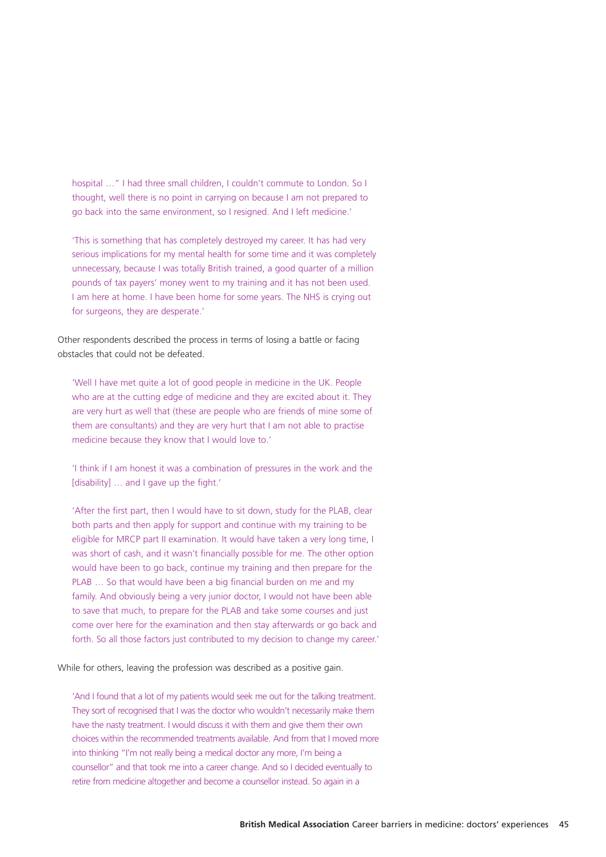hospital …" I had three small children, I couldn't commute to London. So I thought, well there is no point in carrying on because I am not prepared to go back into the same environment, so I resigned. And I left medicine.'

'This is something that has completely destroyed my career. It has had very serious implications for my mental health for some time and it was completely unnecessary, because I was totally British trained, a good quarter of a million pounds of tax payers' money went to my training and it has not been used. I am here at home. I have been home for some years. The NHS is crying out for surgeons, they are desperate.'

Other respondents described the process in terms of losing a battle or facing obstacles that could not be defeated.

'Well I have met quite a lot of good people in medicine in the UK. People who are at the cutting edge of medicine and they are excited about it. They are very hurt as well that (these are people who are friends of mine some of them are consultants) and they are very hurt that I am not able to practise medicine because they know that I would love to.'

'I think if I am honest it was a combination of pressures in the work and the [disability] ... and I gave up the fight.'

'After the first part, then I would have to sit down, study for the PLAB, clear both parts and then apply for support and continue with my training to be eligible for MRCP part II examination. It would have taken a very long time, I was short of cash, and it wasn't financially possible for me. The other option would have been to go back, continue my training and then prepare for the PLAB … So that would have been a big financial burden on me and my family. And obviously being a very junior doctor, I would not have been able to save that much, to prepare for the PLAB and take some courses and just come over here for the examination and then stay afterwards or go back and forth. So all those factors just contributed to my decision to change my career.'

While for others, leaving the profession was described as a positive gain.

'And I found that a lot of my patients would seek me out for the talking treatment. They sort of recognised that I was the doctor who wouldn't necessarily make them have the nasty treatment. I would discuss it with them and give them their own choices within the recommended treatments available. And from that I moved more into thinking "I'm not really being a medical doctor any more, I'm being a counsellor" and that took me into a career change. And so I decided eventually to retire from medicine altogether and become a counsellor instead. So again in a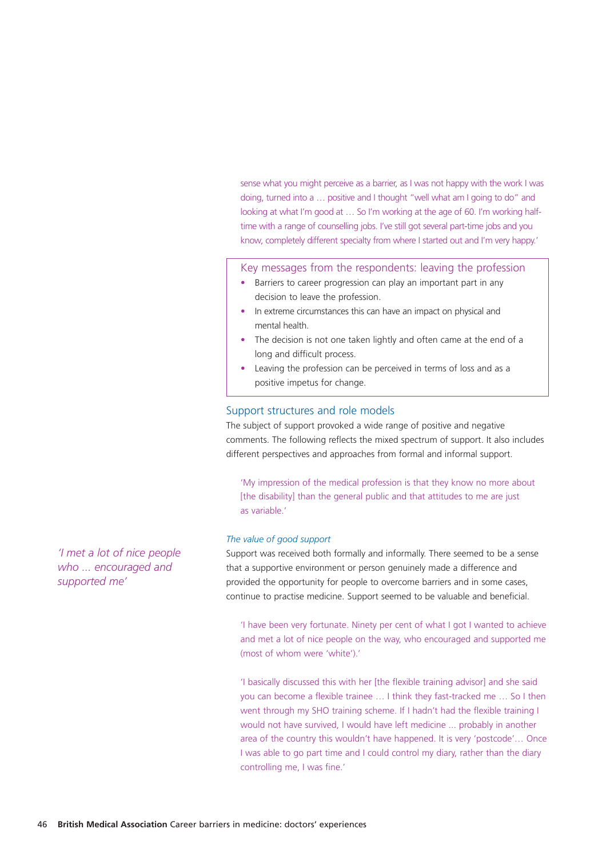sense what you might perceive as a barrier, as I was not happy with the work I was doing, turned into a … positive and I thought "well what am I going to do" and looking at what I'm good at ... So I'm working at the age of 60. I'm working halftime with a range of counselling jobs. I've still got several part-time jobs and you know, completely different specialty from where I started out and I'm very happy.'

Key messages from the respondents: leaving the profession

- Barriers to career progression can play an important part in any decision to leave the profession.
- In extreme circumstances this can have an impact on physical and mental health.
- The decision is not one taken lightly and often came at the end of a long and difficult process.
- Leaving the profession can be perceived in terms of loss and as a positive impetus for change.

#### Support structures and role models

The subject of support provoked a wide range of positive and negative comments. The following reflects the mixed spectrum of support. It also includes different perspectives and approaches from formal and informal support.

'My impression of the medical profession is that they know no more about [the disability] than the general public and that attitudes to me are just as variable.'

#### *The value of good support*

Support was received both formally and informally. There seemed to be a sense that a supportive environment or person genuinely made a difference and provided the opportunity for people to overcome barriers and in some cases, continue to practise medicine. Support seemed to be valuable and beneficial.

'I have been very fortunate. Ninety per cent of what I got I wanted to achieve and met a lot of nice people on the way, who encouraged and supported me (most of whom were 'white')'

'I basically discussed this with her [the flexible training advisor] and she said you can become a flexible trainee … I think they fast-tracked me … So I then went through my SHO training scheme. If I hadn't had the flexible training I would not have survived, I would have left medicine ... probably in another area of the country this wouldn't have happened. It is very 'postcode'… Once I was able to go part time and I could control my diary, rather than the diary controlling me, I was fine.'

*'I met a lot of nice people who ... encouraged and supported me'*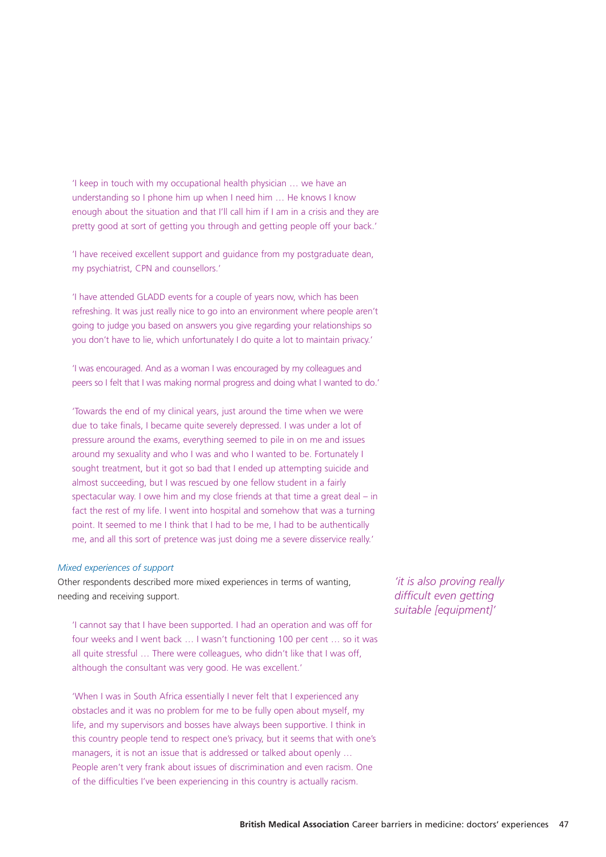'I keep in touch with my occupational health physician … we have an understanding so I phone him up when I need him … He knows I know enough about the situation and that I'll call him if I am in a crisis and they are pretty good at sort of getting you through and getting people off your back.'

'I have received excellent support and guidance from my postgraduate dean, my psychiatrist, CPN and counsellors.'

'I have attended GLADD events for a couple of years now, which has been refreshing. It was just really nice to go into an environment where people aren't going to judge you based on answers you give regarding your relationships so you don't have to lie, which unfortunately I do quite a lot to maintain privacy.'

'I was encouraged. And as a woman I was encouraged by my colleagues and peers so I felt that I was making normal progress and doing what I wanted to do.'

'Towards the end of my clinical years, just around the time when we were due to take finals, I became quite severely depressed. I was under a lot of pressure around the exams, everything seemed to pile in on me and issues around my sexuality and who I was and who I wanted to be. Fortunately I sought treatment, but it got so bad that I ended up attempting suicide and almost succeeding, but I was rescued by one fellow student in a fairly spectacular way. I owe him and my close friends at that time a great deal – in fact the rest of my life. I went into hospital and somehow that was a turning point. It seemed to me I think that I had to be me, I had to be authentically me, and all this sort of pretence was just doing me a severe disservice really.'

#### *Mixed experiences of support*

Other respondents described more mixed experiences in terms of wanting, needing and receiving support.

'I cannot say that I have been supported. I had an operation and was off for four weeks and I went back … I wasn't functioning 100 per cent … so it was all quite stressful ... There were colleagues, who didn't like that I was off, although the consultant was very good. He was excellent.'

'When I was in South Africa essentially I never felt that I experienced any obstacles and it was no problem for me to be fully open about myself, my life, and my supervisors and bosses have always been supportive. I think in this country people tend to respect one's privacy, but it seems that with one's managers, it is not an issue that is addressed or talked about openly … People aren't very frank about issues of discrimination and even racism. One of the difficulties I've been experiencing in this country is actually racism.

*'it is also proving really difficult even getting suitable [equipment]'*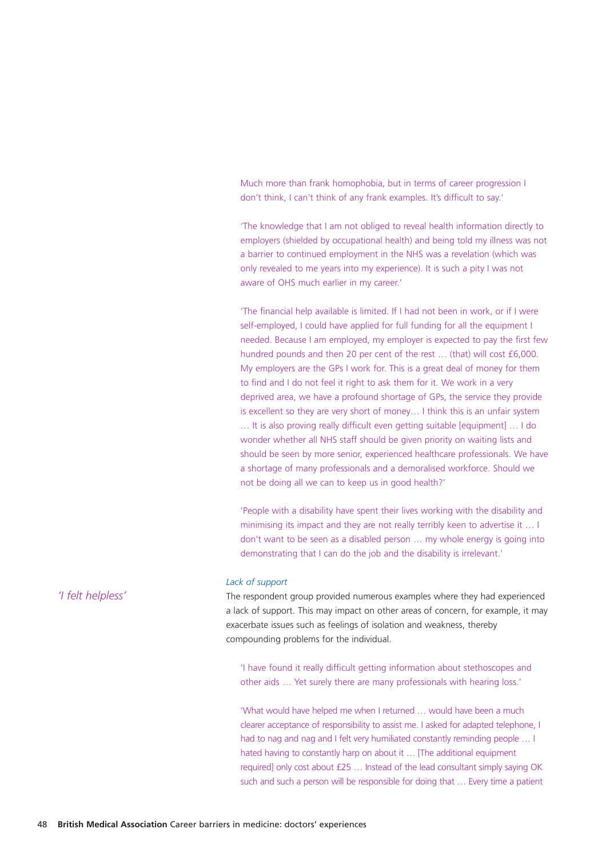Much more than frank homophobia, but in terms of career progression I don't think, I can't think of any frank examples. It's difficult to say.'

'The knowledge that I am not obliged to reveal health information directly to employers (shielded by occupational health) and being told my illness was not a barrier to continued employment in the NHS was a revelation (which was only revealed to me years into my experience). It is such a pity I was not aware of OHS much earlier in my career.'

'The financial help available is limited. If I had not been in work, or if I were self-employed, I could have applied for full funding for all the equipment I needed. Because I am employed, my employer is expected to pay the first few hundred pounds and then 20 per cent of the rest … (that) will cost £6,000. My employers are the GPs I work for. This is a great deal of money for them to find and I do not feel it right to ask them for it. We work in a very deprived area, we have a profound shortage of GPs, the service they provide is excellent so they are very short of money… I think this is an unfair system … It is also proving really difficult even getting suitable [equipment] … I do wonder whether all NHS staff should be given priority on waiting lists and should be seen by more senior, experienced healthcare professionals. We have a shortage of many professionals and a demoralised workforce. Should we not be doing all we can to keep us in good health?'

'People with a disability have spent their lives working with the disability and minimising its impact and they are not really terribly keen to advertise it … I don't want to be seen as a disabled person … my whole energy is going into demonstrating that I can do the job and the disability is irrelevant.'

#### *Lack of support*

The respondent group provided numerous examples where they had experienced a lack of support. This may impact on other areas of concern, for example, it may exacerbate issues such as feelings of isolation and weakness, thereby compounding problems for the individual.

'I have found it really difficult getting information about stethoscopes and other aids … Yet surely there are many professionals with hearing loss.'

'What would have helped me when I returned … would have been a much clearer acceptance of responsibility to assist me. I asked for adapted telephone, I had to nag and nag and I felt very humiliated constantly reminding people ... I hated having to constantly harp on about it ... [The additional equipment required] only cost about £25 … Instead of the lead consultant simply saying OK such and such a person will be responsible for doing that … Every time a patient

*'I felt helpless'*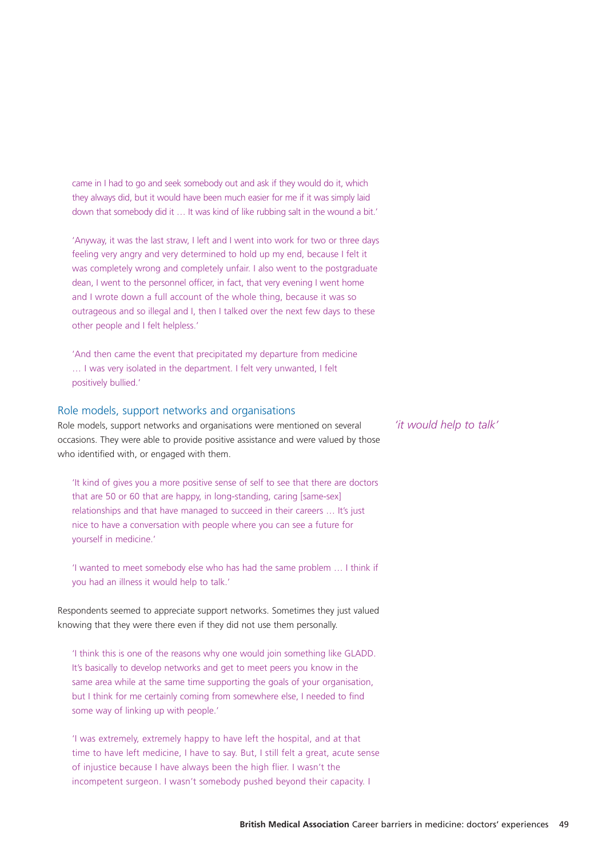came in I had to go and seek somebody out and ask if they would do it, which they always did, but it would have been much easier for me if it was simply laid down that somebody did it … It was kind of like rubbing salt in the wound a bit.'

'Anyway, it was the last straw, I left and I went into work for two or three days feeling very angry and very determined to hold up my end, because I felt it was completely wrong and completely unfair. I also went to the postgraduate dean, I went to the personnel officer, in fact, that very evening I went home and I wrote down a full account of the whole thing, because it was so outrageous and so illegal and I, then I talked over the next few days to these other people and I felt helpless.'

'And then came the event that precipitated my departure from medicine … I was very isolated in the department. I felt very unwanted, I felt positively bullied.'

#### Role models, support networks and organisations

Role models, support networks and organisations were mentioned on several occasions. They were able to provide positive assistance and were valued by those who identified with, or engaged with them.

'It kind of gives you a more positive sense of self to see that there are doctors that are 50 or 60 that are happy, in long-standing, caring [same-sex] relationships and that have managed to succeed in their careers … It's just nice to have a conversation with people where you can see a future for yourself in medicine.'

'I wanted to meet somebody else who has had the same problem … I think if you had an illness it would help to talk.'

Respondents seemed to appreciate support networks. Sometimes they just valued knowing that they were there even if they did not use them personally.

'I think this is one of the reasons why one would join something like GLADD. It's basically to develop networks and get to meet peers you know in the same area while at the same time supporting the goals of your organisation, but I think for me certainly coming from somewhere else, I needed to find some way of linking up with people.'

'I was extremely, extremely happy to have left the hospital, and at that time to have left medicine, I have to say. But, I still felt a great, acute sense of injustice because I have always been the high flier. I wasn't the incompetent surgeon. I wasn't somebody pushed beyond their capacity. I

*'it would help to talk'*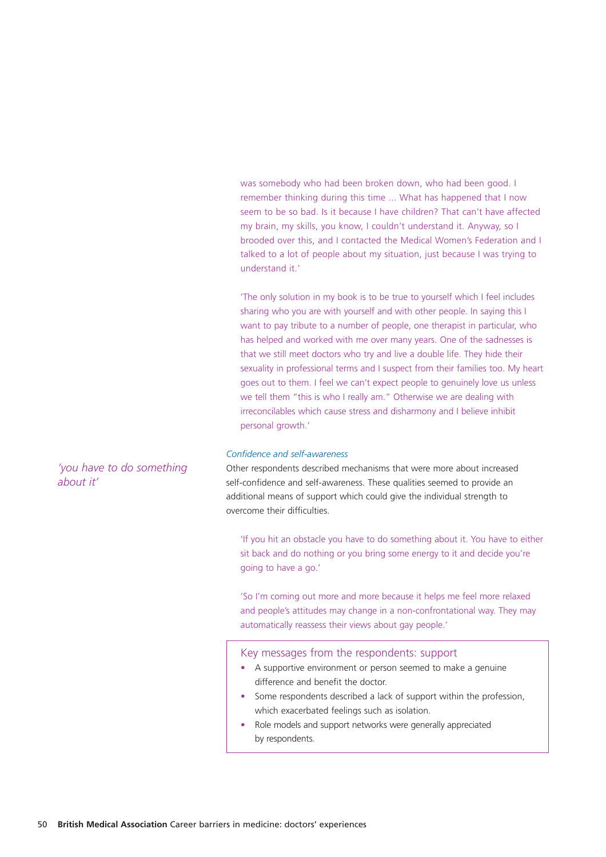was somebody who had been broken down, who had been good. I remember thinking during this time ... What has happened that I now seem to be so bad. Is it because I have children? That can't have affected my brain, my skills, you know, I couldn't understand it. Anyway, so I brooded over this, and I contacted the Medical Women's Federation and I talked to a lot of people about my situation, just because I was trying to understand it.'

'The only solution in my book is to be true to yourself which I feel includes sharing who you are with yourself and with other people. In saying this I want to pay tribute to a number of people, one therapist in particular, who has helped and worked with me over many years. One of the sadnesses is that we still meet doctors who try and live a double life. They hide their sexuality in professional terms and I suspect from their families too. My heart goes out to them. I feel we can't expect people to genuinely love us unless we tell them "this is who I really am." Otherwise we are dealing with irreconcilables which cause stress and disharmony and I believe inhibit personal growth.'

#### *Confidence and self-awareness*

Other respondents described mechanisms that were more about increased self-confidence and self-awareness. These qualities seemed to provide an additional means of support which could give the individual strength to overcome their difficulties.

'If you hit an obstacle you have to do something about it. You have to either sit back and do nothing or you bring some energy to it and decide you're going to have a go.'

'So I'm coming out more and more because it helps me feel more relaxed and people's attitudes may change in a non-confrontational way. They may automatically reassess their views about gay people.'

#### Key messages from the respondents: support

- A supportive environment or person seemed to make a genuine difference and benefit the doctor.
- Some respondents described a lack of support within the profession, which exacerbated feelings such as isolation.
- Role models and support networks were generally appreciated by respondents.

*'you have to do something about it'*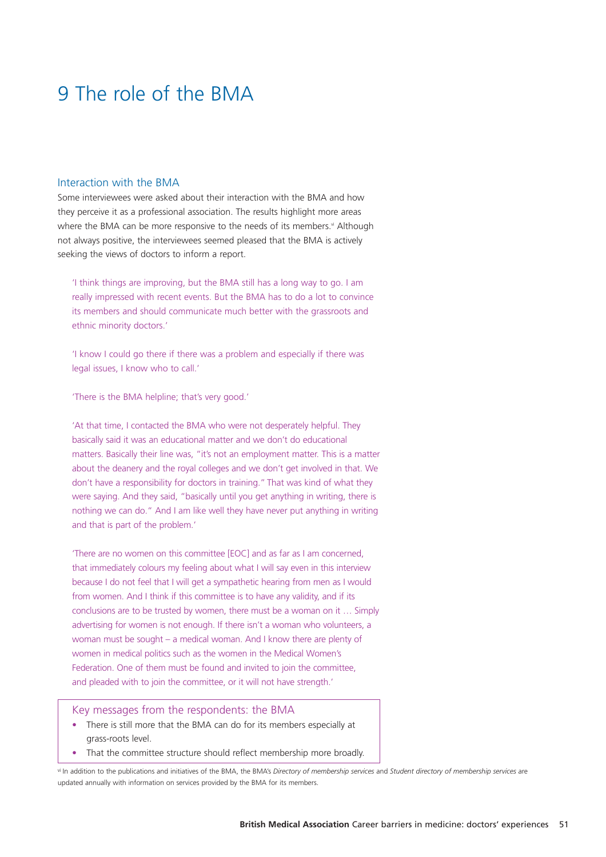# 9 The role of the BMA

#### Interaction with the BMA

Some interviewees were asked about their interaction with the BMA and how they perceive it as a professional association. The results highlight more areas where the BMA can be more responsive to the needs of its members.<sup>vi</sup> Although not always positive, the interviewees seemed pleased that the BMA is actively seeking the views of doctors to inform a report.

'I think things are improving, but the BMA still has a long way to go. I am really impressed with recent events. But the BMA has to do a lot to convince its members and should communicate much better with the grassroots and ethnic minority doctors.'

'I know I could go there if there was a problem and especially if there was legal issues, I know who to call.'

'There is the BMA helpline; that's very good.'

'At that time, I contacted the BMA who were not desperately helpful. They basically said it was an educational matter and we don't do educational matters. Basically their line was, "it's not an employment matter. This is a matter about the deanery and the royal colleges and we don't get involved in that. We don't have a responsibility for doctors in training." That was kind of what they were saying. And they said, "basically until you get anything in writing, there is nothing we can do." And I am like well they have never put anything in writing and that is part of the problem.'

'There are no women on this committee [EOC] and as far as I am concerned, that immediately colours my feeling about what I will say even in this interview because I do not feel that I will get a sympathetic hearing from men as I would from women. And I think if this committee is to have any validity, and if its conclusions are to be trusted by women, there must be a woman on it … Simply advertising for women is not enough. If there isn't a woman who volunteers, a woman must be sought – a medical woman. And I know there are plenty of women in medical politics such as the women in the Medical Women's Federation. One of them must be found and invited to join the committee, and pleaded with to join the committee, or it will not have strength.'

Key messages from the respondents: the BMA

- There is still more that the BMA can do for its members especially at grass-roots level.
- That the committee structure should reflect membership more broadly.

vi In addition to the publications and initiatives of the BMA, the BMA's *Directory of membership services* and *Student directory of membership services* are updated annually with information on services provided by the BMA for its members.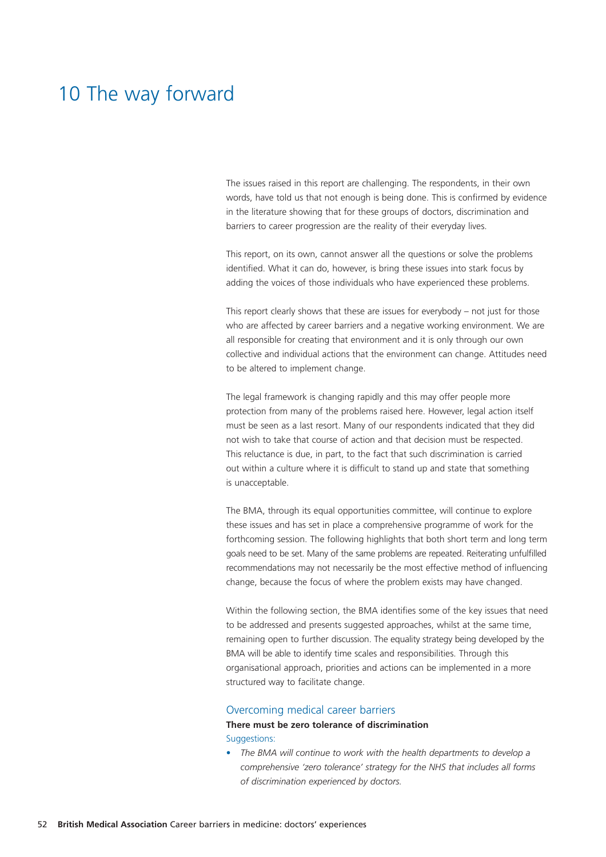# 10 The way forward

The issues raised in this report are challenging. The respondents, in their own words, have told us that not enough is being done. This is confirmed by evidence in the literature showing that for these groups of doctors, discrimination and barriers to career progression are the reality of their everyday lives.

This report, on its own, cannot answer all the questions or solve the problems identified. What it can do, however, is bring these issues into stark focus by adding the voices of those individuals who have experienced these problems.

This report clearly shows that these are issues for everybody – not just for those who are affected by career barriers and a negative working environment. We are all responsible for creating that environment and it is only through our own collective and individual actions that the environment can change. Attitudes need to be altered to implement change.

The legal framework is changing rapidly and this may offer people more protection from many of the problems raised here. However, legal action itself must be seen as a last resort. Many of our respondents indicated that they did not wish to take that course of action and that decision must be respected. This reluctance is due, in part, to the fact that such discrimination is carried out within a culture where it is difficult to stand up and state that something is unacceptable.

The BMA, through its equal opportunities committee, will continue to explore these issues and has set in place a comprehensive programme of work for the forthcoming session. The following highlights that both short term and long term goals need to be set. Many of the same problems are repeated. Reiterating unfulfilled recommendations may not necessarily be the most effective method of influencing change, because the focus of where the problem exists may have changed.

Within the following section, the BMA identifies some of the key issues that need to be addressed and presents suggested approaches, whilst at the same time, remaining open to further discussion. The equality strategy being developed by the BMA will be able to identify time scales and responsibilities. Through this organisational approach, priorities and actions can be implemented in a more structured way to facilitate change.

#### Overcoming medical career barriers

**There must be zero tolerance of discrimination** Suggestions:

• *The BMA will continue to work with the health departments to develop a comprehensive 'zero tolerance' strategy for the NHS that includes all forms of discrimination experienced by doctors.*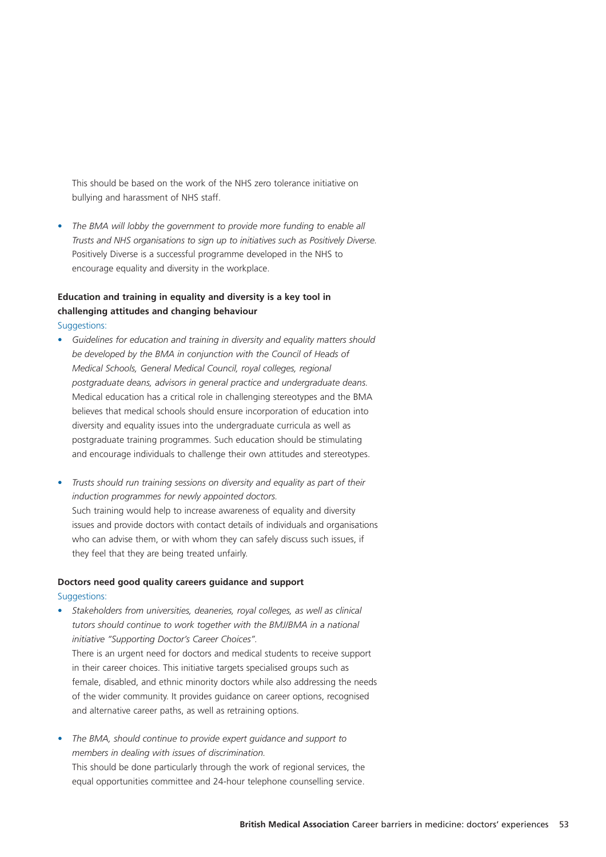This should be based on the work of the NHS zero tolerance initiative on bullying and harassment of NHS staff.

• *The BMA will lobby the government to provide more funding to enable all Trusts and NHS organisations to sign up to initiatives such as Positively Diverse.* Positively Diverse is a successful programme developed in the NHS to encourage equality and diversity in the workplace.

## **Education and training in equality and diversity is a key tool in challenging attitudes and changing behaviour**

Suggestions:

- *Guidelines for education and training in diversity and equality matters should be developed by the BMA in conjunction with the Council of Heads of Medical Schools, General Medical Council, royal colleges, regional postgraduate deans, advisors in general practice and undergraduate deans.* Medical education has a critical role in challenging stereotypes and the BMA believes that medical schools should ensure incorporation of education into diversity and equality issues into the undergraduate curricula as well as postgraduate training programmes. Such education should be stimulating and encourage individuals to challenge their own attitudes and stereotypes.
- *Trusts should run training sessions on diversity and equality as part of their induction programmes for newly appointed doctors.* Such training would help to increase awareness of equality and diversity issues and provide doctors with contact details of individuals and organisations who can advise them, or with whom they can safely discuss such issues, if they feel that they are being treated unfairly.

#### **Doctors need good quality careers guidance and support**

#### Suggestions:

- *Stakeholders from universities, deaneries, royal colleges, as well as clinical tutors should continue to work together with the BMJ/BMA in a national initiative "Supporting Doctor's Career Choices".*  There is an urgent need for doctors and medical students to receive support in their career choices. This initiative targets specialised groups such as female, disabled, and ethnic minority doctors while also addressing the needs of the wider community. It provides guidance on career options, recognised and alternative career paths, as well as retraining options.
- *• The BMA, should continue to provide expert guidance and support to members in dealing with issues of discrimination.*  This should be done particularly through the work of regional services, the equal opportunities committee and 24-hour telephone counselling service.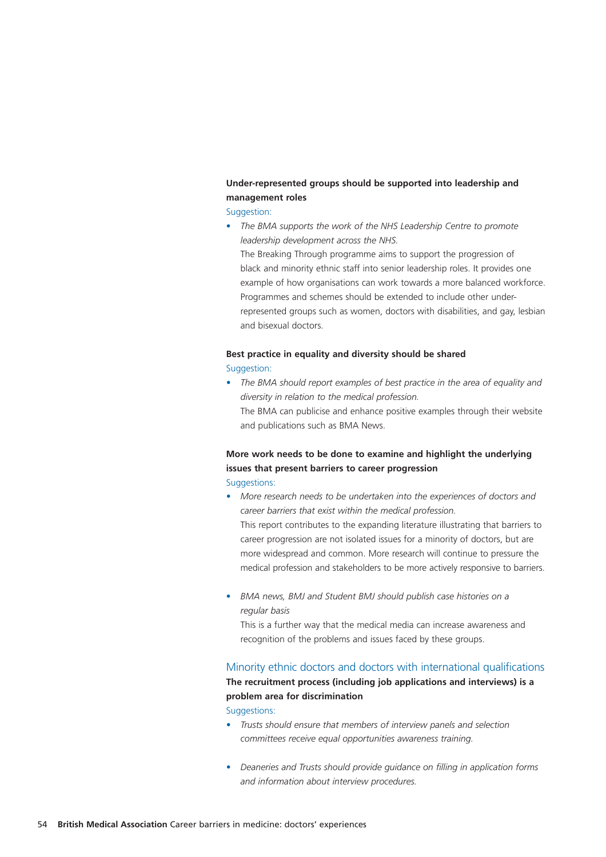## **Under-represented groups should be supported into leadership and management roles**

#### Suggestion:

• *The BMA supports the work of the NHS Leadership Centre to promote leadership development across the NHS.*

The Breaking Through programme aims to support the progression of black and minority ethnic staff into senior leadership roles. It provides one example of how organisations can work towards a more balanced workforce. Programmes and schemes should be extended to include other underrepresented groups such as women, doctors with disabilities, and gay, lesbian and bisexual doctors.

## **Best practice in equality and diversity should be shared**

## Suggestion:

*• The BMA should report examples of best practice in the area of equality and diversity in relation to the medical profession.* The BMA can publicise and enhance positive examples through their website and publications such as BMA News.

## **More work needs to be done to examine and highlight the underlying issues that present barriers to career progression**

Suggestions:

- *• More research needs to be undertaken into the experiences of doctors and career barriers that exist within the medical profession.* This report contributes to the expanding literature illustrating that barriers to career progression are not isolated issues for a minority of doctors, but are more widespread and common. More research will continue to pressure the medical profession and stakeholders to be more actively responsive to barriers.
- *BMA news, BMJ and Student BMJ should publish case histories on a regular basis*

This is a further way that the medical media can increase awareness and recognition of the problems and issues faced by these groups.

#### Minority ethnic doctors and doctors with international qualifications

## **The recruitment process (including job applications and interviews) is a problem area for discrimination**

Suggestions:

- *• Trusts should ensure that members of interview panels and selection committees receive equal opportunities awareness training.*
- *• Deaneries and Trusts should provide guidance on filling in application forms and information about interview procedures.*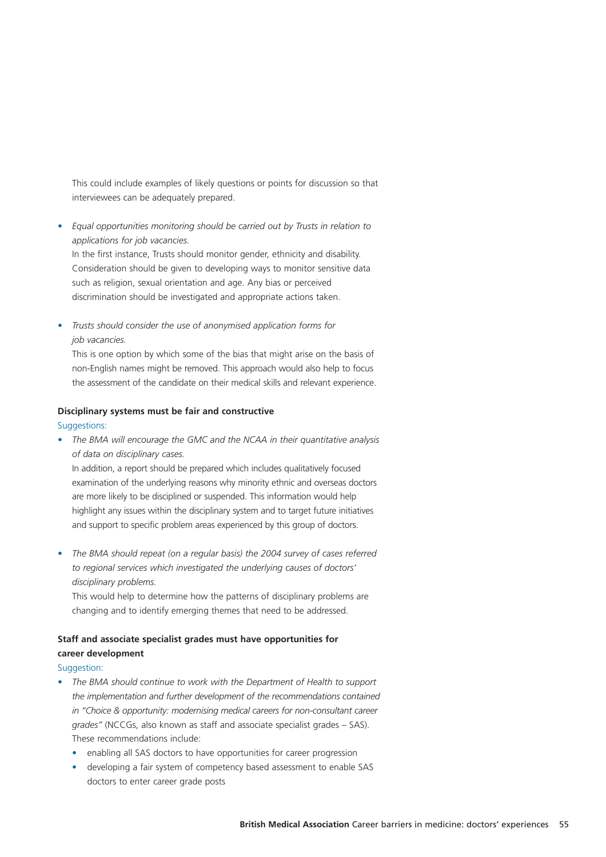This could include examples of likely questions or points for discussion so that interviewees can be adequately prepared.

*• Equal opportunities monitoring should be carried out by Trusts in relation to applications for job vacancies.* 

In the first instance, Trusts should monitor gender, ethnicity and disability. Consideration should be given to developing ways to monitor sensitive data such as religion, sexual orientation and age. Any bias or perceived discrimination should be investigated and appropriate actions taken.

*• Trusts should consider the use of anonymised application forms for job vacancies.* 

This is one option by which some of the bias that might arise on the basis of non-English names might be removed. This approach would also help to focus the assessment of the candidate on their medical skills and relevant experience.

#### **Disciplinary systems must be fair and constructive**

#### Suggestions:

*• The BMA will encourage the GMC and the NCAA in their quantitative analysis of data on disciplinary cases.*

In addition, a report should be prepared which includes qualitatively focused examination of the underlying reasons why minority ethnic and overseas doctors are more likely to be disciplined or suspended. This information would help highlight any issues within the disciplinary system and to target future initiatives and support to specific problem areas experienced by this group of doctors.

*• The BMA should repeat (on a regular basis) the 2004 survey of cases referred to regional services which investigated the underlying causes of doctors' disciplinary problems.* 

This would help to determine how the patterns of disciplinary problems are changing and to identify emerging themes that need to be addressed.

## **Staff and associate specialist grades must have opportunities for career development**

#### Suggestion:

- *• The BMA should continue to work with the Department of Health to support the implementation and further development of the recommendations contained in "Choice & opportunity: modernising medical careers for non-consultant career grades"* (NCCGs, also known as staff and associate specialist grades – SAS). These recommendations include:
	- enabling all SAS doctors to have opportunities for career progression
	- developing a fair system of competency based assessment to enable SAS doctors to enter career grade posts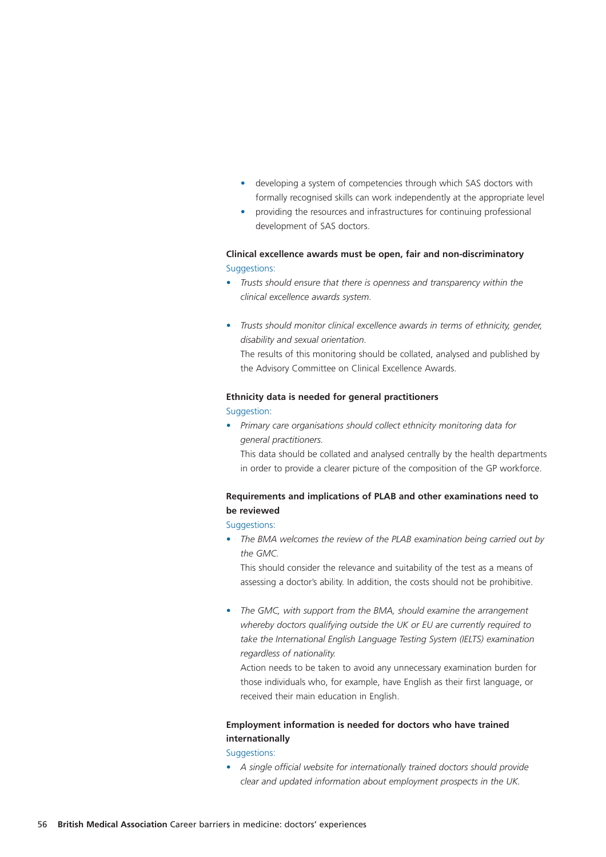- developing a system of competencies through which SAS doctors with formally recognised skills can work independently at the appropriate level
- providing the resources and infrastructures for continuing professional development of SAS doctors.

#### **Clinical excellence awards must be open, fair and non-discriminatory** Suggestions:

- *• Trusts should ensure that there is openness and transparency within the clinical excellence awards system.*
- *• Trusts should monitor clinical excellence awards in terms of ethnicity, gender, disability and sexual orientation.* The results of this monitoring should be collated, analysed and published by the Advisory Committee on Clinical Excellence Awards.

#### **Ethnicity data is needed for general practitioners**

#### Suggestion:

- *• Primary care organisations should collect ethnicity monitoring data for general practitioners.* 
	- This data should be collated and analysed centrally by the health departments in order to provide a clearer picture of the composition of the GP workforce.

## **Requirements and implications of PLAB and other examinations need to be reviewed**

Suggestions:

*• The BMA welcomes the review of the PLAB examination being carried out by the GMC.* 

This should consider the relevance and suitability of the test as a means of assessing a doctor's ability. In addition, the costs should not be prohibitive.

*• The GMC, with support from the BMA, should examine the arrangement whereby doctors qualifying outside the UK or EU are currently required to take the International English Language Testing System (IELTS) examination regardless of nationality.* 

Action needs to be taken to avoid any unnecessary examination burden for those individuals who, for example, have English as their first language, or received their main education in English.

### **Employment information is needed for doctors who have trained internationally**

Suggestions:

*• A single official website for internationally trained doctors should provide clear and updated information about employment prospects in the UK.*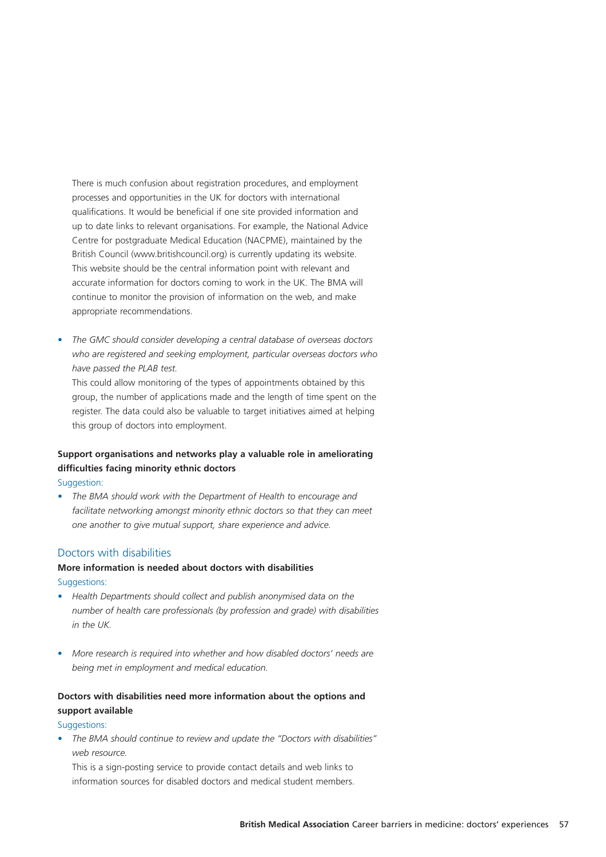There is much confusion about registration procedures, and employment processes and opportunities in the UK for doctors with international qualifications. It would be beneficial if one site provided information and up to date links to relevant organisations. For example, the National Advice Centre for postgraduate Medical Education (NACPME), maintained by the British Council (www.britishcouncil.org) is currently updating its website. This website should be the central information point with relevant and accurate information for doctors coming to work in the UK. The BMA will continue to monitor the provision of information on the web, and make appropriate recommendations.

*• The GMC should consider developing a central database of overseas doctors who are registered and seeking employment, particular overseas doctors who have passed the PLAB test.* 

This could allow monitoring of the types of appointments obtained by this group, the number of applications made and the length of time spent on the register. The data could also be valuable to target initiatives aimed at helping this group of doctors into employment.

## **Support organisations and networks play a valuable role in ameliorating difficulties facing minority ethnic doctors**

Suggestion:

*• The BMA should work with the Department of Health to encourage and facilitate networking amongst minority ethnic doctors so that they can meet one another to give mutual support, share experience and advice.*

#### Doctors with disabilities

## **More information is needed about doctors with disabilities** Suggestions:

- *• Health Departments should collect and publish anonymised data on the number of health care professionals (by profession and grade) with disabilities in the UK.*
- *More research is required into whether and how disabled doctors' needs are being met in employment and medical education.*

## **Doctors with disabilities need more information about the options and support available**

#### Suggestions:

*• The BMA should continue to review and update the "Doctors with disabilities" web resource.* 

This is a sign-posting service to provide contact details and web links to information sources for disabled doctors and medical student members.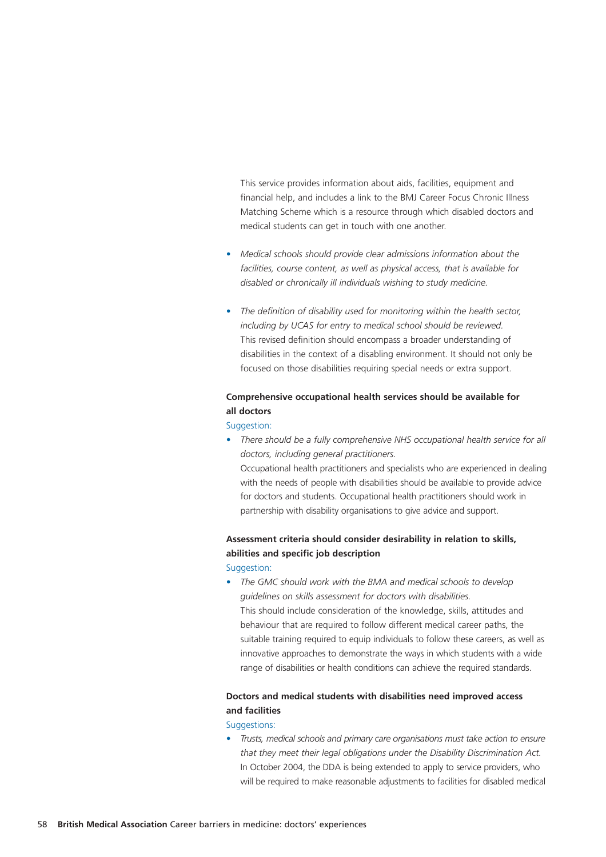This service provides information about aids, facilities, equipment and financial help, and includes a link to the BMJ Career Focus Chronic Illness Matching Scheme which is a resource through which disabled doctors and medical students can get in touch with one another.

- *• Medical schools should provide clear admissions information about the facilities, course content, as well as physical access, that is available for disabled or chronically ill individuals wishing to study medicine.*
- *• The definition of disability used for monitoring within the health sector, including by UCAS for entry to medical school should be reviewed.* This revised definition should encompass a broader understanding of disabilities in the context of a disabling environment. It should not only be focused on those disabilities requiring special needs or extra support.

## **Comprehensive occupational health services should be available for all doctors**

#### Suggestion:

*• There should be a fully comprehensive NHS occupational health service for all doctors, including general practitioners.*  Occupational health practitioners and specialists who are experienced in dealing with the needs of people with disabilities should be available to provide advice for doctors and students. Occupational health practitioners should work in partnership with disability organisations to give advice and support.

## **Assessment criteria should consider desirability in relation to skills, abilities and specific job description**

#### Suggestion:

*• The GMC should work with the BMA and medical schools to develop guidelines on skills assessment for doctors with disabilities.* This should include consideration of the knowledge, skills, attitudes and behaviour that are required to follow different medical career paths, the suitable training required to equip individuals to follow these careers, as well as innovative approaches to demonstrate the ways in which students with a wide range of disabilities or health conditions can achieve the required standards.

## **Doctors and medical students with disabilities need improved access and facilities**

#### Suggestions:

*• Trusts, medical schools and primary care organisations must take action to ensure that they meet their legal obligations under the Disability Discrimination Act.*  In October 2004, the DDA is being extended to apply to service providers, who will be required to make reasonable adjustments to facilities for disabled medical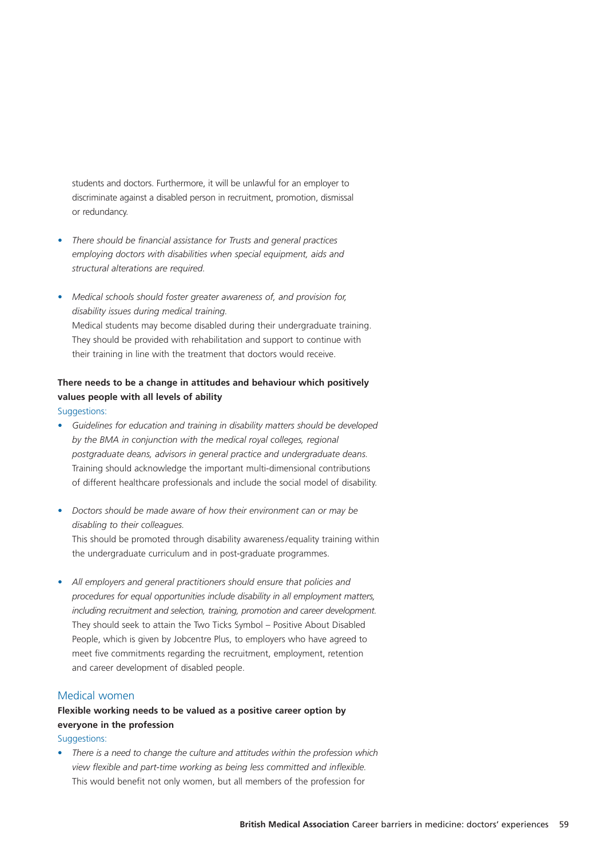students and doctors. Furthermore, it will be unlawful for an employer to discriminate against a disabled person in recruitment, promotion, dismissal or redundancy.

- *• There should be financial assistance for Trusts and general practices employing doctors with disabilities when special equipment, aids and structural alterations are required.*
- *• Medical schools should foster greater awareness of, and provision for, disability issues during medical training.* Medical students may become disabled during their undergraduate training. They should be provided with rehabilitation and support to continue with their training in line with the treatment that doctors would receive.

## **There needs to be a change in attitudes and behaviour which positively values people with all levels of ability**

#### Suggestions:

- *• Guidelines for education and training in disability matters should be developed by the BMA in conjunction with the medical royal colleges, regional postgraduate deans, advisors in general practice and undergraduate deans.* Training should acknowledge the important multi-dimensional contributions of different healthcare professionals and include the social model of disability.
- *• Doctors should be made aware of how their environment can or may be disabling to their colleagues.* This should be promoted through disability awareness /equality training within

the undergraduate curriculum and in post-graduate programmes.

*• All employers and general practitioners should ensure that policies and procedures for equal opportunities include disability in all employment matters, including recruitment and selection, training, promotion and career development.* They should seek to attain the Two Ticks Symbol – Positive About Disabled People, which is given by Jobcentre Plus, to employers who have agreed to meet five commitments regarding the recruitment, employment, retention and career development of disabled people.

### Medical women

## **Flexible working needs to be valued as a positive career option by everyone in the profession**

Suggestions:

• *There is a need to change the culture and attitudes within the profession which view flexible and part-time working as being less committed and inflexible.* This would benefit not only women, but all members of the profession for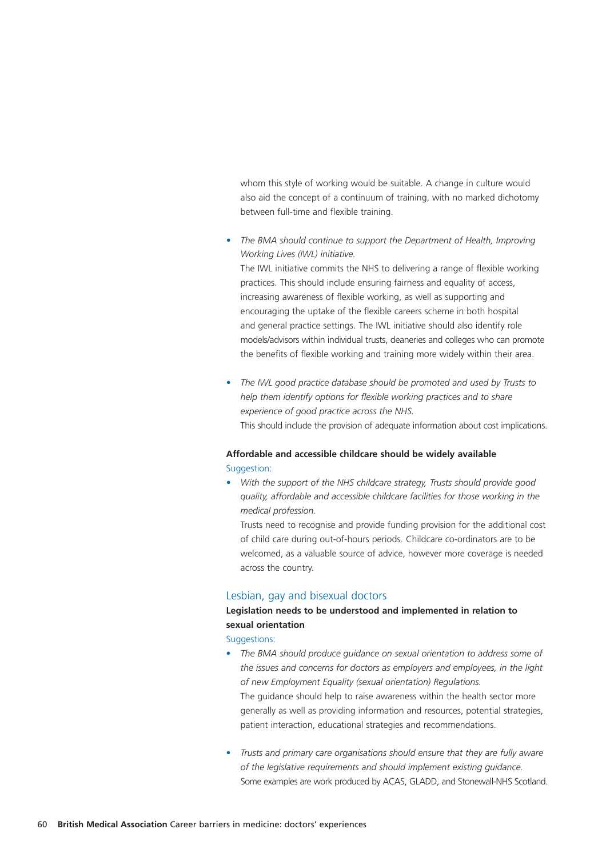whom this style of working would be suitable. A change in culture would also aid the concept of a continuum of training, with no marked dichotomy between full-time and flexible training.

*• The BMA should continue to support the Department of Health, Improving Working Lives (IWL) initiative.* 

The IWL initiative commits the NHS to delivering a range of flexible working practices. This should include ensuring fairness and equality of access, increasing awareness of flexible working, as well as supporting and encouraging the uptake of the flexible careers scheme in both hospital and general practice settings. The IWL initiative should also identify role models/advisors within individual trusts, deaneries and colleges who can promote the benefits of flexible working and training more widely within their area.

*• The IWL good practice database should be promoted and used by Trusts to help them identify options for flexible working practices and to share experience of good practice across the NHS.* This should include the provision of adequate information about cost implications.

## **Affordable and accessible childcare should be widely available** Suggestion:

*• With the support of the NHS childcare strategy, Trusts should provide good quality, affordable and accessible childcare facilities for those working in the medical profession.*

Trusts need to recognise and provide funding provision for the additional cost of child care during out-of-hours periods. Childcare co-ordinators are to be welcomed, as a valuable source of advice, however more coverage is needed across the country.

#### Lesbian, gay and bisexual doctors

## **Legislation needs to be understood and implemented in relation to sexual orientation**

Suggestions:

- *The BMA should produce guidance on sexual orientation to address some of the issues and concerns for doctors as employers and employees, in the light of new Employment Equality (sexual orientation) Regulations.* The guidance should help to raise awareness within the health sector more generally as well as providing information and resources, potential strategies, patient interaction, educational strategies and recommendations.
- *Trusts and primary care organisations should ensure that they are fully aware of the legislative requirements and should implement existing guidance.* Some examples are work produced by ACAS, GLADD, and Stonewall-NHS Scotland.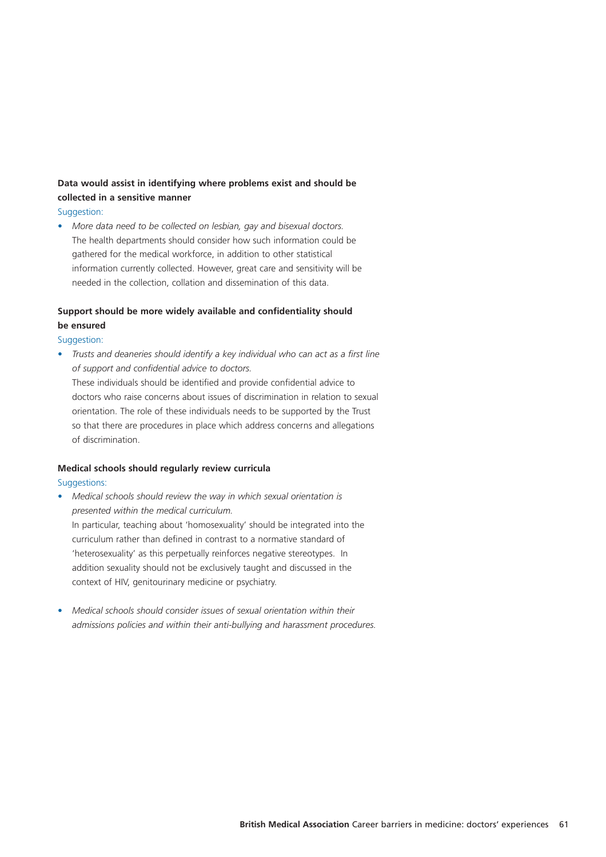## **Data would assist in identifying where problems exist and should be collected in a sensitive manner**

#### Suggestion:

*• More data need to be collected on lesbian, gay and bisexual doctors.*  The health departments should consider how such information could be gathered for the medical workforce, in addition to other statistical information currently collected. However, great care and sensitivity will be needed in the collection, collation and dissemination of this data.

## **Support should be more widely available and confidentiality should be ensured**

#### Suggestion:

*• Trusts and deaneries should identify a key individual who can act as a first line of support and confidential advice to doctors.*

These individuals should be identified and provide confidential advice to doctors who raise concerns about issues of discrimination in relation to sexual orientation. The role of these individuals needs to be supported by the Trust so that there are procedures in place which address concerns and allegations of discrimination.

## **Medical schools should regularly review curricula**

#### Suggestions:

- *• Medical schools should review the way in which sexual orientation is presented within the medical curriculum.* In particular, teaching about 'homosexuality' should be integrated into the curriculum rather than defined in contrast to a normative standard of 'heterosexuality' as this perpetually reinforces negative stereotypes. In addition sexuality should not be exclusively taught and discussed in the context of HIV, genitourinary medicine or psychiatry.
- *• Medical schools should consider issues of sexual orientation within their admissions policies and within their anti-bullying and harassment procedures.*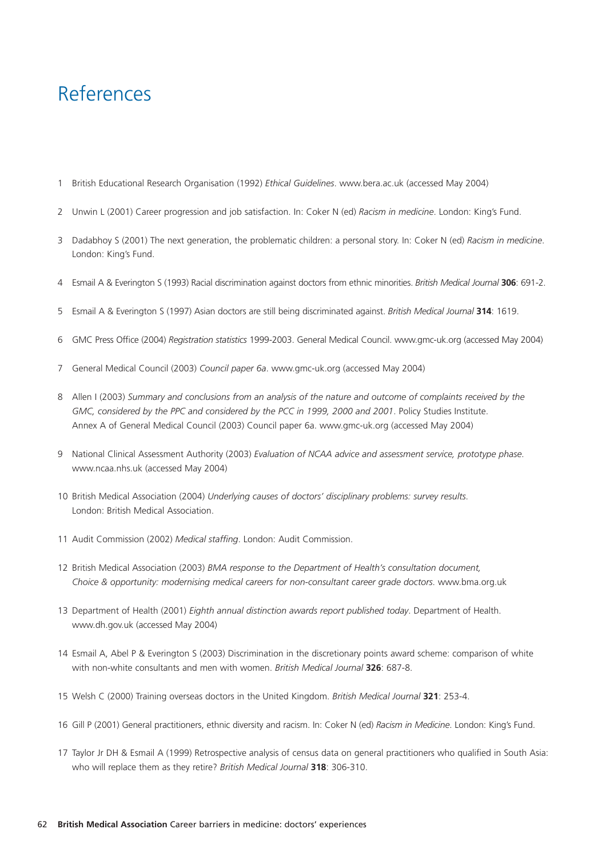# References

- 1 British Educational Research Organisation (1992) *Ethical Guidelines*. www.bera.ac.uk (accessed May 2004)
- 2 Unwin L (2001) Career progression and job satisfaction. In: Coker N (ed) *Racism in medicine*. London: King's Fund.
- 3 Dadabhoy S (2001) The next generation, the problematic children: a personal story. In: Coker N (ed) *Racism in medicine*. London: King's Fund.
- 4 Esmail A & Everington S (1993) Racial discrimination against doctors from ethnic minorities. *British Medical Journal* **306**: 691-2.
- 5 Esmail A & Everington S (1997) Asian doctors are still being discriminated against. *British Medical Journal* **314**: 1619.
- 6 GMC Press Office (2004) *Registration statistics* 1999-2003. General Medical Council. www.gmc-uk.org (accessed May 2004)
- 7 General Medical Council (2003) *Council paper 6a*. www.gmc-uk.org (accessed May 2004)
- 8 Allen I (2003) *Summary and conclusions from an analysis of the nature and outcome of complaints received by the* GMC, considered by the PPC and considered by the PCC in 1999, 2000 and 2001. Policy Studies Institute. Annex A of General Medical Council (2003) Council paper 6a. www.gmc-uk.org (accessed May 2004)
- 9 National Clinical Assessment Authority (2003) *Evaluation of NCAA advice and assessment service, prototype phase*. www.ncaa.nhs.uk (accessed May 2004)
- 10 British Medical Association (2004) *Underlying causes of doctors' disciplinary problems: survey results*. London: British Medical Association.
- 11 Audit Commission (2002) *Medical staffing*. London: Audit Commission.
- 12 British Medical Association (2003) *BMA response to the Department of Health's consultation document, Choice & opportunity: modernising medical careers for non-consultant career grade doctors*. www.bma.org.uk
- 13 Department of Health (2001) *Eighth annual distinction awards report published today*. Department of Health. www.dh.gov.uk (accessed May 2004)
- 14 Esmail A, Abel P & Everington S (2003) Discrimination in the discretionary points award scheme: comparison of white with non-white consultants and men with women. *British Medical Journal* **326**: 687-8.
- 15 Welsh C (2000) Training overseas doctors in the United Kingdom. *British Medical Journal* **321**: 253-4.
- 16 Gill P (2001) General practitioners, ethnic diversity and racism. In: Coker N (ed) *Racism in Medicine*. London: King's Fund.
- 17 Taylor Jr DH & Esmail A (1999) Retrospective analysis of census data on general practitioners who qualified in South Asia: who will replace them as they retire? *British Medical Journal* **318**: 306-310.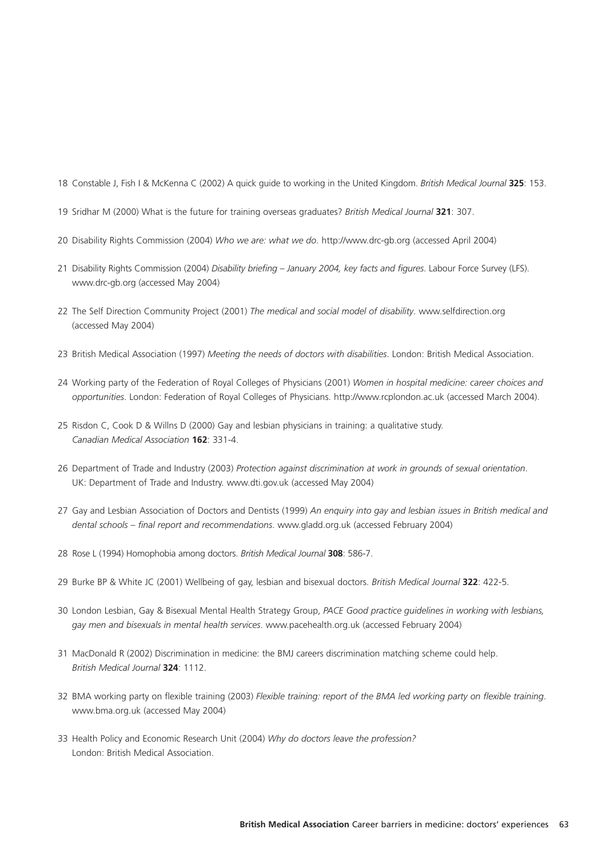18 Constable J, Fish I & McKenna C (2002) A quick guide to working in the United Kingdom. *British Medical Journal* **325**: 153.

- 19 Sridhar M (2000) What is the future for training overseas graduates? *British Medical Journal* **321**: 307.
- 20 Disability Rights Commission (2004) *Who we are: what we do*. http://www.drc-gb.org (accessed April 2004)
- 21 Disability Rights Commission (2004) *Disability briefing January 2004, key facts and figures*. Labour Force Survey (LFS). www.drc-gb.org (accessed May 2004)
- 22 The Self Direction Community Project (2001) *The medical and social model of disability*. www.selfdirection.org (accessed May 2004)
- 23 British Medical Association (1997) *Meeting the needs of doctors with disabilities*. London: British Medical Association.
- 24 Working party of the Federation of Royal Colleges of Physicians (2001) *Women in hospital medicine: career choices and opportunities*. London: Federation of Royal Colleges of Physicians. http://www.rcplondon.ac.uk (accessed March 2004).
- 25 Risdon C, Cook D & Willns D (2000) Gay and lesbian physicians in training: a qualitative study. *Canadian Medical Association* **162**: 331-4.
- 26 Department of Trade and Industry (2003) *Protection against discrimination at work in grounds of sexual orientation*. UK: Department of Trade and Industry. www.dti.gov.uk (accessed May 2004)
- 27 Gay and Lesbian Association of Doctors and Dentists (1999) *An enquiry into gay and lesbian issues in British medical and dental schools – final report and recommendations*. www.gladd.org.uk (accessed February 2004)
- 28 Rose L (1994) Homophobia among doctors. *British Medical Journal* **308**: 586-7.
- 29 Burke BP & White JC (2001) Wellbeing of gay, lesbian and bisexual doctors. *British Medical Journal* **322**: 422-5.
- 30 London Lesbian, Gay & Bisexual Mental Health Strategy Group, *PACE Good practice guidelines in working with lesbians, gay men and bisexuals in mental health services*. www.pacehealth.org.uk (accessed February 2004)
- 31 MacDonald R (2002) Discrimination in medicine: the BMJ careers discrimination matching scheme could help. *British Medical Journal* **324**: 1112.
- 32 BMA working party on flexible training (2003) *Flexible training: report of the BMA led working party on flexible training*. www.bma.org.uk (accessed May 2004)
- 33 Health Policy and Economic Research Unit (2004) *Why do doctors leave the profession?* London: British Medical Association.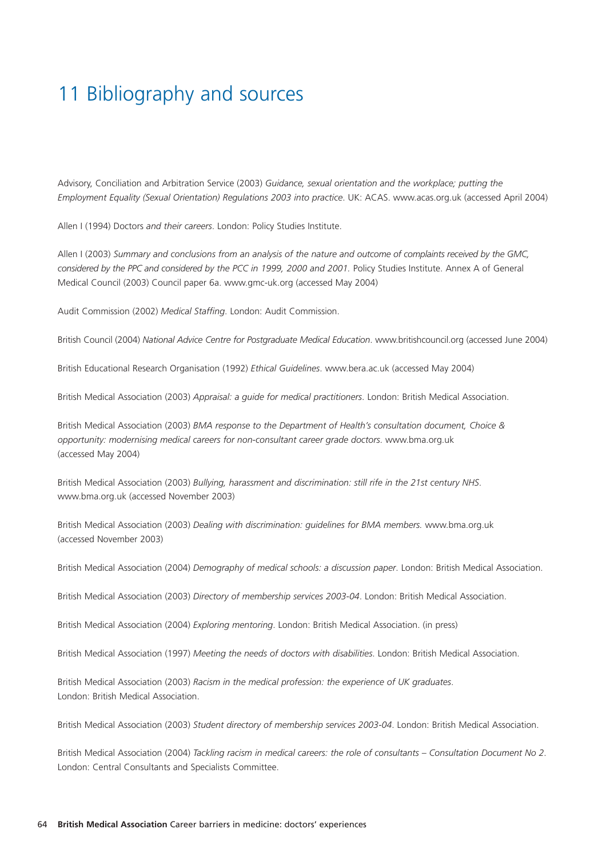# 11 Bibliography and sources

Advisory, Conciliation and Arbitration Service (2003) *Guidance, sexual orientation and the workplace; putting the Employment Equality (Sexual Orientation) Regulations 2003 into practice*. UK: ACAS. www.acas.org.uk (accessed April 2004)

Allen I (1994) Doctors *and their careers*. London: Policy Studies Institute.

Allen I (2003) *Summary and conclusions from an analysis of the nature and outcome of complaints received by the GMC, considered by the PPC and considered by the PCC in 1999, 2000 and 2001.* Policy Studies Institute. Annex A of General Medical Council (2003) Council paper 6a. www.gmc-uk.org (accessed May 2004)

Audit Commission (2002) *Medical Staffing*. London: Audit Commission.

British Council (2004) *National Advice Centre for Postgraduate Medical Education*. www.britishcouncil.org (accessed June 2004)

British Educational Research Organisation (1992) *Ethical Guidelines*. www.bera.ac.uk (accessed May 2004)

British Medical Association (2003) *Appraisal: a guide for medical practitioners*. London: British Medical Association.

British Medical Association (2003) *BMA response to the Department of Health's consultation document, Choice & opportunity: modernising medical careers for non-consultant career grade doctors*. www.bma.org.uk (accessed May 2004)

British Medical Association (2003) *Bullying, harassment and discrimination: still rife in the 21st century NHS*. www.bma.org.uk (accessed November 2003)

British Medical Association (2003) *Dealing with discrimination: guidelines for BMA members.* www.bma.org.uk (accessed November 2003)

British Medical Association (2004) *Demography of medical schools: a discussion paper*. London: British Medical Association.

British Medical Association (2003) *Directory of membership services 2003-04*. London: British Medical Association.

British Medical Association (2004) *Exploring mentoring*. London: British Medical Association. (in press)

British Medical Association (1997) *Meeting the needs of doctors with disabilities*. London: British Medical Association.

British Medical Association (2003) *Racism in the medical profession: the experience of UK graduates*. London: British Medical Association.

British Medical Association (2003) *Student directory of membership services 2003-04*. London: British Medical Association.

British Medical Association (2004) *Tackling racism in medical careers: the role of consultants – Consultation Document No 2*. London: Central Consultants and Specialists Committee.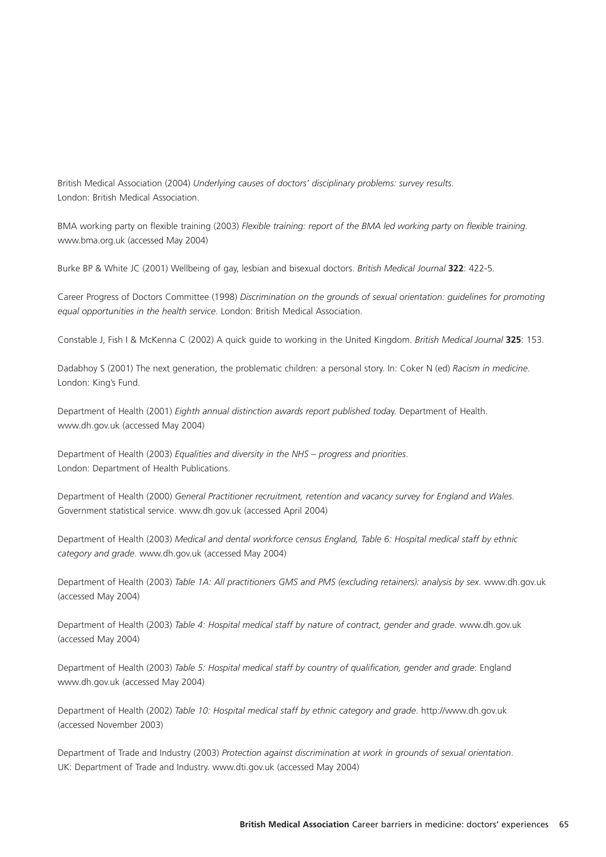British Medical Association (2004) *Underlying causes of doctors' disciplinary problems: survey results*. London: British Medical Association.

BMA working party on flexible training (2003) *Flexible training: report of the BMA led working party on flexible training*. www.bma.org.uk (accessed May 2004)

Burke BP & White JC (2001) Wellbeing of gay, lesbian and bisexual doctors. *British Medical Journal* **322**: 422-5.

Career Progress of Doctors Committee (1998) *Discrimination on the grounds of sexual orientation: guidelines for promoting equal opportunities in the health service*. London: British Medical Association.

Constable J, Fish I & McKenna C (2002) A quick guide to working in the United Kingdom. *British Medical Journal* **325**: 153.

Dadabhoy S (2001) The next generation, the problematic children: a personal story. In: Coker N (ed) *Racism in medicine*. London: King's Fund.

Department of Health (2001) *Eighth annual distinction awards report published toda*y. Department of Health. www.dh.gov.uk (accessed May 2004)

Department of Health (2003) *Equalities and diversity in the NHS – progress and priorities*. London: Department of Health Publications.

Department of Health (2000) *General Practitioner recruitment, retention and vacancy survey for England and Wales*. Government statistical service. www.dh.gov.uk (accessed April 2004)

Department of Health (2003) *Medical and dental workforce census England, Table 6: Hospital medical staff by ethnic category and grade*. www.dh.gov.uk (accessed May 2004)

Department of Health (2003) *Table 1A: All practitioners GMS and PMS (excluding retainers): analysis by sex*. www.dh.gov.uk (accessed May 2004)

Department of Health (2003) *Table 4: Hospital medical staff by nature of contract, gender and grade*. www.dh.gov.uk (accessed May 2004)

Department of Health (2003) *Table 5: Hospital medical staff by country of qualification, gender and grade*: England www.dh.gov.uk (accessed May 2004)

Department of Health (2002) *Table 10: Hospital medical staff by ethnic category and grade*. http://www.dh.gov.uk (accessed November 2003)

Department of Trade and Industry (2003) *Protection against discrimination at work in grounds of sexual orientation*. UK: Department of Trade and Industry. www.dti.gov.uk (accessed May 2004)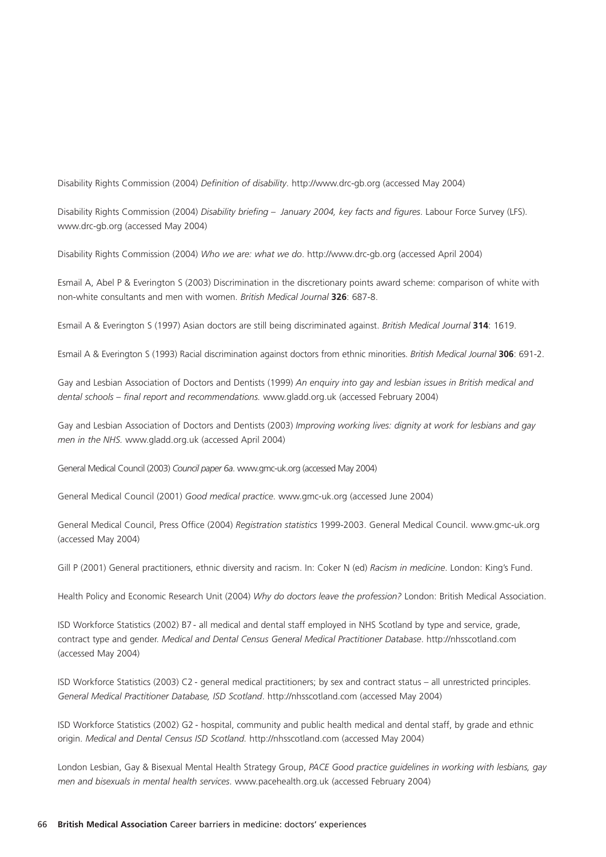Disability Rights Commission (2004) *Definition of disability*. http://www.drc-gb.org (accessed May 2004)

Disability Rights Commission (2004) *Disability briefing – January 2004, key facts and figures*. Labour Force Survey (LFS). www.drc-gb.org (accessed May 2004)

Disability Rights Commission (2004) *Who we are: what we do*. http://www.drc-gb.org (accessed April 2004)

Esmail A, Abel P & Everington S (2003) Discrimination in the discretionary points award scheme: comparison of white with non-white consultants and men with women. *British Medical Journal* **326**: 687-8.

Esmail A & Everington S (1997) Asian doctors are still being discriminated against. *British Medical Journal* **314**: 1619.

Esmail A & Everington S (1993) Racial discrimination against doctors from ethnic minorities. *British Medical Journal* **306**: 691-2.

Gay and Lesbian Association of Doctors and Dentists (1999) *An enquiry into gay and lesbian issues in British medical and dental schools – final report and recommendations.* www.gladd.org.uk (accessed February 2004)

Gay and Lesbian Association of Doctors and Dentists (2003) *Improving working lives: dignity at work for lesbians and gay men in the NHS.* www.gladd.org.uk (accessed April 2004)

General Medical Council (2003) *Council paper 6a*. www.gmc-uk.org (accessed May 2004)

General Medical Council (2001) *Good medical practice*. www.gmc-uk.org (accessed June 2004)

General Medical Council, Press Office (2004) *Registration statistics* 1999-2003. General Medical Council. www.gmc-uk.org (accessed May 2004)

Gill P (2001) General practitioners, ethnic diversity and racism. In: Coker N (ed) *Racism in medicine*. London: King's Fund.

Health Policy and Economic Research Unit (2004) *Why do doctors leave the profession?* London: British Medical Association.

ISD Workforce Statistics (2002) B7- all medical and dental staff employed in NHS Scotland by type and service, grade, contract type and gender. *Medical and Dental Census General Medical Practitioner Database*. http://nhsscotland.com (accessed May 2004)

ISD Workforce Statistics (2003) C2 - general medical practitioners; by sex and contract status – all unrestricted principles. *General Medical Practitioner Database, ISD Scotland*. http://nhsscotland.com (accessed May 2004)

ISD Workforce Statistics (2002) G2 - hospital, community and public health medical and dental staff, by grade and ethnic origin. *Medical and Dental Census ISD Scotland.* http://nhsscotland.com (accessed May 2004)

London Lesbian, Gay & Bisexual Mental Health Strategy Group, *PACE Good practice guidelines in working with lesbians, gay men and bisexuals in mental health services*. www.pacehealth.org.uk (accessed February 2004)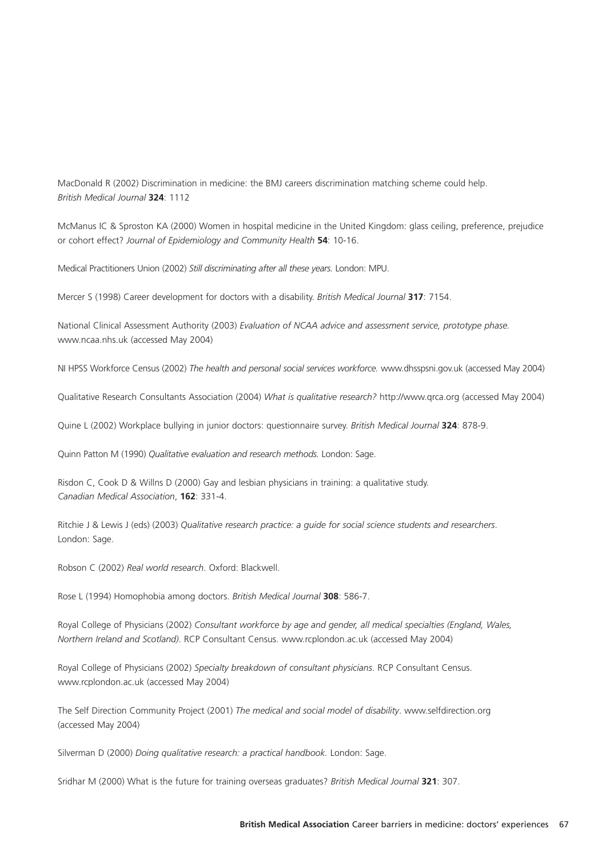MacDonald R (2002) Discrimination in medicine: the BMJ careers discrimination matching scheme could help. *British Medical Journal* **324**: 1112

McManus IC & Sproston KA (2000) Women in hospital medicine in the United Kingdom: glass ceiling, preference, prejudice or cohort effect? *Journal of Epidemiology and Community Health* **54**: 10-16.

Medical Practitioners Union (2002) *Still discriminating after all these years.* London: MPU.

Mercer S (1998) Career development for doctors with a disability. *British Medical Journal* **317**: 7154.

National Clinical Assessment Authority (2003) *Evaluation of NCAA advice and assessment service, prototype phase.* www.ncaa.nhs.uk (accessed May 2004)

NI HPSS Workforce Census (2002) *The health and personal social services workforce.* www.dhsspsni.gov.uk (accessed May 2004)

Qualitative Research Consultants Association (2004) *What is qualitative research?* http://www.qrca.org (accessed May 2004)

Quine L (2002) Workplace bullying in junior doctors: questionnaire survey. *British Medical Journal* **324**: 878-9.

Quinn Patton M (1990) *Qualitative evaluation and research methods.* London: Sage.

Risdon C, Cook D & Willns D (2000) Gay and lesbian physicians in training: a qualitative study. *Canadian Medical Association*, **162**: 331-4.

Ritchie J & Lewis J (eds) (2003) *Qualitative research practice: a guide for social science students and researchers*. London: Sage.

Robson C (2002) *Real world research*. Oxford: Blackwell.

Rose L (1994) Homophobia among doctors. *British Medical Journal* **308**: 586-7.

Royal College of Physicians (2002) *Consultant workforce by age and gender, all medical specialties (England, Wales, Northern Ireland and Scotland)*. RCP Consultant Census. www.rcplondon.ac.uk (accessed May 2004)

Royal College of Physicians (2002) *Specialty breakdown of consultant physicians*. RCP Consultant Census. www.rcplondon.ac.uk (accessed May 2004)

The Self Direction Community Project (2001) *The medical and social model of disability*. www.selfdirection.org (accessed May 2004)

Silverman D (2000) *Doing qualitative research: a practical handbook.* London: Sage.

Sridhar M (2000) What is the future for training overseas graduates? *British Medical Journal* **321**: 307.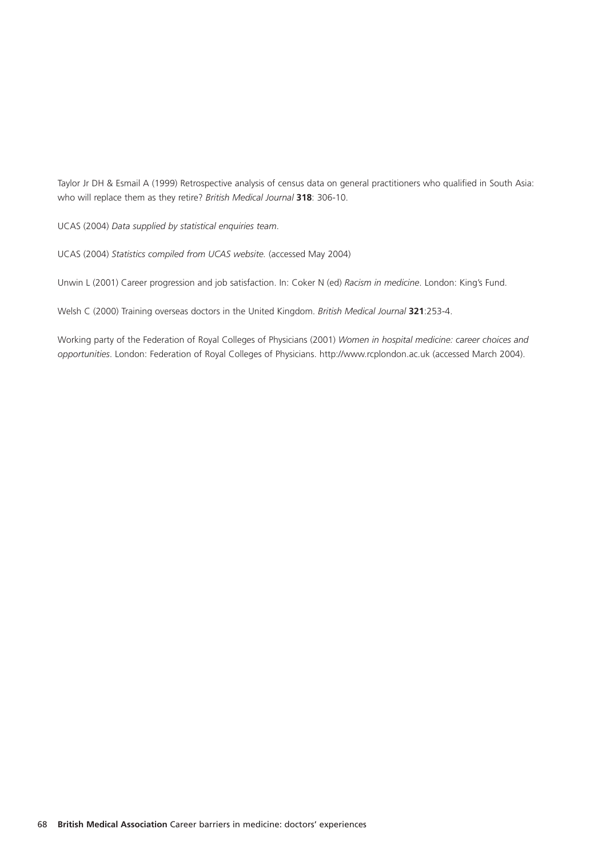Taylor Jr DH & Esmail A (1999) Retrospective analysis of census data on general practitioners who qualified in South Asia: who will replace them as they retire? *British Medical Journal* **318**: 306-10.

UCAS (2004) *Data supplied by statistical enquiries team*.

UCAS (2004) *Statistics compiled from UCAS website.* (accessed May 2004)

Unwin L (2001) Career progression and job satisfaction. In: Coker N (ed) *Racism in medicine*. London: King's Fund.

Welsh C (2000) Training overseas doctors in the United Kingdom. *British Medical Journal* **321**:253-4.

Working party of the Federation of Royal Colleges of Physicians (2001) *Women in hospital medicine: career choices and opportunities*. London: Federation of Royal Colleges of Physicians. http://www.rcplondon.ac.uk (accessed March 2004).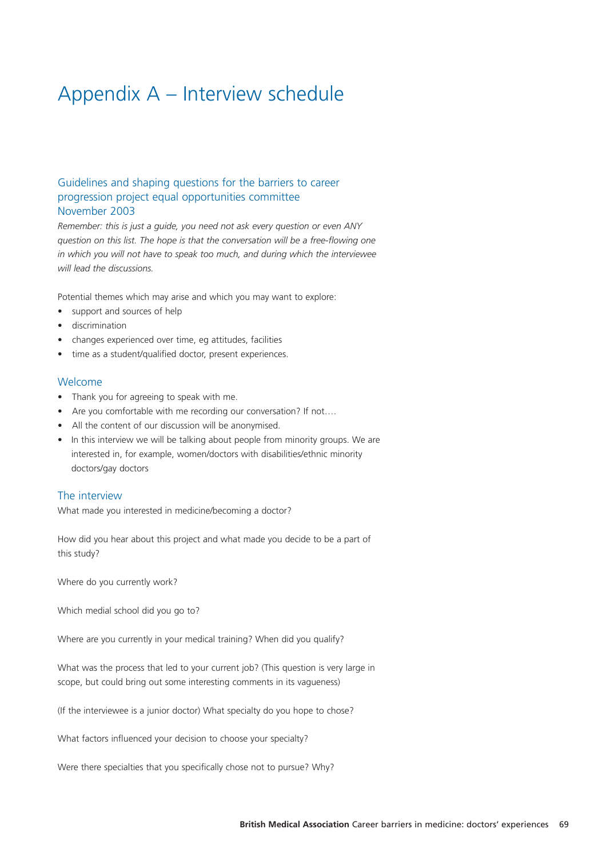# Appendix A – Interview schedule

## Guidelines and shaping questions for the barriers to career progression project equal opportunities committee November 2003

*Remember: this is just a guide, you need not ask every question or even ANY question on this list. The hope is that the conversation will be a free-flowing one in which you will not have to speak too much, and during which the interviewee will lead the discussions.*

Potential themes which may arise and which you may want to explore:

- support and sources of help
- discrimination
- changes experienced over time, eg attitudes, facilities
- time as a student/qualified doctor, present experiences.

#### Welcome

- Thank you for agreeing to speak with me.
- Are you comfortable with me recording our conversation? If not....
- All the content of our discussion will be anonymised.
- In this interview we will be talking about people from minority groups. We are interested in, for example, women/doctors with disabilities/ethnic minority doctors/gay doctors

#### The interview

What made you interested in medicine/becoming a doctor?

How did you hear about this project and what made you decide to be a part of this study?

Where do you currently work?

Which medial school did you go to?

Where are you currently in your medical training? When did you qualify?

What was the process that led to your current job? (This question is very large in scope, but could bring out some interesting comments in its vagueness)

(If the interviewee is a junior doctor) What specialty do you hope to chose?

What factors influenced your decision to choose your specialty?

Were there specialties that you specifically chose not to pursue? Why?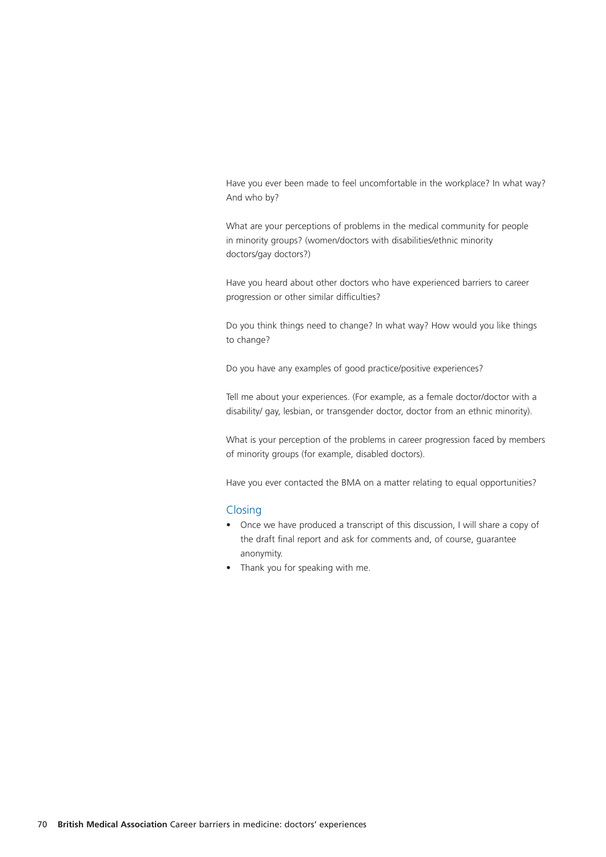Have you ever been made to feel uncomfortable in the workplace? In what way? And who by?

What are your perceptions of problems in the medical community for people in minority groups? (women/doctors with disabilities/ethnic minority doctors/gay doctors?)

Have you heard about other doctors who have experienced barriers to career progression or other similar difficulties?

Do you think things need to change? In what way? How would you like things to change?

Do you have any examples of good practice/positive experiences?

Tell me about your experiences. (For example, as a female doctor/doctor with a disability/ gay, lesbian, or transgender doctor, doctor from an ethnic minority).

What is your perception of the problems in career progression faced by members of minority groups (for example, disabled doctors).

Have you ever contacted the BMA on a matter relating to equal opportunities?

#### **Closing**

- Once we have produced a transcript of this discussion, I will share a copy of the draft final report and ask for comments and, of course, guarantee anonymity.
- Thank you for speaking with me.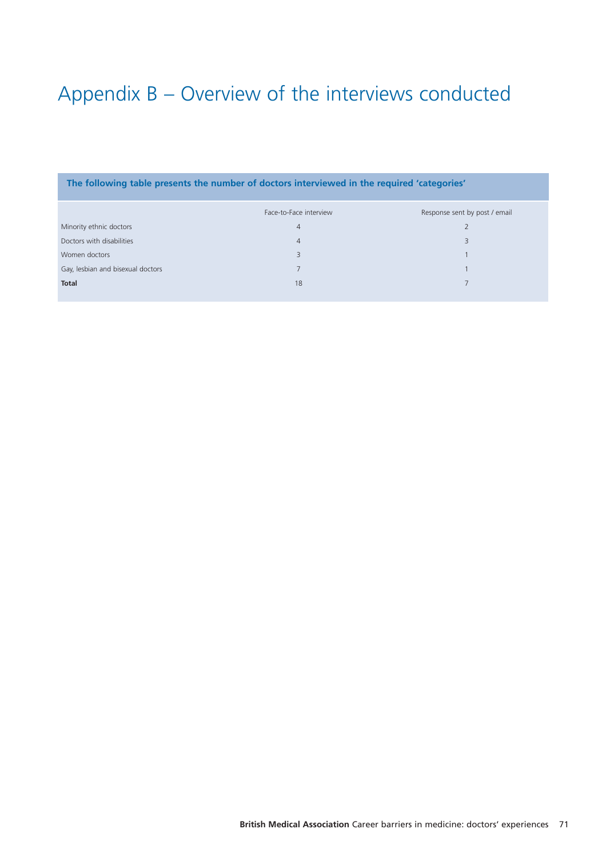# Appendix B – Overview of the interviews conducted

| The following table presents the number of doctors interviewed in the required 'categories' |                        |                               |  |  |  |  |  |  |  |
|---------------------------------------------------------------------------------------------|------------------------|-------------------------------|--|--|--|--|--|--|--|
|                                                                                             | Face-to-Face interview | Response sent by post / email |  |  |  |  |  |  |  |
| Minority ethnic doctors                                                                     | $\overline{4}$         |                               |  |  |  |  |  |  |  |
| Doctors with disabilities                                                                   | $\overline{4}$         | 3                             |  |  |  |  |  |  |  |
| Women doctors                                                                               |                        |                               |  |  |  |  |  |  |  |
| Gay, lesbian and bisexual doctors                                                           |                        |                               |  |  |  |  |  |  |  |
| <b>Total</b>                                                                                | 18                     |                               |  |  |  |  |  |  |  |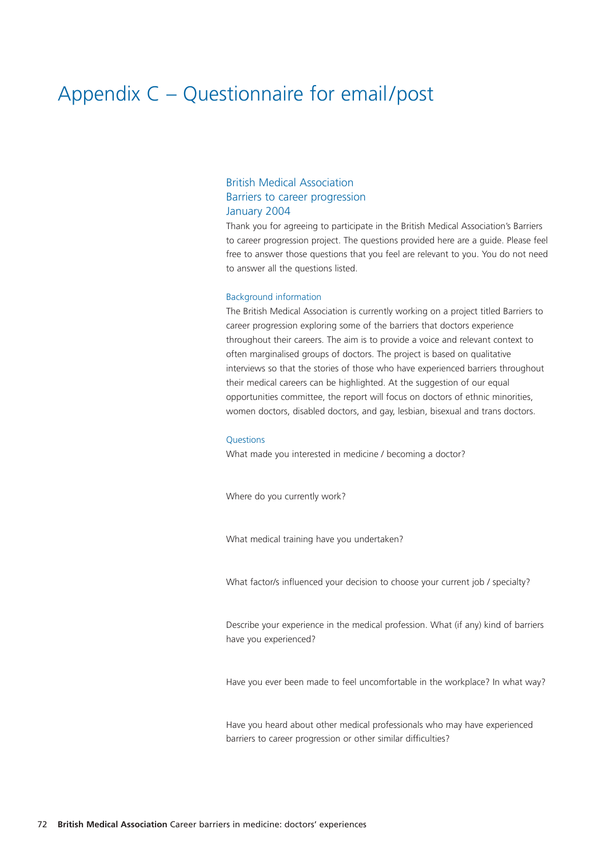## Appendix C – Questionnaire for email/post

## British Medical Association Barriers to career progression January 2004

Thank you for agreeing to participate in the British Medical Association's Barriers to career progression project. The questions provided here are a guide. Please feel free to answer those questions that you feel are relevant to you. You do not need to answer all the questions listed.

#### Background information

The British Medical Association is currently working on a project titled Barriers to career progression exploring some of the barriers that doctors experience throughout their careers. The aim is to provide a voice and relevant context to often marginalised groups of doctors. The project is based on qualitative interviews so that the stories of those who have experienced barriers throughout their medical careers can be highlighted. At the suggestion of our equal opportunities committee, the report will focus on doctors of ethnic minorities, women doctors, disabled doctors, and gay, lesbian, bisexual and trans doctors.

#### **Ouestions**

What made you interested in medicine / becoming a doctor?

Where do you currently work?

What medical training have you undertaken?

What factor/s influenced your decision to choose your current job / specialty?

Describe your experience in the medical profession. What (if any) kind of barriers have you experienced?

Have you ever been made to feel uncomfortable in the workplace? In what way?

Have you heard about other medical professionals who may have experienced barriers to career progression or other similar difficulties?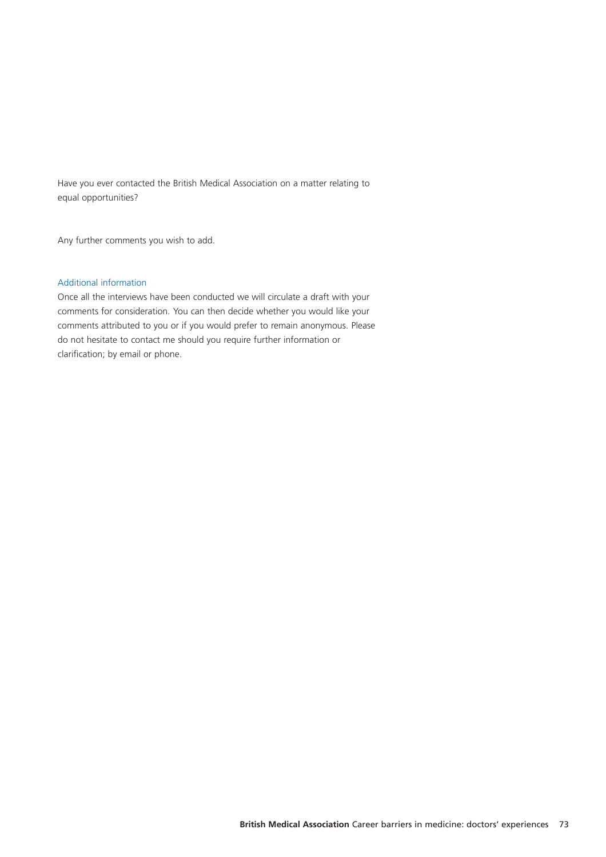Have you ever contacted the British Medical Association on a matter relating to equal opportunities?

Any further comments you wish to add.

#### Additional information

Once all the interviews have been conducted we will circulate a draft with your comments for consideration. You can then decide whether you would like your comments attributed to you or if you would prefer to remain anonymous. Please do not hesitate to contact me should you require further information or clarification; by email or phone.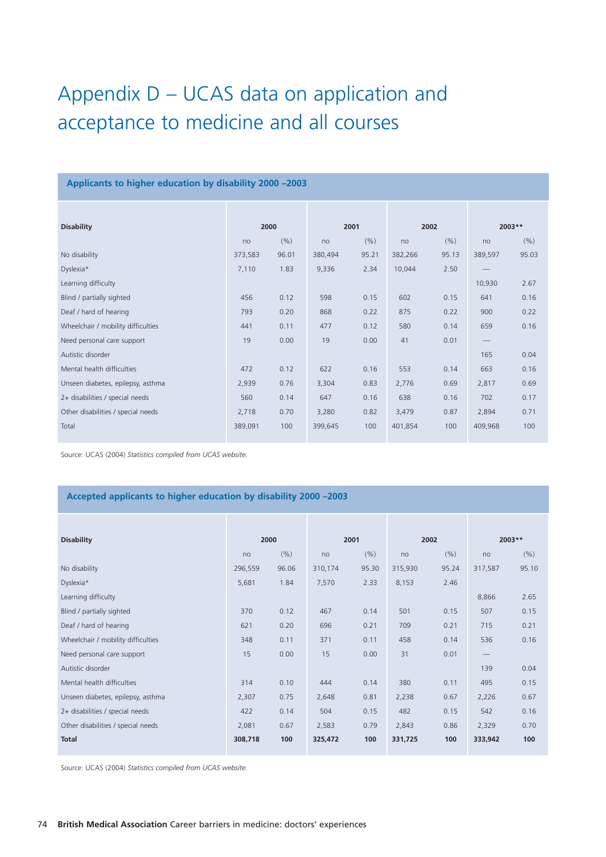# Appendix D – UCAS data on application and acceptance to medicine and all courses

#### **Applicants to higher education by disability 2000 –2003**

| <b>Disability</b>                  | 2000    |       | 2001    |       | 2002    |       | 2003**                          |       |
|------------------------------------|---------|-------|---------|-------|---------|-------|---------------------------------|-------|
|                                    | no      | (% )  | no      | (% )  | no      | (% )  | no                              | (% )  |
| No disability                      | 373,583 | 96.01 | 380,494 | 95.21 | 382,266 | 95.13 | 389,597                         | 95.03 |
| Dyslexia*                          | 7,110   | 1.83  | 9,336   | 2.34  | 10,044  | 2.50  |                                 |       |
| Learning difficulty                |         |       |         |       |         |       | 10,930                          | 2.67  |
| Blind / partially sighted          | 456     | 0.12  | 598     | 0.15  | 602     | 0.15  | 641                             | 0.16  |
| Deaf / hard of hearing             | 793     | 0.20  | 868     | 0.22  | 875     | 0.22  | 900                             | 0.22  |
| Wheelchair / mobility difficulties | 441     | 0.11  | 477     | 0.12  | 580     | 0.14  | 659                             | 0.16  |
| Need personal care support         | 19      | 0.00  | 19      | 0.00  | 41      | 0.01  | $\hspace{0.1mm}-\hspace{0.1mm}$ |       |
| Autistic disorder                  |         |       |         |       |         |       | 165                             | 0.04  |
| Mental health difficulties         | 472     | 0.12  | 622     | 0.16  | 553     | 0.14  | 663                             | 0.16  |
| Unseen diabetes, epilepsy, asthma  | 2,939   | 0.76  | 3,304   | 0.83  | 2,776   | 0.69  | 2,817                           | 0.69  |
| 2+ disabilities / special needs    | 560     | 0.14  | 647     | 0.16  | 638     | 0.16  | 702                             | 0.17  |
| Other disabilities / special needs | 2,718   | 0.70  | 3,280   | 0.82  | 3,479   | 0.87  | 2,894                           | 0.71  |
| Total                              | 389,091 | 100   | 399,645 | 100   | 401,854 | 100   | 409,968                         | 100   |

Source: UCAS (2004) *Statistics compiled from UCAS website.*

## **Accepted applicants to higher education by disability 2000 –2003**

| <b>Disability</b>                  | 2000    |       | 2001    |       | 2002    |       | 2003**                          |       |
|------------------------------------|---------|-------|---------|-------|---------|-------|---------------------------------|-------|
|                                    | no      | (% )  | no      | (% )  | no      | (% )  | no                              | (% )  |
| No disability                      | 296,559 | 96.06 | 310,174 | 95.30 | 315,930 | 95.24 | 317,587                         | 95.10 |
| Dyslexia*                          | 5,681   | 1.84  | 7,570   | 2.33  | 8,153   | 2.46  |                                 |       |
| Learning difficulty                |         |       |         |       |         |       | 8,866                           | 2.65  |
| Blind / partially sighted          | 370     | 0.12  | 467     | 0.14  | 501     | 0.15  | 507                             | 0.15  |
| Deaf / hard of hearing             | 621     | 0.20  | 696     | 0.21  | 709     | 0.21  | 715                             | 0.21  |
| Wheelchair / mobility difficulties | 348     | 0.11  | 371     | 0.11  | 458     | 0.14  | 536                             | 0.16  |
| Need personal care support         | 15      | 0.00  | 15      | 0.00  | 31      | 0.01  | $\hspace{0.1mm}-\hspace{0.1mm}$ |       |
| Autistic disorder                  |         |       |         |       |         |       | 139                             | 0.04  |
| Mental health difficulties         | 314     | 0.10  | 444     | 0.14  | 380     | 0.11  | 495                             | 0.15  |
| Unseen diabetes, epilepsy, asthma  | 2,307   | 0.75  | 2,648   | 0.81  | 2,238   | 0.67  | 2,226                           | 0.67  |
| 2+ disabilities / special needs    | 422     | 0.14  | 504     | 0.15  | 482     | 0.15  | 542                             | 0.16  |
| Other disabilities / special needs | 2,081   | 0.67  | 2,583   | 0.79  | 2,843   | 0.86  | 2,329                           | 0.70  |
| <b>Total</b>                       | 308,718 | 100   | 325,472 | 100   | 331,725 | 100   | 333,942                         | 100   |

Source: UCAS (2004) *Statistics compiled from UCAS website.*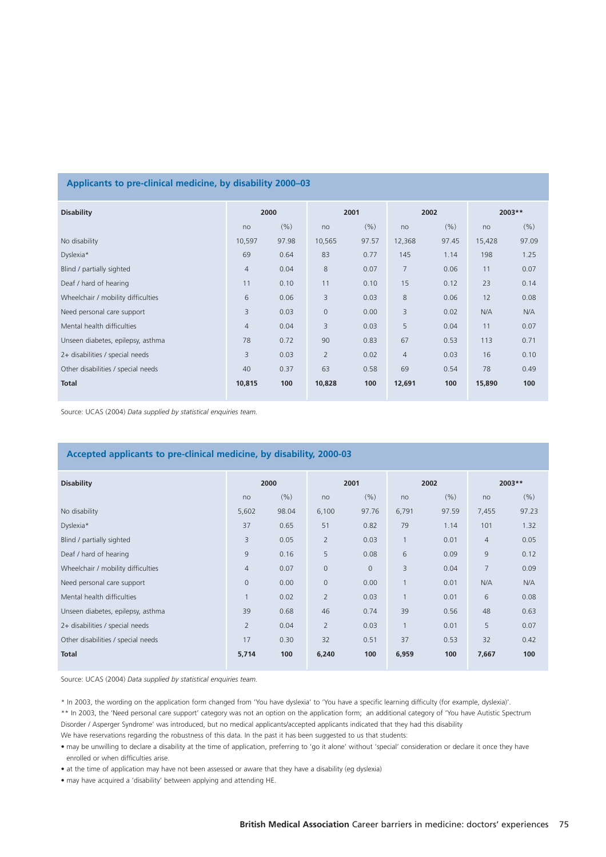#### **Applicants to pre-clinical medicine, by disability 2000–03**

| <b>Disability</b>                  | 2000           |       | 2001           |       | 2002           |       | $2003**$ |       |
|------------------------------------|----------------|-------|----------------|-------|----------------|-------|----------|-------|
|                                    | no             | (% )  | no             | (9/6) | no             | (% )  | no       | (% )  |
| No disability                      | 10,597         | 97.98 | 10,565         | 97.57 | 12,368         | 97.45 | 15,428   | 97.09 |
| Dyslexia*                          | 69             | 0.64  | 83             | 0.77  | 145            | 1.14  | 198      | 1.25  |
| Blind / partially sighted          | $\overline{4}$ | 0.04  | 8              | 0.07  | $\overline{7}$ | 0.06  | 11       | 0.07  |
| Deaf / hard of hearing             | 11             | 0.10  | 11             | 0.10  | 15             | 0.12  | 23       | 0.14  |
| Wheelchair / mobility difficulties | 6              | 0.06  | 3              | 0.03  | $\,8\,$        | 0.06  | 12       | 0.08  |
| Need personal care support         | 3              | 0.03  | $\overline{0}$ | 0.00  | 3              | 0.02  | N/A      | N/A   |
| Mental health difficulties         | $\overline{4}$ | 0.04  | 3              | 0.03  | 5              | 0.04  | 11       | 0.07  |
| Unseen diabetes, epilepsy, asthma  | 78             | 0.72  | 90             | 0.83  | 67             | 0.53  | 113      | 0.71  |
| 2+ disabilities / special needs    | 3              | 0.03  | $\overline{2}$ | 0.02  | $\overline{4}$ | 0.03  | 16       | 0.10  |
| Other disabilities / special needs | 40             | 0.37  | 63             | 0.58  | 69             | 0.54  | 78       | 0.49  |
| <b>Total</b>                       | 10,815         | 100   | 10,828         | 100   | 12,691         | 100   | 15,890   | 100   |

Source: UCAS (2004) *Data supplied by statistical enquiries team.*

#### **Accepted applicants to pre-clinical medicine, by disability, 2000-03**

| <b>Disability</b>                  | 2000         |       | 2001           |              | 2002         |       | 2003**         |       |
|------------------------------------|--------------|-------|----------------|--------------|--------------|-------|----------------|-------|
|                                    | no           | (% )  | no             | (% )         | no           | (% )  | no             | (% )  |
| No disability                      | 5,602        | 98.04 | 6,100          | 97.76        | 6,791        | 97.59 | 7,455          | 97.23 |
| Dyslexia*                          | 37           | 0.65  | 51             | 0.82         | 79           | 1.14  | 101            | 1.32  |
| Blind / partially sighted          | 3            | 0.05  | $\overline{2}$ | 0.03         | $\mathbf{1}$ | 0.01  | $\overline{4}$ | 0.05  |
| Deaf / hard of hearing             | 9            | 0.16  | 5              | 0.08         | 6            | 0.09  | $\overline{9}$ | 0.12  |
| Wheelchair / mobility difficulties | 4            | 0.07  | $\overline{0}$ | $\mathbf{0}$ | 3            | 0.04  | 7              | 0.09  |
| Need personal care support         | $\mathbf{0}$ | 0.00  | $\overline{0}$ | 0.00         | $\mathbf{1}$ | 0.01  | N/A            | N/A   |
| Mental health difficulties         |              | 0.02  | $\overline{2}$ | 0.03         | $\mathbf{1}$ | 0.01  | 6              | 0.08  |
| Unseen diabetes, epilepsy, asthma  | 39           | 0.68  | 46             | 0.74         | 39           | 0.56  | 48             | 0.63  |
| 2+ disabilities / special needs    | 2            | 0.04  | $\overline{2}$ | 0.03         | $\mathbf{1}$ | 0.01  | 5              | 0.07  |
| Other disabilities / special needs | 17           | 0.30  | 32             | 0.51         | 37           | 0.53  | 32             | 0.42  |
| <b>Total</b>                       | 5,714        | 100   | 6,240          | 100          | 6,959        | 100   | 7,667          | 100   |

Source: UCAS (2004) *Data supplied by statistical enquiries team.*

\* In 2003, the wording on the application form changed from 'You have dyslexia' to 'You have a specific learning difficulty (for example, dyslexia)'. \*\* In 2003, the 'Need personal care support' category was not an option on the application form; an additional category of 'You have Autistic Spectrum Disorder / Asperger Syndrome' was introduced, but no medical applicants/accepted applicants indicated that they had this disability

We have reservations regarding the robustness of this data. In the past it has been suggested to us that students:

• may be unwilling to declare a disability at the time of application, preferring to 'go it alone' without 'special' consideration or declare it once they have enrolled or when difficulties arise.

• at the time of application may have not been assessed or aware that they have a disability (eg dyslexia)

• may have acquired a 'disability' between applying and attending HE.